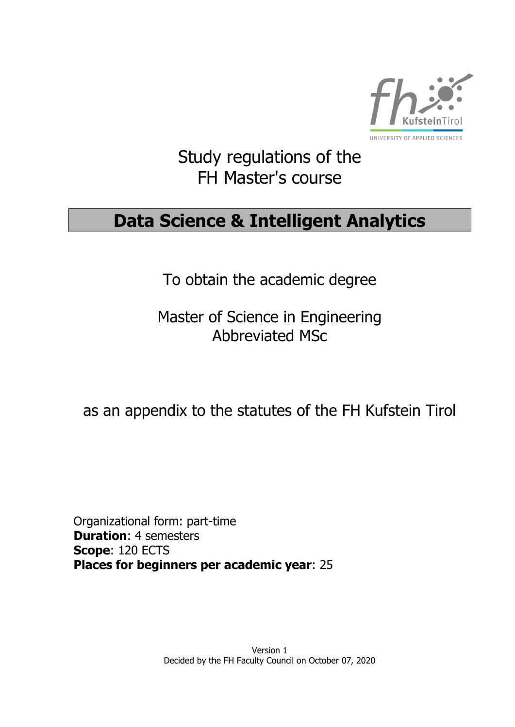

# Study regulations of the FH Master's course

# **Data Science & Intelligent Analytics**

To obtain the academic degree

Master of Science in Engineering Abbreviated MSc

# as an appendix to the statutes of the FH Kufstein Tirol

Organizational form: part-time **Duration**: 4 semesters **Scope**: 120 ECTS **Places for beginners per academic year**: 25

> Version 1 Decided by the FH Faculty Council on October 07, 2020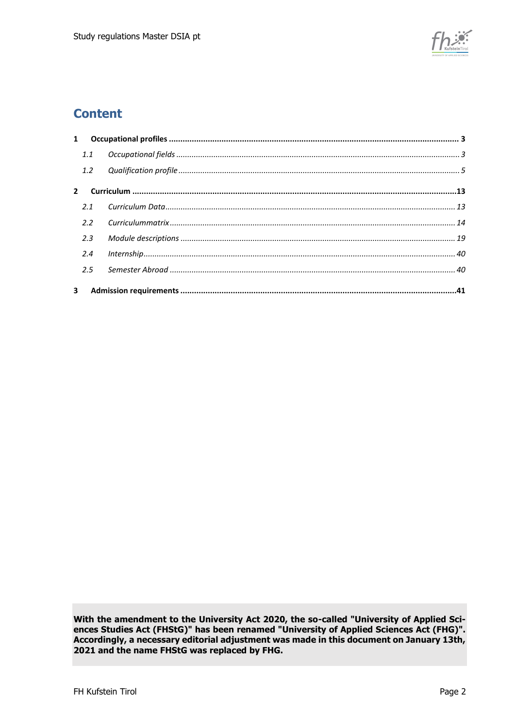

### **Content**

| 1.1 |  |
|-----|--|
| 1.2 |  |
|     |  |
| 2.1 |  |
| 2.2 |  |
| 2.3 |  |
| 2.4 |  |
| 2.5 |  |
|     |  |

With the amendment to the University Act 2020, the so-called "University of Applied Sciences Studies Act (FHStG)" has been renamed "University of Applied Sciences Act (FHG)". Accordingly, a necessary editorial adjustment was made in this document on January 13th, 2021 and the name FHStG was replaced by FHG.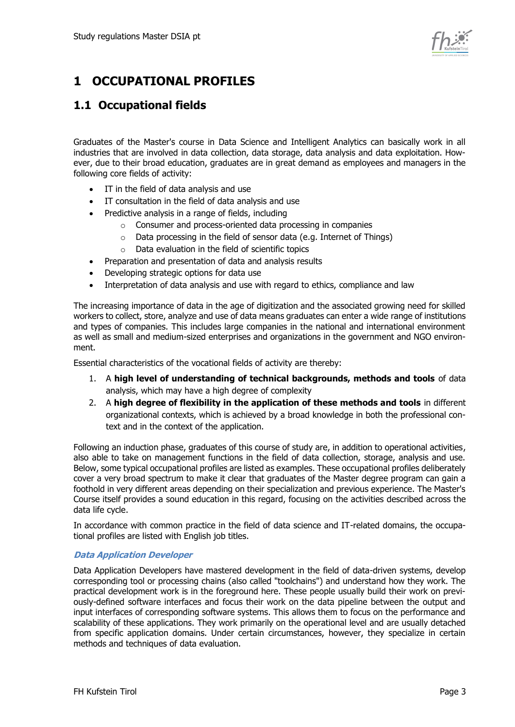

# <span id="page-2-0"></span>**1 OCCUPATIONAL PROFILES**

### <span id="page-2-1"></span>**1.1 Occupational fields**

Graduates of the Master's course in Data Science and Intelligent Analytics can basically work in all industries that are involved in data collection, data storage, data analysis and data exploitation. However, due to their broad education, graduates are in great demand as employees and managers in the following core fields of activity:

- IT in the field of data analysis and use
- IT consultation in the field of data analysis and use
- Predictive analysis in a range of fields, including
	- o Consumer and process-oriented data processing in companies
	- o Data processing in the field of sensor data (e.g. Internet of Things)
	- $\circ$  Data evaluation in the field of scientific topics
- Preparation and presentation of data and analysis results
- Developing strategic options for data use
- Interpretation of data analysis and use with regard to ethics, compliance and law

The increasing importance of data in the age of digitization and the associated growing need for skilled workers to collect, store, analyze and use of data means graduates can enter a wide range of institutions and types of companies. This includes large companies in the national and international environment as well as small and medium-sized enterprises and organizations in the government and NGO environment.

Essential characteristics of the vocational fields of activity are thereby:

- 1. A **high level of understanding of technical backgrounds, methods and tools** of data analysis, which may have a high degree of complexity
- 2. A **high degree of flexibility in the application of these methods and tools** in different organizational contexts, which is achieved by a broad knowledge in both the professional context and in the context of the application.

Following an induction phase, graduates of this course of study are, in addition to operational activities, also able to take on management functions in the field of data collection, storage, analysis and use. Below, some typical occupational profiles are listed as examples. These occupational profiles deliberately cover a very broad spectrum to make it clear that graduates of the Master degree program can gain a foothold in very different areas depending on their specialization and previous experience. The Master's Course itself provides a sound education in this regard, focusing on the activities described across the data life cycle.

In accordance with common practice in the field of data science and IT-related domains, the occupational profiles are listed with English job titles.

#### **Data Application Developer**

Data Application Developers have mastered development in the field of data-driven systems, develop corresponding tool or processing chains (also called "toolchains") and understand how they work. The practical development work is in the foreground here. These people usually build their work on previously-defined software interfaces and focus their work on the data pipeline between the output and input interfaces of corresponding software systems. This allows them to focus on the performance and scalability of these applications. They work primarily on the operational level and are usually detached from specific application domains. Under certain circumstances, however, they specialize in certain methods and techniques of data evaluation.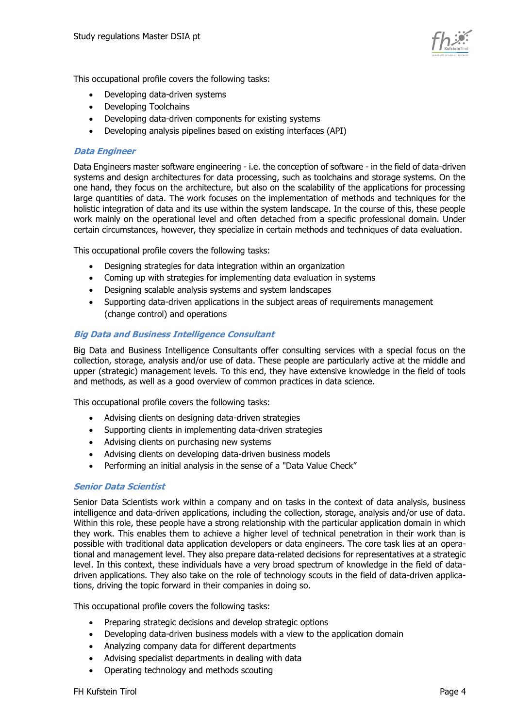

This occupational profile covers the following tasks:

- Developing data-driven systems
- Developing Toolchains
- Developing data-driven components for existing systems
- Developing analysis pipelines based on existing interfaces (API)

#### **Data Engineer**

Data Engineers master software engineering - i.e. the conception of software - in the field of data-driven systems and design architectures for data processing, such as toolchains and storage systems. On the one hand, they focus on the architecture, but also on the scalability of the applications for processing large quantities of data. The work focuses on the implementation of methods and techniques for the holistic integration of data and its use within the system landscape. In the course of this, these people work mainly on the operational level and often detached from a specific professional domain. Under certain circumstances, however, they specialize in certain methods and techniques of data evaluation.

This occupational profile covers the following tasks:

- Designing strategies for data integration within an organization
- Coming up with strategies for implementing data evaluation in systems
- Designing scalable analysis systems and system landscapes
- Supporting data-driven applications in the subject areas of requirements management (change control) and operations

#### **Big Data and Business Intelligence Consultant**

Big Data and Business Intelligence Consultants offer consulting services with a special focus on the collection, storage, analysis and/or use of data. These people are particularly active at the middle and upper (strategic) management levels. To this end, they have extensive knowledge in the field of tools and methods, as well as a good overview of common practices in data science.

This occupational profile covers the following tasks:

- Advising clients on designing data-driven strategies
- Supporting clients in implementing data-driven strategies
- Advising clients on purchasing new systems
- Advising clients on developing data-driven business models
- Performing an initial analysis in the sense of a "Data Value Check"

#### **Senior Data Scientist**

Senior Data Scientists work within a company and on tasks in the context of data analysis, business intelligence and data-driven applications, including the collection, storage, analysis and/or use of data. Within this role, these people have a strong relationship with the particular application domain in which they work. This enables them to achieve a higher level of technical penetration in their work than is possible with traditional data application developers or data engineers. The core task lies at an operational and management level. They also prepare data-related decisions for representatives at a strategic level. In this context, these individuals have a very broad spectrum of knowledge in the field of datadriven applications. They also take on the role of technology scouts in the field of data-driven applications, driving the topic forward in their companies in doing so.

This occupational profile covers the following tasks:

- Preparing strategic decisions and develop strategic options
- Developing data-driven business models with a view to the application domain
- Analyzing company data for different departments
- Advising specialist departments in dealing with data
- Operating technology and methods scouting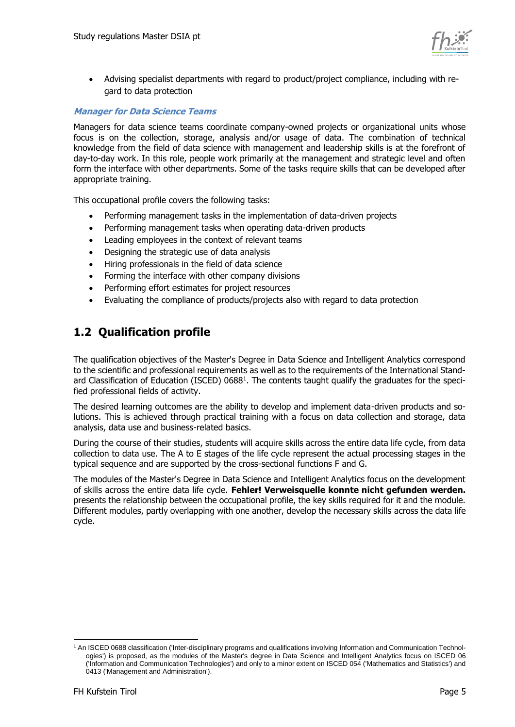

• Advising specialist departments with regard to product/project compliance, including with regard to data protection

#### **Manager for Data Science Teams**

Managers for data science teams coordinate company-owned projects or organizational units whose focus is on the collection, storage, analysis and/or usage of data. The combination of technical knowledge from the field of data science with management and leadership skills is at the forefront of day-to-day work. In this role, people work primarily at the management and strategic level and often form the interface with other departments. Some of the tasks require skills that can be developed after appropriate training.

This occupational profile covers the following tasks:

- Performing management tasks in the implementation of data-driven projects
- Performing management tasks when operating data-driven products
- Leading employees in the context of relevant teams
- Designing the strategic use of data analysis
- Hiring professionals in the field of data science
- Forming the interface with other company divisions
- Performing effort estimates for project resources
- Evaluating the compliance of products/projects also with regard to data protection

### <span id="page-4-0"></span>**1.2 Qualification profile**

The qualification objectives of the Master's Degree in Data Science and Intelligent Analytics correspond to the scientific and professional requirements as well as to the requirements of the International Standard Classification of Education (ISCED) 0688<sup>1</sup>. The contents taught qualify the graduates for the specified professional fields of activity.

The desired learning outcomes are the ability to develop and implement data-driven products and solutions. This is achieved through practical training with a focus on data collection and storage, data analysis, data use and business-related basics.

During the course of their studies, students will acquire skills across the entire data life cycle, from data collection to data use. The A to E stages of the life cycle represent the actual processing stages in the typical sequence and are supported by the cross-sectional functions F and G.

The modules of the Master's Degree in Data Science and Intelligent Analytics focus on the development of skills across the entire data life cycle. **Fehler! Verweisquelle konnte nicht gefunden werden.** presents the relationship between the occupational profile, the key skills required for it and the module. Different modules, partly overlapping with one another, develop the necessary skills across the data life cycle.

-

<sup>1</sup> An ISCED 0688 classification ('Inter-disciplinary programs and qualifications involving Information and Communication Technologies') is proposed, as the modules of the Master's degree in Data Science and Intelligent Analytics focus on ISCED 06 ('Information and Communication Technologies') and only to a minor extent on ISCED 054 ('Mathematics and Statistics') and 0413 ('Management and Administration').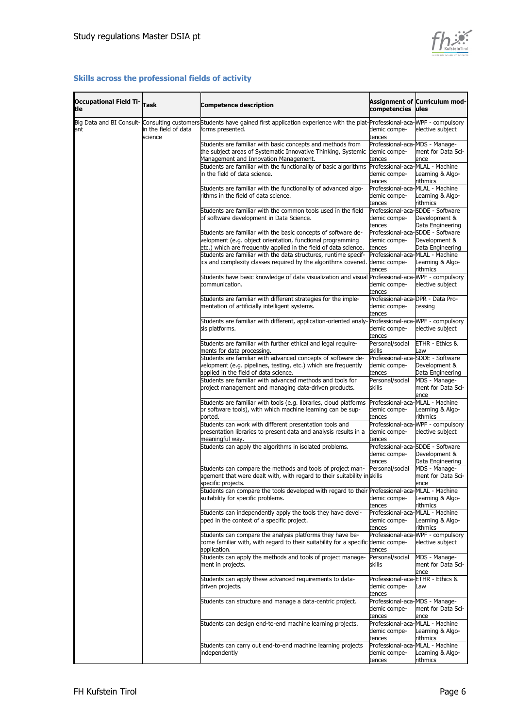

#### **Skills across the professional fields of activity**

| <b>Occupational Field Ti-</b><br>tle | Task                            | <b>Competence description</b>                                                                                                                                                                   | competencies                                               | Assignment of Curriculum mod-<br>ules                                 |
|--------------------------------------|---------------------------------|-------------------------------------------------------------------------------------------------------------------------------------------------------------------------------------------------|------------------------------------------------------------|-----------------------------------------------------------------------|
| ant                                  | in the field of data<br>science | Big Data and BI Consult- Consulting customers Students have gained first application experience with the plat-Professional-aca-MPF - compulsory<br>forms presented.                             | demic compe-<br>tences                                     | elective subject                                                      |
|                                      |                                 | Students are familiar with basic concepts and methods from<br>the subject areas of Systematic Innovative Thinking, Systemic<br>Management and Innovation Management.                            | Professional-aca-MDS - Manage-<br>demic compe-<br>tences   | ment for Data Sci-<br>ence                                            |
|                                      |                                 | Students are familiar with the functionality of basic algorithms<br>in the field of data science.                                                                                               | Professional-aca-MLAL - Machine<br>demic compe-<br>tences  | Learning & Algo-<br>rithmics                                          |
|                                      |                                 | Students are familiar with the functionality of advanced algo-<br>rithms in the field of data science.                                                                                          | Professional-aca-MLAL - Machine<br>demic compe-<br>tences  | Learning & Algo-<br>rithmics                                          |
|                                      |                                 | Students are familiar with the common tools used in the field<br>of software development in Data Science.                                                                                       | demic compe-<br>tences                                     | Professional-aca-SDDE - Software<br>Development &<br>Data Engineering |
|                                      |                                 | Students are familiar with the basic concepts of software de-<br>velopment (e.g. object orientation, functional programming<br>etc.) which are frequently applied in the field of data science. | demic compe-<br>tences                                     | Professional-aca-SDDE - Software<br>Development &<br>Data Engineering |
|                                      |                                 | Students are familiar with the data structures, runtime specif-<br>ics and complexity classes required by the algorithms covered.                                                               | Professional-aca-MLAL - Machine<br>demic compe-<br>tences  | Learning & Algo-<br>rithmics                                          |
|                                      |                                 | Students have basic knowledge of data visualization and visual<br>communication.                                                                                                                | demic compe-<br>tences                                     | Professional-aca-WPF - compulsory<br>elective subject                 |
|                                      |                                 | Students are familiar with different strategies for the imple-<br>mentation of artificially intelligent systems.                                                                                | Professional-aca-DPR - Data Pro-<br>demic compe-<br>tences | cessing                                                               |
|                                      |                                 | Students are familiar with different, application-oriented analy-<br>sis platforms.                                                                                                             | demic compe-<br>tences                                     | Professional-aca-WPF - compulsory<br>elective subject                 |
|                                      |                                 | Students are familiar with further ethical and legal require-<br>ments for data processing.<br>Students are familiar with advanced concepts of software de-                                     | Personal/social<br>skills                                  | ETHR - Ethics &<br>Law<br>Professional-aca-SDDE - Software            |
|                                      |                                 | velopment (e.g. pipelines, testing, etc.) which are frequently<br>applied in the field of data science.<br>Students are familiar with advanced methods and tools for                            | demic compe-<br>tences<br>Personal/social                  | Development &<br>Data Engineering<br>MDS - Manage-                    |
|                                      |                                 | project management and managing data-driven products.<br>Students are familiar with tools (e.g. libraries, cloud platforms                                                                      | skills<br>Professional-aca-MLAL - Machine                  | ment for Data Sci-<br>ence                                            |
|                                      |                                 | or software tools), with which machine learning can be sup-<br>ported.<br>Students can work with different presentation tools and                                                               | demic compe-<br>tences                                     | Learning & Algo-<br>rithmics<br>Professional-aca-WPF - compulsory     |
|                                      |                                 | presentation libraries to present data and analysis results in a<br>meaningful way.<br>Students can apply the algorithms in isolated problems.                                                  | demic compe-<br>tences                                     | elective subject<br>Professional-aca-SDDE - Software                  |
|                                      |                                 | Students can compare the methods and tools of project man-                                                                                                                                      | demic compe-<br>tences<br>Personal/social                  | Development &<br>Data Engineering<br>MDS - Manage-                    |
|                                      |                                 | agement that were dealt with, with regard to their suitability in skills<br>specific projects.<br>Students can compare the tools developed with regard to their Professional-aca-MLAL - Machine |                                                            | ment for Data Sci-<br>ence                                            |
|                                      |                                 | suitability for specific problems.                                                                                                                                                              | demic compe-<br>tences                                     | Learning & Algo-<br>rithmics                                          |
|                                      |                                 | Students can independently apply the tools they have devel-<br>oped in the context of a specific project.                                                                                       | Professional-aca-MLAL - Machine<br>demic compe-<br>tences  | Learning & Algo-<br>rithmics                                          |
|                                      |                                 | Students can compare the analysis platforms they have be-<br>come familiar with, with regard to their suitability for a specific demic compe-<br>application.                                   | tences                                                     | Professional-aca-WPF - compulsory<br>elective subject                 |
|                                      |                                 | Students can apply the methods and tools of project manage-<br>ment in projects.                                                                                                                | Personal/social<br>skills                                  | MDS - Manage-<br>ment for Data Sci-<br>ence                           |
|                                      |                                 | Students can apply these advanced requirements to data-<br>driven projects.                                                                                                                     | Professional-aca-ETHR - Ethics &<br>demic compe-<br>tences | Law                                                                   |
|                                      |                                 | Students can structure and manage a data-centric project.                                                                                                                                       | Professional-aca-MDS - Manage-<br>demic compe-<br>tences   | ment for Data Sci-<br>ence                                            |
|                                      |                                 | Students can design end-to-end machine learning projects.                                                                                                                                       | Professional-aca-MLAL - Machine<br>demic compe-<br>tences  | Learning & Algo-<br>rithmics                                          |
|                                      |                                 | Students can carry out end-to-end machine learning projects<br>independently                                                                                                                    | Professional-aca-MLAL - Machine<br>demic compe-<br>tences  | Learning & Algo-<br>rithmics                                          |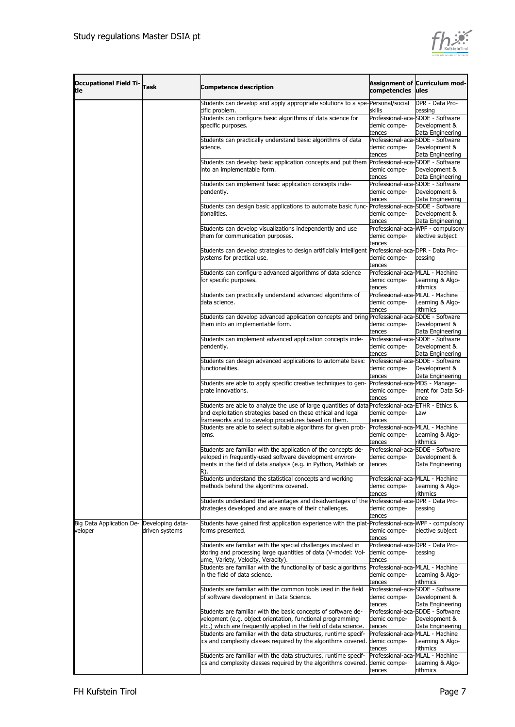

| Occupational Field Ti- Task<br>ltle                  |                | competencies                                                                                                                                                                                                                                                                                | Assignment of Curriculum mod-<br>ules                      |                                                                                  |
|------------------------------------------------------|----------------|---------------------------------------------------------------------------------------------------------------------------------------------------------------------------------------------------------------------------------------------------------------------------------------------|------------------------------------------------------------|----------------------------------------------------------------------------------|
|                                                      |                | Students can develop and apply appropriate solutions to a spe-Personal/social                                                                                                                                                                                                               |                                                            | DPR - Data Pro-                                                                  |
|                                                      |                | cific problem.<br>Students can configure basic algorithms of data science for<br>specific purposes.                                                                                                                                                                                         | skills<br>demic compe-<br>tences                           | cessing<br>Professional-aca-SDDE - Software<br>Development &<br>Data Engineering |
|                                                      |                | Students can practically understand basic algorithms of data<br>science.                                                                                                                                                                                                                    | demic compe-<br>tences                                     | Professional-aca-SDDE - Software<br>Development &<br>Data Engineering            |
|                                                      |                | Students can develop basic application concepts and put them<br>into an implementable form.                                                                                                                                                                                                 | demic compe-<br>tences                                     | Professional-aca-SDDE - Software<br>Development &<br>Data Engineering            |
|                                                      |                | Students can implement basic application concepts inde-<br>pendently.                                                                                                                                                                                                                       | demic compe-<br>tences                                     | Professional-aca-SDDE - Software<br>Development &<br>Data Engineering            |
|                                                      |                | Students can design basic applications to automate basic func- Professional-aca-SDDE - Software<br>tionalities.                                                                                                                                                                             | demic compe-<br>tences                                     | Development &<br>Data Engineering                                                |
|                                                      |                | Students can develop visualizations independently and use<br>them for communication purposes.                                                                                                                                                                                               | demic compe-<br>tences                                     | Professional-aca-WPF - compulsory<br>elective subject                            |
|                                                      |                | Students can develop strategies to design artificially intelligent<br>systems for practical use.                                                                                                                                                                                            | Professional-aca-DPR - Data Pro-<br>demic compe-<br>tences | cessing                                                                          |
|                                                      |                | Students can configure advanced algorithms of data science<br>for specific purposes.                                                                                                                                                                                                        | demic compe-<br>tences                                     | Professional-aca-MLAL - Machine<br>earning & Algo-<br>rithmics                   |
|                                                      |                | Students can practically understand advanced algorithms of<br>data science.                                                                                                                                                                                                                 | Professional-aca-MLAL - Machine<br>demic compe-<br>tences  | earning & Algo-.<br>rithmics                                                     |
|                                                      |                | Students can develop advanced application concepts and bring Professional-aca-SDDE - Software<br>them into an implementable form.                                                                                                                                                           | demic compe-<br>tences                                     | Development &<br>Data Engineering                                                |
|                                                      |                | Students can implement advanced application concepts inde-<br>pendently.                                                                                                                                                                                                                    | demic compe-<br>tences                                     | Professional-aca-SDDE - Software<br>Development &<br>Data Engineering            |
|                                                      |                | Students can design advanced applications to automate basic<br>functionalities.                                                                                                                                                                                                             | demic compe-<br>tences                                     | Professional-aca-SDDE - Software<br>Development &<br>Data Engineering            |
|                                                      |                | Students are able to apply specific creative techniques to gen-<br>erate innovations.                                                                                                                                                                                                       | Professional-aca-MDS - Manage-<br>demic compe-<br>tences   | ment for Data Sci-<br>ence                                                       |
|                                                      |                | Students are able to analyze the use of large quantities of data Professional-aca-ETHR - Ethics &<br>and exploitation strategies based on these ethical and legal<br>frameworks and to develop procedures based on them.<br>Students are able to select suitable algorithms for given prob- | demic compe-<br>tences<br>Professional-aca-MLAL - Machine  | aw                                                                               |
|                                                      |                | lems.<br>Students are familiar with the application of the concepts de-                                                                                                                                                                                                                     | demic compe-<br>tences                                     | earning & Algo-<br>rithmics<br>Professional-aca-SDDE - Software                  |
|                                                      |                | veloped in frequently-used software development environ-<br>ments in the field of data analysis (e.g. in Python, Mathlab or<br>R).                                                                                                                                                          | demic compe-<br>tences                                     | Development &<br>Data Engineering                                                |
|                                                      |                | Students understand the statistical concepts and working<br>methods behind the algorithms covered.                                                                                                                                                                                          | Professional-aca-MLAL - Machine<br>demic compe-<br>tences  | earning & Algo-<br>rithmics                                                      |
|                                                      |                | Students understand the advantages and disadvantages of the Professional-aca-DPR - Data Pro-<br>strategies developed and are aware of their challenges.                                                                                                                                     | demic compe-<br>tences                                     | cessing                                                                          |
| Big Data Application De- Developing data-<br>veloper | driven systems | Students have gained first application experience with the plat-Professional-aca-WPF - compulsory<br>forms presented.                                                                                                                                                                       | demic compe-<br>tences                                     | elective subject                                                                 |
|                                                      |                | Students are familiar with the special challenges involved in<br>storing and processing large quantities of data (V-model: Vol-<br>ume, Variety, Velocity, Veracity).                                                                                                                       | Professional-aca-DPR - Data Pro-<br>demic compe-<br>tences | cessing                                                                          |
|                                                      |                | Students are familiar with the functionality of basic algorithms<br>in the field of data science.                                                                                                                                                                                           | Professional-aca-MLAL - Machine<br>demic compe-<br>tences  | earning & Algo-<br>rithmics                                                      |
|                                                      |                | Students are familiar with the common tools used in the field<br>of software development in Data Science.                                                                                                                                                                                   | demic compe-<br>tences                                     | Professional-aca-SDDE - Software<br>Development &<br>Data Engineering            |
|                                                      |                | Students are familiar with the basic concepts of software de-<br>velopment (e.g. object orientation, functional programming<br>etc.) which are frequently applied in the field of data science.<br>Students are familiar with the data structures, runtime specif-                          | demic compe-<br>tences<br>Professional-aca-MLAL - Machine  | Professional-aca-SDDE - Software<br>Development &<br>Data Engineering            |
|                                                      |                | ics and complexity classes required by the algorithms covered.<br>Students are familiar with the data structures, runtime specif-                                                                                                                                                           | demic compe-<br>tences<br>Professional-aca-MLAL - Machine  | earning & Algo-<br>rithmics                                                      |
|                                                      |                | ics and complexity classes required by the algorithms covered.                                                                                                                                                                                                                              | demic compe-<br>tences                                     | earning & Algo-<br>rithmics                                                      |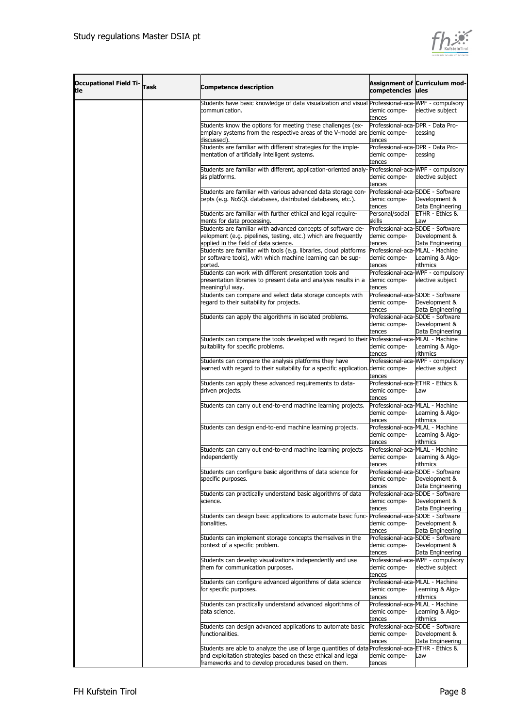

| <b>Occupational Field Ti-</b><br>tle | <b>Task</b><br><b>Competence description</b> |                                                                                                                                                                                                                          |                                                            |                                                                       |  |  |
|--------------------------------------|----------------------------------------------|--------------------------------------------------------------------------------------------------------------------------------------------------------------------------------------------------------------------------|------------------------------------------------------------|-----------------------------------------------------------------------|--|--|
|                                      |                                              | Students have basic knowledge of data visualization and visual Professional-aca-MPF - compulsory<br>communication.                                                                                                       | demic compe-<br>tences                                     | elective subject                                                      |  |  |
|                                      |                                              | Students know the options for meeting these challenges (ex-<br>emplary systems from the respective areas of the V-model are demic compe-<br>discussed).                                                                  | Professional-aca-DPR - Data Pro-<br>tences                 | cessing                                                               |  |  |
|                                      |                                              | Students are familiar with different strategies for the imple-<br>mentation of artificially intelligent systems.                                                                                                         | Professional-aca-DPR - Data Pro-<br>demic compe-<br>tences | cessing                                                               |  |  |
|                                      |                                              | Students are familiar with different, application-oriented analy-<br>sis platforms.                                                                                                                                      | demic compe-<br>tences                                     | Professional-aca-WPF - compulsory<br>elective subject                 |  |  |
|                                      |                                              | Students are familiar with various advanced data storage con-<br>cepts (e.g. NoSQL databases, distributed databases, etc.).                                                                                              | demic compe-<br>tences                                     | Professional-aca-SDDE - Software<br>Development &<br>Data Engineering |  |  |
|                                      |                                              | Students are familiar with further ethical and legal require-<br>ments for data processing.<br>Students are familiar with advanced concepts of software de-                                                              | Personal/social<br>skills                                  | <b>ETHR - Ethics &amp;</b><br>Law<br>Professional-aca-SDDE - Software |  |  |
|                                      |                                              | velopment (e.g. pipelines, testing, etc.) which are frequently<br>applied in the field of data science.<br>Students are familiar with tools (e.g. libraries, cloud platforms                                             | demic compe-<br>tences<br>Professional-aca-MLAL - Machine  | Development &<br>Data Engineering                                     |  |  |
|                                      |                                              | or software tools), with which machine learning can be sup-<br>ported.                                                                                                                                                   | demic compe-<br>tences                                     | earning & Algo-<br>rithmics                                           |  |  |
|                                      |                                              | Students can work with different presentation tools and<br>presentation libraries to present data and analysis results in a<br>meaningful way.                                                                           | demic compe-<br>tences                                     | Professional-aca-WPF - compulsory<br>elective subject                 |  |  |
|                                      |                                              | Students can compare and select data storage concepts with<br>regard to their suitability for projects.                                                                                                                  | demic compe-<br>tences                                     | Professional-aca-SDDE - Software<br>Development &<br>Data Engineering |  |  |
|                                      |                                              | Students can apply the algorithms in isolated problems.                                                                                                                                                                  | demic compe-<br>tences                                     | Professional-aca-SDDE - Software<br>Development &<br>Data Engineering |  |  |
|                                      |                                              | Students can compare the tools developed with regard to their Professional-aca-MLAL - Machine<br>suitability for specific problems.                                                                                      | demic compe-<br>tences                                     | earning & Algo-<br>rithmics                                           |  |  |
|                                      |                                              | Students can compare the analysis platforms they have<br>learned with regard to their suitability for a specific application. demic compe-                                                                               | tences                                                     | Professional-aca-WPF - compulsory<br>elective subject                 |  |  |
|                                      |                                              | Students can apply these advanced requirements to data-<br>driven projects.                                                                                                                                              | Professional-aca-ETHR - Ethics &<br>demic compe-<br>tences | .aw                                                                   |  |  |
|                                      |                                              | Students can carry out end-to-end machine learning projects.                                                                                                                                                             | Professional-aca-MLAL - Machine<br>demic compe-<br>tences  | earning & Algo-<br>rithmics                                           |  |  |
|                                      |                                              | Students can design end-to-end machine learning projects.                                                                                                                                                                | Professional-aca-MLAL - Machine<br>demic compe-<br>tences  | earning & Algo-<br>rithmics                                           |  |  |
|                                      |                                              | Students can carry out end-to-end machine learning projects<br>independently                                                                                                                                             | Professional-aca-MLAL - Machine<br>demic compe-<br>tences  | Learning & Algo-<br>rithmics                                          |  |  |
|                                      |                                              | Students can configure basic algorithms of data science for<br>specific purposes.                                                                                                                                        | demic compe-<br>tences                                     | Professional-aca-SDDE - Software<br>Development &<br>Data Engineering |  |  |
|                                      |                                              | Students can practically understand basic algorithms of data<br>science.                                                                                                                                                 | demic compe-<br>tences                                     | Professional-aca-SDDE - Software<br>Development &<br>Data Engineering |  |  |
|                                      |                                              | Students can design basic applications to automate basic func- Professional-aca-SDDE - Software<br>tionalities.                                                                                                          | demic compe-<br>tences                                     | Development &<br>Data Engineering                                     |  |  |
|                                      |                                              | Students can implement storage concepts themselves in the<br>context of a specific problem.                                                                                                                              | demic compe-<br>tences                                     | Professional-aca-SDDE - Software<br>Development &<br>Data Engineering |  |  |
|                                      |                                              | Students can develop visualizations independently and use<br>them for communication purposes.                                                                                                                            | demic compe-<br>tences                                     | Professional-aca-WPF - compulsory<br>elective subject                 |  |  |
|                                      |                                              | Students can configure advanced algorithms of data science<br>for specific purposes.                                                                                                                                     | Professional-aca-MLAL - Machine<br>demic compe-<br>tences  | earning & Algo-<br>rithmics                                           |  |  |
|                                      |                                              | Students can practically understand advanced algorithms of<br>data science.                                                                                                                                              | Professional-aca-MLAL - Machine<br>demic compe-<br>tences  | earning & Algo-<br>rithmics                                           |  |  |
|                                      |                                              | Students can design advanced applications to automate basic<br>functionalities.                                                                                                                                          | demic compe-<br>tences                                     | Professional-aca-SDDE - Software<br>Development &<br>Data Engineering |  |  |
|                                      |                                              | Students are able to analyze the use of large quantities of data Professional-aca-ETHR - Ethics &<br>and exploitation strategies based on these ethical and legal<br>frameworks and to develop procedures based on them. | demic compe-<br>tences                                     | aw                                                                    |  |  |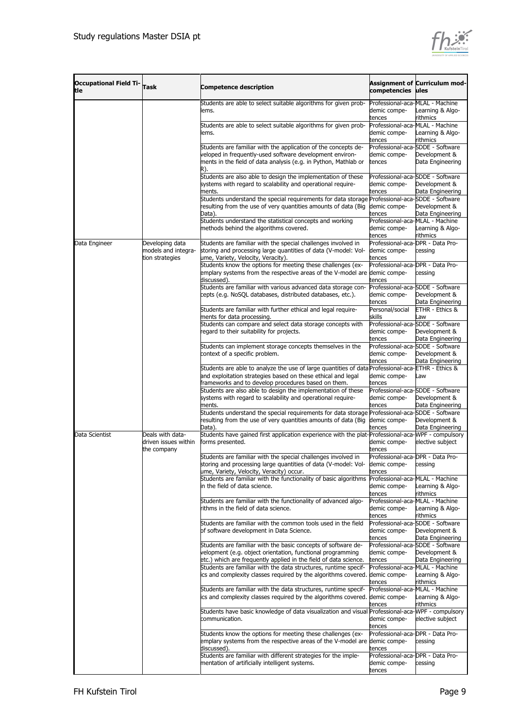

| <b>Occupational Field Ti-</b><br>ltle | <b>Task</b>                                               | <b>Competence description</b>                                                                                                                                                                                                                                                    | competencies ules                                                                                                      | <b>Assignment of Curriculum mod-</b>                                                                      |
|---------------------------------------|-----------------------------------------------------------|----------------------------------------------------------------------------------------------------------------------------------------------------------------------------------------------------------------------------------------------------------------------------------|------------------------------------------------------------------------------------------------------------------------|-----------------------------------------------------------------------------------------------------------|
|                                       |                                                           | Students are able to select suitable algorithms for given prob-<br>lems.<br>Students are able to select suitable algorithms for given prob-<br>lems.                                                                                                                             | Professional-aca-MLAL - Machine<br>demic compe-<br>tences<br>Professional-aca-MLAL - Machine<br>demic compe-<br>tences | Learning & Algo-<br>rithmics<br>Learning & Algo-<br>rithmics                                              |
|                                       |                                                           | Students are familiar with the application of the concepts de-<br>veloped in frequently-used software development environ-<br>ments in the field of data analysis (e.g. in Python, Mathlab or<br>R).<br>Students are also able to design the implementation of these             | demic compe-<br>tences                                                                                                 | Professional-aca-SDDE - Software<br>Development &<br>Data Engineering<br>Professional-aca-SDDE - Software |
|                                       |                                                           | systems with regard to scalability and operational require-<br>ments.<br>Students understand the special requirements for data storage Professional-aca-SDDE - Software                                                                                                          | demic compe-<br>tences                                                                                                 | Development &<br>Data Engineering                                                                         |
|                                       |                                                           | resulting from the use of very quantities amounts of data (Big<br>Data).<br>Students understand the statistical concepts and working<br>methods behind the algorithms covered.                                                                                                   | demic compe-<br>tences<br>Professional-aca-MLAL - Machine<br>demic compe-                                              | Development &<br>Data Engineering<br>Learning & Algo-<br>rithmics                                         |
| Data Engineer                         | Developing data<br>models and integra-<br>tion strategies | Students are familiar with the special challenges involved in<br>storing and processing large quantities of data (V-model: Vol-<br>ume, Variety, Velocity, Veracity).                                                                                                            | tences<br>Professional-aca-DPR - Data Pro-<br>demic compe-<br>tences                                                   | cessing                                                                                                   |
|                                       |                                                           | Students know the options for meeting these challenges (ex-<br>emplary systems from the respective areas of the V-model are<br>discussed).                                                                                                                                       | Professional-aca-DPR - Data Pro-<br>demic compe-<br>tences                                                             | cessing                                                                                                   |
|                                       |                                                           | Students are familiar with various advanced data storage con-<br>cepts (e.g. NoSQL databases, distributed databases, etc.).                                                                                                                                                      | demic compe-<br>tences                                                                                                 | Professional-aca-SDDE - Software<br>Development &<br>Data Engineering                                     |
|                                       |                                                           | Students are familiar with further ethical and legal require-<br>ments for data processing.<br>Students can compare and select data storage concepts with                                                                                                                        | Personal/social<br>skills                                                                                              | ETHR - Ethics &<br>.aw<br>Professional-aca-SDDE - Software                                                |
|                                       |                                                           | regard to their suitability for projects.<br>Students can implement storage concepts themselves in the                                                                                                                                                                           | demic compe-<br>tences<br>Professional-aca-SDDE - Software                                                             | Development &<br>Data Engineering                                                                         |
|                                       |                                                           | context of a specific problem.<br>Students are able to analyze the use of large quantities of data Professional-aca-ETHR - Ethics &                                                                                                                                              | demic compe-<br>tences                                                                                                 | Development &<br>Data Engineering                                                                         |
|                                       |                                                           | and exploitation strategies based on these ethical and legal<br>frameworks and to develop procedures based on them.<br>Students are also able to design the implementation of these                                                                                              | demic compe-<br>tences                                                                                                 | Law<br>Professional-aca-SDDE - Software                                                                   |
|                                       |                                                           | systems with regard to scalability and operational require-<br>ments.<br>Students understand the special requirements for data storage Professional-aca-SDDE - Software<br>resulting from the use of very quantities amounts of data (Big                                        | demic compe-<br>tences<br>demic compe-                                                                                 | Development &<br>Data Engineering<br>Development &                                                        |
| Data Scientist                        | Deals with data-<br>driven issues within<br>the company   | Data).<br>Students have gained first application experience with the plat-Professional-aca-WPF - compulsory<br>forms presented.                                                                                                                                                  | tences<br>demic compe-<br>tences                                                                                       | Data Engineering<br>elective subject                                                                      |
|                                       |                                                           | Students are familiar with the special challenges involved in<br>storing and processing large quantities of data (V-model: Vol-<br>ume, Variety, Velocity, Veracity) occur.<br>Students are familiar with the functionality of basic algorithms<br>in the field of data science. | Professional-aca-DPR - Data Pro-<br>demic compe-<br>tences<br>Professional-aca-MLAL - Machine<br>demic compe-          | cessing<br>earning & Algo-<br>rithmics                                                                    |
|                                       |                                                           | Students are familiar with the functionality of advanced algo-<br>rithms in the field of data science.                                                                                                                                                                           | tences<br>Professional-aca-MLAL - Machine<br>demic compe-<br>tences                                                    | earning & Algo-<br>rithmics                                                                               |
|                                       |                                                           | Students are familiar with the common tools used in the field<br>of software development in Data Science.                                                                                                                                                                        | demic compe-<br>tences                                                                                                 | Professional-aca-SDDE - Software<br>Development &<br>Data Engineering                                     |
|                                       |                                                           | Students are familiar with the basic concepts of software de-<br>velopment (e.g. object orientation, functional programming<br>etc.) which are frequently applied in the field of data science.                                                                                  | demic compe-<br>tences                                                                                                 | Professional-aca-SDDE - Software<br>Development &<br>Data Engineering                                     |
|                                       |                                                           | Students are familiar with the data structures, runtime specif-<br>ics and complexity classes required by the algorithms covered.<br>Students are familiar with the data structures, runtime specif-                                                                             | Professional-aca-MLAL - Machine<br>demic compe-<br>tences                                                              | Learning & Algo-<br>rithmics                                                                              |
|                                       |                                                           | ics and complexity classes required by the algorithms covered.                                                                                                                                                                                                                   | Professional-aca-MLAL - Machine<br>demic compe-<br>tences                                                              | earning & Algo-<br>rithmics                                                                               |
|                                       |                                                           | Students have basic knowledge of data visualization and visual<br>communication.                                                                                                                                                                                                 | demic compe-<br>tences                                                                                                 | Professional-aca-WPF - compulsory<br>elective subject                                                     |
|                                       |                                                           | Students know the options for meeting these challenges (ex-<br>emplary systems from the respective areas of the V-model are demic compe-<br>discussed).<br>Students are familiar with different strategies for the imple-                                                        | Professional-aca-DPR - Data Pro-<br>tences                                                                             | cessing                                                                                                   |
|                                       |                                                           | mentation of artificially intelligent systems.                                                                                                                                                                                                                                   | Professional-aca-DPR - Data Pro-<br>demic compe-<br>tences                                                             | cessing                                                                                                   |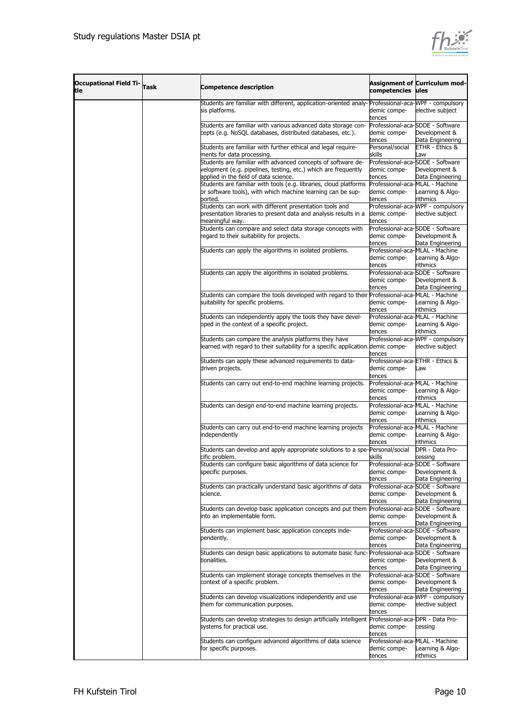

| <b>Occupational Field Ti-</b><br>tle | Assignment of Curriculum mod-<br><b>Task</b><br><b>Competence description</b><br>competencies |                                                                                                                                                                         |                                                            |                                                                       |  |  |
|--------------------------------------|-----------------------------------------------------------------------------------------------|-------------------------------------------------------------------------------------------------------------------------------------------------------------------------|------------------------------------------------------------|-----------------------------------------------------------------------|--|--|
|                                      |                                                                                               | Students are familiar with different, application-oriented analy-Professional-aca-MPF - compulsory<br>sis platforms.                                                    | demic compe-<br>tences                                     | elective subject                                                      |  |  |
|                                      |                                                                                               | Students are familiar with various advanced data storage con-<br>cepts (e.g. NoSQL databases, distributed databases, etc.).                                             | demic compe-<br>tences                                     | Professional-aca-SDDE - Software<br>Development &<br>Data Engineering |  |  |
|                                      |                                                                                               | Students are familiar with further ethical and legal require-<br>ments for data processing.                                                                             | Personal/social<br>skills                                  | ETHR - Ethics &<br>wa                                                 |  |  |
|                                      |                                                                                               | Students are familiar with advanced concepts of software de-<br>velopment (e.g. pipelines, testing, etc.) which are frequently<br>applied in the field of data science. | demic compe-<br>tences                                     | Professional-aca-SDDE - Software<br>Development &<br>Data Engineering |  |  |
|                                      |                                                                                               | Students are familiar with tools (e.g. libraries, cloud platforms<br>or software tools), with which machine learning can be sup-<br>ported.                             | Professional-aca-MLAL - Machine<br>demic compe-<br>tences  | earning & Algo-<br>rithmics                                           |  |  |
|                                      |                                                                                               | Students can work with different presentation tools and<br>presentation libraries to present data and analysis results in a<br>meaningful way.                          | demic compe-<br>tences                                     | Professional-aca-WPF - compulsory<br>elective subject                 |  |  |
|                                      |                                                                                               | Students can compare and select data storage concepts with<br>regard to their suitability for projects.                                                                 | demic compe-<br>tences                                     | Professional-aca-SDDE - Software<br>Development &<br>Data Engineering |  |  |
|                                      |                                                                                               | Students can apply the algorithms in isolated problems.                                                                                                                 | Professional-aca-MLAL - Machine<br>demic compe-<br>tences  | earning & Algo-<br>rithmics                                           |  |  |
|                                      |                                                                                               | Students can apply the algorithms in isolated problems.                                                                                                                 | demic compe-<br>tences                                     | Professional-aca-SDDE - Software<br>Development &<br>Data Engineering |  |  |
|                                      |                                                                                               | Students can compare the tools developed with regard to their Professional-aca-MLAL - Machine<br>suitability for specific problems.                                     | demic compe-<br>tences                                     | earning & Algo-<br>rithmics                                           |  |  |
|                                      |                                                                                               | Students can independently apply the tools they have devel-<br>oped in the context of a specific project.                                                               | Professional-aca-MLAL - Machine<br>demic compe-<br>tences  | earning & Algo-<br>rithmics                                           |  |  |
|                                      |                                                                                               | Students can compare the analysis platforms they have<br>learned with regard to their suitability for a specific application. demic compe-                              | tences                                                     | Professional-aca-WPF - compulsory<br>elective subject                 |  |  |
|                                      |                                                                                               | Students can apply these advanced requirements to data-<br>driven projects.                                                                                             | Professional-aca-ETHR - Ethics &<br>demic compe-<br>tences | wa                                                                    |  |  |
|                                      |                                                                                               | Students can carry out end-to-end machine learning projects.                                                                                                            | Professional-aca-MLAL - Machine<br>demic compe-<br>tences  | earning & Algo-<br>rithmics                                           |  |  |
|                                      |                                                                                               | Students can design end-to-end machine learning projects.                                                                                                               | Professional-aca-MLAL - Machine<br>demic compe-<br>tences  | earning & Algo-.<br>rithmics                                          |  |  |
|                                      |                                                                                               | Students can carry out end-to-end machine learning projects<br>independently                                                                                            | Professional-aca-MLAL - Machine<br>demic compe-<br>tences  | earning & Algo-<br>rithmics                                           |  |  |
|                                      |                                                                                               | Students can develop and apply appropriate solutions to a spe-Personal/social<br>cific problem.<br>Students can configure basic algorithms of data science for          | skills                                                     | DPR - Data Pro-<br>cessing<br>Professional-aca-SDDE - Software        |  |  |
|                                      |                                                                                               | specific purposes.                                                                                                                                                      | demic compe-<br>tences                                     | Development &<br>Data Engineering                                     |  |  |
|                                      |                                                                                               | Students can practically understand basic algorithms of data<br>science.                                                                                                | demic compe-<br>tences                                     | Professional-aca-SDDE - Software<br>Development &<br>Data Engineering |  |  |
|                                      |                                                                                               | Students can develop basic application concepts and put them<br>into an implementable form.                                                                             | demic compe-<br>tences                                     | Professional-aca-SDDE - Software<br>Development &<br>Data Engineering |  |  |
|                                      |                                                                                               | Students can implement basic application concepts inde-<br>pendently.                                                                                                   | demic compe-<br>tences                                     | Professional-aca-SDDE - Software<br>Development &<br>Data Engineering |  |  |
|                                      |                                                                                               | Students can design basic applications to automate basic func- Professional-aca-SDDE - Software<br>tionalities.                                                         | demic compe-<br>tences                                     | Development &<br>Data Engineering                                     |  |  |
|                                      |                                                                                               | Students can implement storage concepts themselves in the<br>context of a specific problem.                                                                             | demic compe-<br>tences                                     | Professional-aca-SDDE - Software<br>Development &<br>Data Engineering |  |  |
|                                      |                                                                                               | Students can develop visualizations independently and use<br>them for communication purposes.                                                                           | demic compe-<br>tences                                     | Professional-aca-WPF - compulsory<br>elective subject                 |  |  |
|                                      |                                                                                               | Students can develop strategies to design artificially intelligent Professional-aca-DPR - Data Pro-<br>systems for practical use.                                       | demic compe-<br>tences                                     | cessing                                                               |  |  |
|                                      |                                                                                               | Students can configure advanced algorithms of data science<br>for specific purposes.                                                                                    | Professional-aca-MLAL - Machine<br>demic compe-<br>tences  | earning & Algo-<br>rithmics                                           |  |  |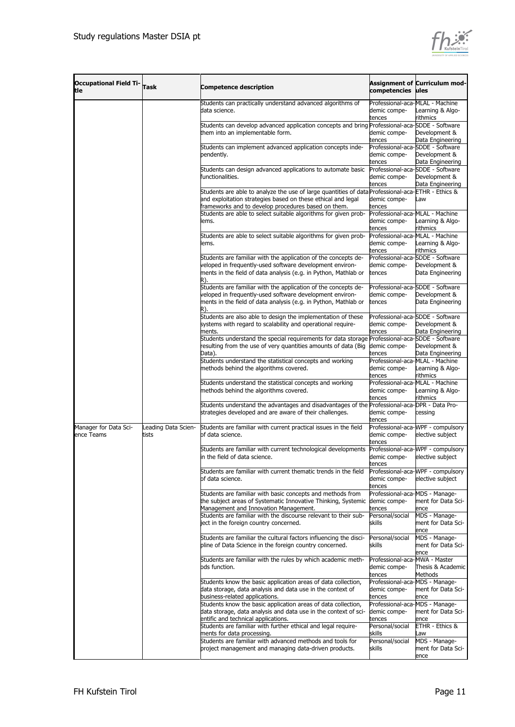

| <b>Occupational Field Ti-</b><br>tle | <b>Task</b>                  | <b>Competence description</b>                                                                                                                                                                                            | competencies ules                                         | <b>Assignment of Curriculum mod-</b>                                  |
|--------------------------------------|------------------------------|--------------------------------------------------------------------------------------------------------------------------------------------------------------------------------------------------------------------------|-----------------------------------------------------------|-----------------------------------------------------------------------|
|                                      |                              | Students can practically understand advanced algorithms of<br>data science.                                                                                                                                              | Professional-aca-MLAL - Machine<br>demic compe-           | Learning & Algo-                                                      |
|                                      |                              | Students can develop advanced application concepts and bring Professional-aca-SDDE - Software<br>them into an implementable form.                                                                                        | tences<br>demic compe-<br>tences                          | rithmics<br>Development &<br>Data Engineering                         |
|                                      |                              | Students can implement advanced application concepts inde-<br>pendently.                                                                                                                                                 | demic compe-<br>tences                                    | Professional-aca-SDDE - Software<br>Development &<br>Data Engineering |
|                                      |                              | Students can design advanced applications to automate basic<br>functionalities.                                                                                                                                          | demic compe-<br>tences                                    | Professional-aca-SDDE - Software<br>Development &<br>Data Engineering |
|                                      |                              | Students are able to analyze the use of large quantities of data Professional-aca-ETHR - Ethics &<br>and exploitation strategies based on these ethical and legal<br>frameworks and to develop procedures based on them. | demic compe-<br>tences                                    | Law                                                                   |
|                                      |                              | Students are able to select suitable algorithms for given prob-<br>lems.                                                                                                                                                 | Professional-aca-MLAL - Machine<br>demic compe-<br>tences | Learning & Algo-<br>rithmics                                          |
|                                      |                              | Students are able to select suitable algorithms for given prob-<br>ems.                                                                                                                                                  | Professional-aca-MLAL - Machine<br>demic compe-<br>tences | Learning & Algo-<br>rithmics                                          |
|                                      |                              | Students are familiar with the application of the concepts de-<br>veloped in frequently-used software development environ-<br>ments in the field of data analysis (e.g. in Python, Mathlab or<br>R).                     | demic compe-<br>tences                                    | Professional-aca-SDDE - Software<br>Development &<br>Data Engineering |
|                                      |                              | Students are familiar with the application of the concepts de-<br>veloped in frequently-used software development environ-<br>ments in the field of data analysis (e.g. in Python, Mathlab or<br>R).                     | demic compe-<br>tences                                    | Professional-aca-SDDE - Software<br>Development &<br>Data Engineering |
|                                      |                              | Students are also able to design the implementation of these<br>systems with regard to scalability and operational require-<br>ments.                                                                                    | demic compe-<br>tences                                    | Professional-aca-SDDE - Software<br>Development &<br>Data Engineering |
|                                      |                              | Students understand the special requirements for data storage Professional-aca-SDDE - Software<br>resulting from the use of very quantities amounts of data (Big<br>Data).                                               | demic compe-<br>tences<br>Professional-aca-MLAL - Machine | Development &<br>Data Engineering                                     |
|                                      |                              | Students understand the statistical concepts and working<br>methods behind the algorithms covered.                                                                                                                       | demic compe-<br>tences                                    | Learning & Algo-<br>rithmics                                          |
|                                      |                              | Students understand the statistical concepts and working<br>methods behind the algorithms covered.                                                                                                                       | Professional-aca-MLAL - Machine<br>demic compe-<br>tences | Learning & Algo-<br>rithmics                                          |
|                                      |                              | Students understand the advantages and disadvantages of the Professional-aca-DPR - Data Pro-<br>strategies developed and are aware of their challenges.                                                                  | demic compe-<br>tences                                    | cessing                                                               |
| Manager for Data Sci-<br>ence Teams  | Leading Data Scien-<br>tists | Students are familiar with current practical issues in the field<br>of data science.                                                                                                                                     | demic compe-<br>tences                                    | Professional-aca-WPF - compulsory<br>elective subject                 |
|                                      |                              | Students are familiar with current technological developments<br>in the field of data science.                                                                                                                           | demic compe-<br>tences                                    | Professional-aca-WPF - compulsory<br>elective subject                 |
|                                      |                              | Students are familiar with current thematic trends in the field<br>of data science.                                                                                                                                      | demic compe-<br>tences                                    | Professional-aca-WPF - compulsory<br>elective subject                 |
|                                      |                              | Students are familiar with basic concepts and methods from<br>the subject areas of Systematic Innovative Thinking, Systemic<br>Management and Innovation Management.                                                     | Professional-aca-MDS - Manage-<br>demic compe-<br>tences  | ment for Data Sci-<br>ence                                            |
|                                      |                              | Students are familiar with the discourse relevant to their sub-<br>ject in the foreign country concerned.                                                                                                                | Personal/social<br>skills                                 | MDS - Manage-<br>ment for Data Sci-<br>ence                           |
|                                      |                              | Students are familiar the cultural factors influencing the disci-<br>pline of Data Science in the foreign country concerned.                                                                                             | Personal/social<br>skills                                 | MDS - Manage-<br>ment for Data Sci-<br>ence                           |
|                                      |                              | Students are familiar with the rules by which academic meth-<br>ods function.                                                                                                                                            | Professional-aca-MWA - Master<br>demic compe-<br>tences   | Thesis & Academic<br>Methods                                          |
|                                      |                              | Students know the basic application areas of data collection,<br>data storage, data analysis and data use in the context of<br>business-related applications.                                                            | Professional-aca-MDS - Manage-<br>demic compe-<br>tences  | ment for Data Sci-<br>ence                                            |
|                                      |                              | Students know the basic application areas of data collection,<br>data storage, data analysis and data use in the context of sci-<br>entific and technical applications.                                                  | Professional-aca-MDS - Manage-<br>demic compe-<br>tences  | ment for Data Sci-<br>ence                                            |
|                                      |                              | Students are familiar with further ethical and legal require-<br>ments for data processing.<br>Students are familiar with advanced methods and tools for                                                                 | Personal/social<br>skills<br>Personal/social              | ETHR - Ethics &<br>Law<br>MDS - Manage-                               |
|                                      |                              | project management and managing data-driven products.                                                                                                                                                                    | skills                                                    | ment for Data Sci-<br>ence                                            |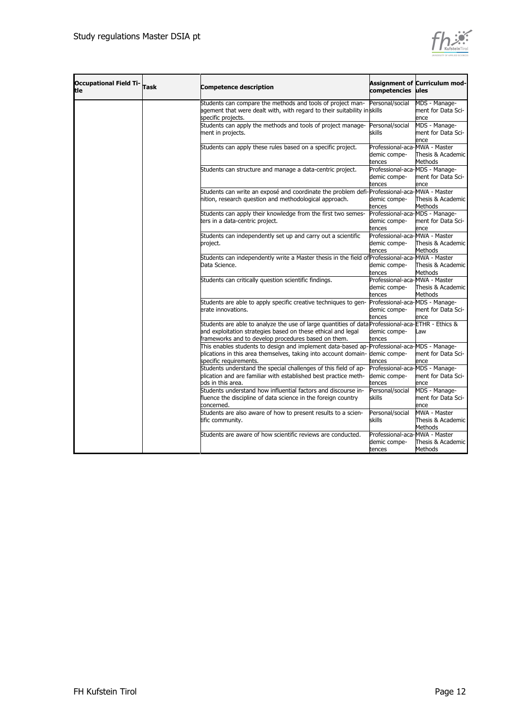

| <b>Occupational Field Ti-</b><br>tle | Task | <b>Competence description</b>                                                                     | competencies                             | <b>Assignment of Curriculum mod-</b><br>lules |
|--------------------------------------|------|---------------------------------------------------------------------------------------------------|------------------------------------------|-----------------------------------------------|
|                                      |      | Students can compare the methods and tools of project man-                                        | Personal/social                          | MDS - Manage-                                 |
|                                      |      | agement that were dealt with, with regard to their suitability in skills                          |                                          | ment for Data Sci-                            |
|                                      |      | specific projects.                                                                                |                                          | ence                                          |
|                                      |      | Students can apply the methods and tools of project manage-                                       | Personal/social                          | MDS - Manage-                                 |
|                                      |      | ment in projects.                                                                                 | skills                                   | ment for Data Sci-                            |
|                                      |      |                                                                                                   |                                          | ence                                          |
|                                      |      | Students can apply these rules based on a specific project.                                       | Professional-aca-MWA - Master            |                                               |
|                                      |      |                                                                                                   | demic compe-                             | Thesis & Academic                             |
|                                      |      |                                                                                                   | tences                                   | Methods                                       |
|                                      |      | Students can structure and manage a data-centric project.                                         | Professional-aca-MDS - Manage-           |                                               |
|                                      |      |                                                                                                   | demic compe-                             | ment for Data Sci-                            |
|                                      |      |                                                                                                   | tences                                   | ence                                          |
|                                      |      | Students can write an exposé and coordinate the problem defi-Professional-aca-MWA - Master        |                                          |                                               |
|                                      |      | nition, research question and methodological approach.                                            | demic compe-                             | Thesis & Academic                             |
|                                      |      |                                                                                                   | tences                                   | Methods                                       |
|                                      |      | Students can apply their knowledge from the first two semes-                                      | Professional-aca-MDS - Manage-           |                                               |
|                                      |      | ters in a data-centric project.                                                                   | demic compe-                             | ment for Data Sci-                            |
|                                      |      |                                                                                                   | tences                                   | ence                                          |
|                                      |      | Students can independently set up and carry out a scientific                                      | Professional-aca-MWA - Master            |                                               |
|                                      |      | project.                                                                                          | demic compe-                             | Thesis & Academic                             |
|                                      |      |                                                                                                   | tences                                   | Methods                                       |
|                                      |      | Students can independently write a Master thesis in the field of Professional-aca-MWA - Master    |                                          |                                               |
|                                      |      | Data Science.                                                                                     | demic compe-                             | Thesis & Academic                             |
|                                      |      |                                                                                                   | tences                                   | <b>Methods</b>                                |
|                                      |      | Students can critically question scientific findings.                                             | Professional-aca-MWA - Master            |                                               |
|                                      |      |                                                                                                   | demic compe-                             | Thesis & Academic                             |
|                                      |      | Students are able to apply specific creative techniques to gen-                                   | tences<br>Professional-aca-MDS - Manage- | Methods                                       |
|                                      |      | erate innovations.                                                                                | demic compe-                             | ment for Data Sci-                            |
|                                      |      |                                                                                                   | tences                                   | ence                                          |
|                                      |      | Students are able to analyze the use of large quantities of data Professional-aca-ETHR - Ethics & |                                          |                                               |
|                                      |      | and exploitation strategies based on these ethical and legal                                      | demic compe-                             | aw                                            |
|                                      |      | frameworks and to develop procedures based on them.                                               | tences                                   |                                               |
|                                      |      | This enables students to design and implement data-based ap-Professional-aca-MDS - Manage-        |                                          |                                               |
|                                      |      | plications in this area themselves, taking into account domain-                                   | demic compe-                             | ment for Data Sci-                            |
|                                      |      | specific requirements.                                                                            | tences                                   | ence                                          |
|                                      |      | Students understand the special challenges of this field of ap-                                   | Professional-aca-MDS - Manage-           |                                               |
|                                      |      | plication and are familiar with established best practice meth-                                   | demic compe-                             | ment for Data Sci-                            |
|                                      |      | ods in this area.                                                                                 | tences                                   | ence                                          |
|                                      |      | Students understand how influential factors and discourse in-                                     | Personal/social                          | MDS - Manage-                                 |
|                                      |      | fluence the discipline of data science in the foreign country                                     | skills                                   | ment for Data Sci-                            |
|                                      |      | concerned.                                                                                        |                                          | ence                                          |
|                                      |      | Students are also aware of how to present results to a scien-                                     | Personal/social                          | MWA - Master                                  |
|                                      |      | tific community.                                                                                  | skills                                   | Thesis & Academic                             |
|                                      |      |                                                                                                   |                                          | <b>Methods</b>                                |
|                                      |      | Students are aware of how scientific reviews are conducted.                                       | Professional-aca-MWA - Master            |                                               |
|                                      |      |                                                                                                   | demic compe-                             | Thesis & Academic                             |
|                                      |      |                                                                                                   | tences                                   | Methods                                       |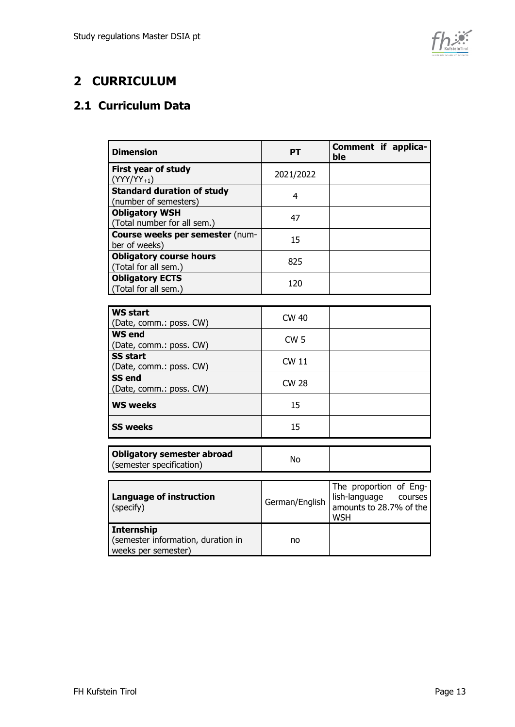

## <span id="page-12-0"></span>**2 CURRICULUM**

### <span id="page-12-1"></span>**2.1 Curriculum Data**

| <b>Dimension</b>                                                               | <b>PT</b>       | Comment if applica-<br>ble                                                               |
|--------------------------------------------------------------------------------|-----------------|------------------------------------------------------------------------------------------|
| First year of study<br>$(YYY/YY_{+1})$                                         | 2021/2022       |                                                                                          |
| <b>Standard duration of study</b><br>(number of semesters)                     | 4               |                                                                                          |
| <b>Obligatory WSH</b><br>(Total number for all sem.)                           | 47              |                                                                                          |
| Course weeks per semester (num-<br>ber of weeks)                               | 15              |                                                                                          |
| <b>Obligatory course hours</b><br>(Total for all sem.)                         | 825             |                                                                                          |
| <b>Obligatory ECTS</b><br>(Total for all sem.)                                 | 120             |                                                                                          |
|                                                                                |                 |                                                                                          |
| <b>WS start</b><br>(Date, comm.: poss. CW)                                     | <b>CW 40</b>    |                                                                                          |
| <b>WS end</b><br>(Date, comm.: poss. CW)                                       | CW <sub>5</sub> |                                                                                          |
| <b>SS start</b><br>(Date, comm.: poss. CW)                                     | <b>CW 11</b>    |                                                                                          |
| <b>SS end</b><br>(Date, comm.: poss. CW)                                       | <b>CW 28</b>    |                                                                                          |
| <b>WS weeks</b>                                                                | 15              |                                                                                          |
| <b>SS weeks</b>                                                                | 15              |                                                                                          |
| <b>Obligatory semester abroad</b><br>(semester specification)                  | <b>No</b>       |                                                                                          |
| <b>Language of instruction</b><br>(specify)                                    | German/English  | The proportion of Eng-<br>lish-language courses<br>amounts to 28.7% of the<br><b>WSH</b> |
| <b>Internship</b><br>(semester information, duration in<br>weeks per semester) | no              |                                                                                          |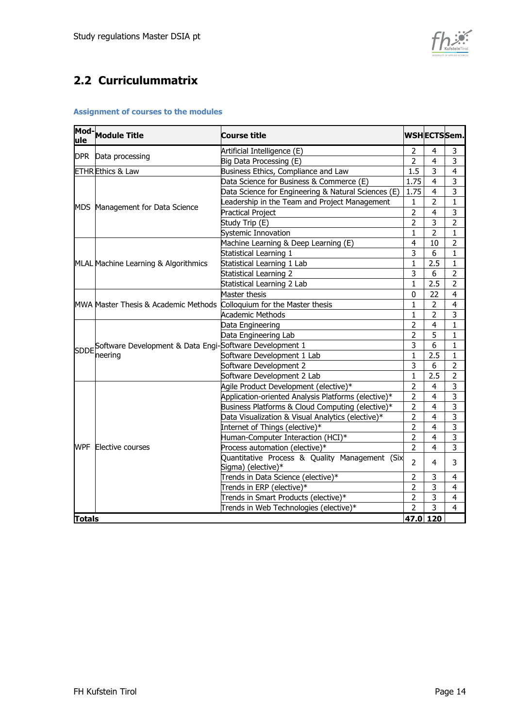

### <span id="page-13-0"></span>**2.2 Curriculummatrix**

#### **Assignment of courses to the modules**

|               | Mod-Module Title                                                        | <b>Course title</b>                                                  |                         | <b>WSHECTSSem.</b> |                         |
|---------------|-------------------------------------------------------------------------|----------------------------------------------------------------------|-------------------------|--------------------|-------------------------|
| <b>DPR</b>    | Data processing                                                         | Artificial Intelligence (E)                                          | $\overline{2}$          | 4                  | 3                       |
|               |                                                                         | Big Data Processing (E)                                              | $\overline{2}$          | $\overline{4}$     | $\overline{3}$          |
|               | <b>ETHR</b> Ethics & Law                                                | Business Ethics, Compliance and Law                                  | 1.5                     | 3                  | 4                       |
|               |                                                                         | Data Science for Business & Commerce (E)                             | 1.75                    | $\overline{4}$     | 3                       |
|               |                                                                         | Data Science for Engineering & Natural Sciences (E)                  | 1.75                    | $\overline{4}$     | $\overline{3}$          |
|               |                                                                         | eadership in the Team and Project Management                         | 1                       | $\overline{2}$     | 1                       |
|               | MDS Management for Data Science                                         | Practical Project                                                    | $\overline{2}$          | 4                  | 3                       |
|               |                                                                         | Study Trip (E)                                                       | $\overline{2}$          | 3                  | $\overline{2}$          |
|               |                                                                         | Systemic Innovation                                                  | 1                       | 2                  | 1                       |
|               |                                                                         | Machine Learning & Deep Learning (E)                                 | 4                       | 10                 | $\overline{2}$          |
|               |                                                                         | Statistical Learning 1                                               | $\overline{3}$          | 6                  | $\mathbf{1}$            |
|               | MLAL Machine Learning & Algorithmics                                    | Statistical Learning 1 Lab                                           | $\mathbf{1}$            | 2.5                | $\mathbf{1}$            |
|               |                                                                         | Statistical Learning 2                                               | 3                       | 6                  | $\overline{2}$          |
|               |                                                                         | Statistical Learning 2 Lab                                           | $\mathbf{1}$            | 2.5                | $\overline{2}$          |
|               |                                                                         | Master thesis                                                        | 0                       | 22                 | $\overline{4}$          |
|               | MWA Master Thesis & Academic Methods Colloquium for the Master thesis   |                                                                      | 1                       | $\overline{2}$     | $\overline{\mathbf{4}}$ |
|               |                                                                         | <b>Academic Methods</b>                                              | $\mathbf{1}$            | $\overline{2}$     | 3                       |
|               |                                                                         | Data Engineering                                                     | $\overline{2}$          | $\overline{4}$     | $\mathbf{1}$            |
|               |                                                                         | Data Engineering Lab                                                 | $\overline{2}$          | 5                  | 1                       |
|               | SDDE Software Development & Data Engi-Software Development 1<br>neering |                                                                      | 3                       | 6                  | 1                       |
|               |                                                                         | Software Development 1 Lab                                           | 1                       | 2.5                | 1                       |
|               |                                                                         | Software Development 2                                               | $\overline{\mathbf{3}}$ | 6                  | $\overline{2}$          |
|               |                                                                         | Software Development 2 Lab                                           | $\mathbf{1}$            | 2.5                | $\overline{2}$          |
|               |                                                                         | Agile Product Development (elective)*                                | $\overline{2}$          | $\overline{4}$     | 3                       |
|               |                                                                         | Application-oriented Analysis Platforms (elective)*                  | $\overline{2}$          | $\overline{4}$     | $\overline{\mathbf{3}}$ |
|               |                                                                         | Business Platforms & Cloud Computing (elective)*                     | $\overline{2}$          | $\overline{4}$     | 3                       |
|               |                                                                         | Data Visualization & Visual Analytics (elective)*                    | $\overline{2}$          | $\overline{4}$     | $\overline{\mathbf{3}}$ |
|               |                                                                         | Internet of Things (elective)*                                       | $\overline{2}$          | $\overline{4}$     | 3                       |
|               |                                                                         | Human-Computer Interaction (HCI)*                                    | $\overline{2}$          | $\overline{4}$     | $\overline{3}$          |
| <b>WPF</b>    | Elective courses                                                        | Process automation (elective)*                                       | $\overline{2}$          | $\overline{4}$     | 3                       |
|               |                                                                         | Quantitative Process & Quality Management (Six<br>Sigma) (elective)* |                         | 4                  | 3                       |
|               |                                                                         | Trends in Data Science (elective)*                                   | $\overline{2}$          | 3                  | 4                       |
|               |                                                                         | Trends in ERP (elective)*                                            | $\overline{2}$          | 3                  | 4                       |
|               |                                                                         | Trends in Smart Products (elective)*                                 | $\overline{2}$          | $\overline{3}$     | $\overline{4}$          |
|               |                                                                         | Trends in Web Technologies (elective)*                               | $\overline{2}$          | 3                  | $\overline{4}$          |
| <b>Totals</b> |                                                                         |                                                                      | 47.0 120                |                    |                         |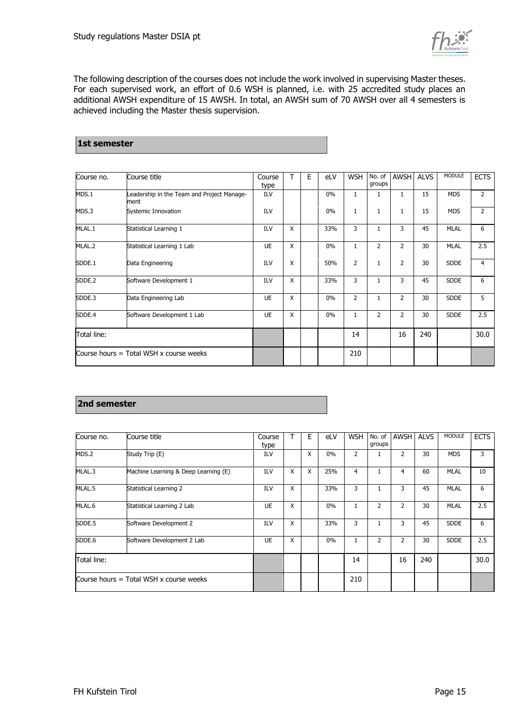

The following description of the courses does not include the work involved in supervising Master theses. For each supervised work, an effort of 0.6 WSH is planned, i.e. with 25 accredited study places an additional AWSH expenditure of 15 AWSH. In total, an AWSH sum of 70 AWSH over all 4 semesters is achieved including the Master thesis supervision.

#### **1st semester**

| Course no.  | Course title                                       | Course<br>type |   | Е | eLV   | <b>WSH</b>   | No. of<br>groups | <b>AWSH</b>    | <b>ALVS</b> | <b>MODULE</b> | <b>ECTS</b>    |
|-------------|----------------------------------------------------|----------------|---|---|-------|--------------|------------------|----------------|-------------|---------------|----------------|
| MDS.1       | Leadership in the Team and Project Manage-<br>ment | ILV            |   |   | $0\%$ | $\mathbf{1}$ | 1                | $\mathbf{1}$   | 15          | <b>MDS</b>    | $\overline{2}$ |
| MDS.3       | Systemic Innovation                                | <b>ILV</b>     |   |   | $0\%$ | $\mathbf{1}$ | $\mathbf{1}$     | $\mathbf{1}$   | 15          | <b>MDS</b>    | $\overline{2}$ |
| MLAL.1      | Statistical Learning 1                             | <b>ILV</b>     | X |   | 33%   | 3            | $\mathbf{1}$     | 3              | 45          | <b>MLAL</b>   | 6              |
| MLAL.2      | Statistical Learning 1 Lab                         | <b>UE</b>      | X |   | 0%    | 1            | 2                | $\overline{2}$ | 30          | <b>MLAL</b>   | 2.5            |
| SDDE.1      | Data Engineering                                   | ILV            | X |   | 50%   | 2            | $\mathbf{1}$     | $\overline{2}$ | 30          | <b>SDDE</b>   | 4              |
| SDDE.2      | Software Development 1                             | <b>ILV</b>     | X |   | 33%   | 3            | $\mathbf{1}$     | 3              | 45          | <b>SDDE</b>   | 6              |
| SDDE.3      | Data Engineering Lab                               | <b>UE</b>      | X |   | 0%    | 2            | $\mathbf{1}$     | $\overline{2}$ | 30          | <b>SDDE</b>   | 5              |
| SDDE.4      | Software Development 1 Lab                         | UE             | X |   | 0%    | 1            | $\overline{2}$   | $\overline{2}$ | 30          | <b>SDDE</b>   | 2.5            |
| Total line: |                                                    |                |   |   |       | 14           |                  | 16             | 240         |               | 30.0           |
|             | Course hours $=$ Total WSH x course weeks          |                |   |   |       | 210          |                  |                |             |               |                |

#### **2nd semester**

| Course no.                                | Course title                         | Course<br>type |   | E | eLV | <b>WSH</b> | No. of<br>groups | <b>AWSH</b>    | <b>ALVS</b> | <b>MODULE</b> | <b>ECTS</b> |
|-------------------------------------------|--------------------------------------|----------------|---|---|-----|------------|------------------|----------------|-------------|---------------|-------------|
| MDS.2                                     | Study Trip (E)                       | ILV            |   | X | 0%  | 2          |                  | 2              | 30          | <b>MDS</b>    | 3           |
| MLAL.3                                    | Machine Learning & Deep Learning (E) | <b>ILV</b>     | X | X | 25% | 4          | 1                | 4              | 60          | <b>MLAL</b>   | 10          |
| MLAL.5                                    | Statistical Learning 2               | ILV            | X |   | 33% | 3          | 1                | 3              | 45          | <b>MLAL</b>   | 6           |
| MLAL.6                                    | Statistical Learning 2 Lab           | UE             | X |   | 0%  |            | 2                | 2              | 30          | <b>MLAL</b>   | 2.5         |
| SDDE.5                                    | Software Development 2               | ILV            | X |   | 33% | 3          |                  | 3              | 45          | <b>SDDE</b>   | 6           |
| SDDE.6                                    | Software Development 2 Lab           | <b>UE</b>      | X |   | 0%  |            | $\overline{2}$   | $\overline{2}$ | 30          | <b>SDDE</b>   | 2.5         |
| Total line:                               |                                      |                |   |   |     | 14         |                  | 16             | 240         |               | 30.0        |
| Course hours $=$ Total WSH x course weeks |                                      |                |   |   |     | 210        |                  |                |             |               |             |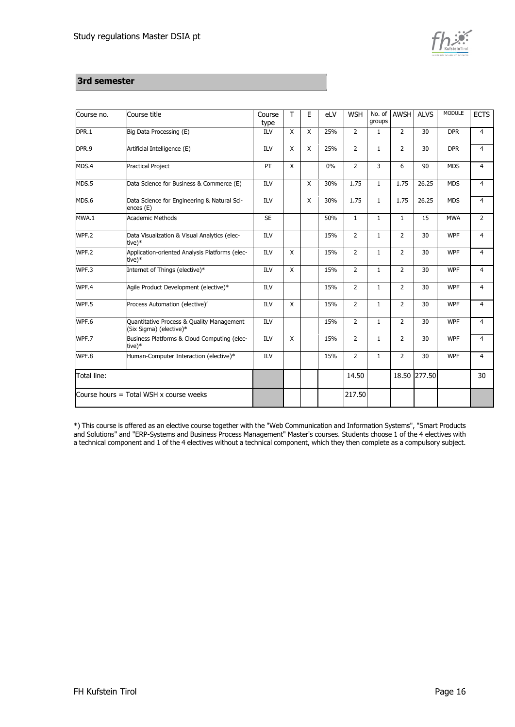

#### **3rd semester**

| Course no.                              | Course title                                                         | Course<br>type | $\mathsf{T}$ | Е            | eLV | <b>WSH</b>     | No. of<br>groups | <b>AWSH</b>    | <b>ALVS</b>  | <b>MODULE</b> | <b>ECTS</b>    |
|-----------------------------------------|----------------------------------------------------------------------|----------------|--------------|--------------|-----|----------------|------------------|----------------|--------------|---------------|----------------|
| DPR.1                                   | Big Data Processing (E)                                              | ILV            | X            | X            | 25% | $\overline{2}$ | $\mathbf{1}$     | $\overline{2}$ | 30           | <b>DPR</b>    | 4              |
| DPR.9                                   | Artificial Intelligence (E)                                          | <b>ILV</b>     | X            | X            | 25% | $\overline{2}$ | 1                | $\overline{2}$ | 30           | <b>DPR</b>    | $\overline{4}$ |
| MDS.4                                   | <b>Practical Project</b>                                             | PT             | $\mathsf{x}$ |              | 0%  | $\overline{2}$ | $\overline{3}$   | 6              | 90           | <b>MDS</b>    | $\overline{4}$ |
| MDS.5                                   | Data Science for Business & Commerce (E)                             | <b>ILV</b>     |              | X            | 30% | 1.75           | $\mathbf{1}$     | 1.75           | 26.25        | <b>MDS</b>    | $\overline{4}$ |
| MDS.6                                   | Data Science for Engineering & Natural Sci-<br>ences (E)             | <b>ILV</b>     |              | $\mathsf{X}$ | 30% | 1.75           | $\mathbf{1}$     | 1.75           | 26.25        | <b>MDS</b>    | $\overline{4}$ |
| MWA.1                                   | <b>Academic Methods</b>                                              | <b>SE</b>      |              |              | 50% | $\mathbf{1}$   | $\mathbf{1}$     | $\mathbf{1}$   | 15           | <b>MWA</b>    | $\overline{2}$ |
| WPF.2                                   | Data Visualization & Visual Analytics (elec-<br>tive)*               | ILV            |              |              | 15% | $\overline{2}$ | $\mathbf{1}$     | $\overline{2}$ | 30           | <b>WPF</b>    | $\overline{4}$ |
| WPF.2                                   | Application-oriented Analysis Platforms (elec-<br>tive)*             | ILV            | X            |              | 15% | $\overline{2}$ | $\mathbf{1}$     | $\overline{2}$ | 30           | <b>WPF</b>    | 4              |
| WPF.3                                   | Internet of Things (elective)*                                       | <b>ILV</b>     | $\mathsf{X}$ |              | 15% | $\overline{2}$ | $\mathbf{1}$     | $\overline{2}$ | 30           | <b>WPF</b>    | 4              |
| WPF.4                                   | Agile Product Development (elective)*                                | <b>ILV</b>     |              |              | 15% | $\overline{2}$ | $\mathbf{1}$     | $\overline{2}$ | 30           | <b>WPF</b>    | $\overline{4}$ |
| WPF.5                                   | Process Automation (elective)'                                       | ILV            | $\mathsf{X}$ |              | 15% | $\overline{2}$ | $\mathbf{1}$     | $\overline{2}$ | 30           | <b>WPF</b>    | $\overline{4}$ |
| WPF.6                                   | Quantitative Process & Quality Management<br>(Six Sigma) (elective)* | ILV            |              |              | 15% | $\overline{2}$ | $\mathbf{1}$     | $\overline{2}$ | 30           | <b>WPF</b>    | $\overline{4}$ |
| WPF.7                                   | Business Platforms & Cloud Computing (elec-<br>tive)*                | ILV            | X            |              | 15% | $\overline{2}$ | $\mathbf{1}$     | $\overline{2}$ | 30           | <b>WPF</b>    | $\overline{4}$ |
| WPF.8                                   | Human-Computer Interaction (elective)*                               | <b>ILV</b>     |              |              | 15% | 2              | $\mathbf{1}$     | $\overline{2}$ | 30           | <b>WPF</b>    | $\overline{4}$ |
| Total line:                             |                                                                      |                |              |              |     | 14.50          |                  |                | 18.50 277.50 |               | 30             |
| Course hours = Total WSH x course weeks |                                                                      |                |              |              |     | 217.50         |                  |                |              |               |                |

\*) This course is offered as an elective course together with the "Web Communication and Information Systems", "Smart Products and Solutions" and "ERP-Systems and Business Process Management" Master's courses. Students choose 1 of the 4 electives with a technical component and 1 of the 4 electives without a technical component, which they then complete as a compulsory subject.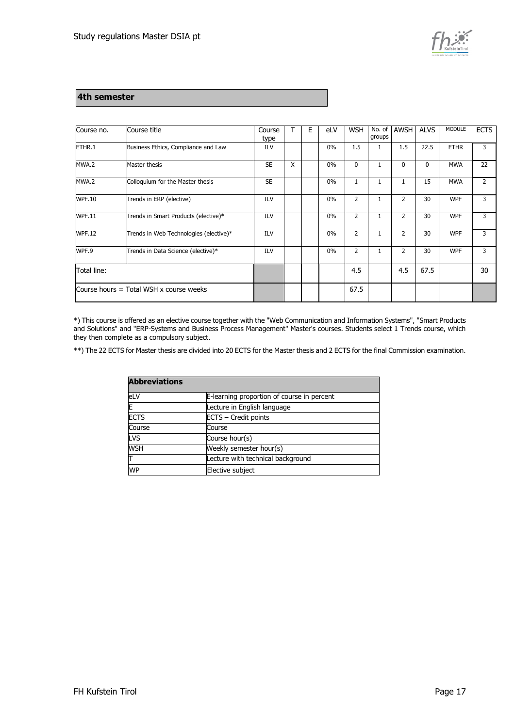

#### **4th semester**

| Course no.                                | Course title                           | Course<br>type |   | E | eLV | <b>WSH</b>     | No. of<br>groups | AWSH           | <b>ALVS</b>  | <b>MODULE</b> | <b>ECTS</b>    |
|-------------------------------------------|----------------------------------------|----------------|---|---|-----|----------------|------------------|----------------|--------------|---------------|----------------|
| ETHR.1                                    | Business Ethics, Compliance and Law    | ILV            |   |   | 0%  | 1.5            | 1                | 1.5            | 22.5         | <b>ETHR</b>   | 3              |
| MWA.2                                     | Master thesis                          | <b>SE</b>      | X |   | 0%  | 0              | $\mathbf{1}$     | 0              | $\mathbf{0}$ | <b>MWA</b>    | 22             |
| MWA.2                                     | Colloquium for the Master thesis       | <b>SE</b>      |   |   | 0%  | 1              | $\mathbf{1}$     | $\mathbf{1}$   | 15           | <b>MWA</b>    | $\overline{2}$ |
| <b>WPF.10</b>                             | Trends in ERP (elective)               | ILV            |   |   | 0%  | $\overline{2}$ | $\mathbf{1}$     | $\overline{2}$ | 30           | <b>WPF</b>    | 3              |
| <b>WPF.11</b>                             | Trends in Smart Products (elective)*   | ILV            |   |   | 0%  | $\overline{2}$ | 1                | $\overline{2}$ | 30           | <b>WPF</b>    | 3              |
| <b>WPF.12</b>                             | Trends in Web Technologies (elective)* | ILV            |   |   | 0%  | 2              | $\mathbf{1}$     | $\overline{2}$ | 30           | <b>WPF</b>    | 3              |
| WPF.9                                     | Trends in Data Science (elective)*     | ILV            |   |   | 0%  | 2              | $\mathbf{1}$     | $\overline{2}$ | 30           | <b>WPF</b>    | 3              |
| Total line:                               |                                        |                |   |   |     | 4.5            |                  | 4.5            | 67.5         |               | 30             |
| Course hours $=$ Total WSH x course weeks |                                        |                |   |   |     | 67.5           |                  |                |              |               |                |

\*) This course is offered as an elective course together with the "Web Communication and Information Systems", "Smart Products and Solutions" and "ERP-Systems and Business Process Management" Master's courses. Students select 1 Trends course, which they then complete as a compulsory subject.

\*\*) The 22 ECTS for Master thesis are divided into 20 ECTS for the Master thesis and 2 ECTS for the final Commission examination.

| <b>Abbreviations</b> |                                            |
|----------------------|--------------------------------------------|
| eLV                  | E-learning proportion of course in percent |
| E                    | Lecture in English language                |
| <b>ECTS</b>          | ECTS - Credit points                       |
| Course               | Course                                     |
| LVS                  | Course hour(s)                             |
| <b>WSH</b>           | Weekly semester hour(s)                    |
|                      | Lecture with technical background          |
| <b>WP</b>            | Elective subject                           |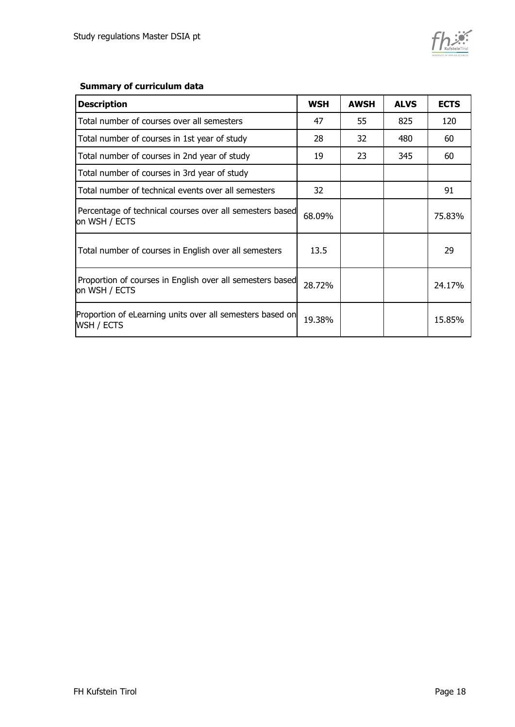

#### **Summary of curriculum data**

| <b>Description</b>                                                         | <b>WSH</b> | <b>AWSH</b> | <b>ALVS</b> | <b>ECTS</b> |
|----------------------------------------------------------------------------|------------|-------------|-------------|-------------|
| Total number of courses over all semesters                                 | 47         | 55          | 825         | 120         |
| Total number of courses in 1st year of study                               | 28         | 32          | 480         | 60          |
| Total number of courses in 2nd year of study                               | 19         | 23          | 345         | 60          |
| Total number of courses in 3rd year of study                               |            |             |             |             |
| Total number of technical events over all semesters                        | 32         |             |             | 91          |
| Percentage of technical courses over all semesters based<br>on WSH / ECTS  | 68.09%     |             |             | 75.83%      |
| Total number of courses in English over all semesters                      | 13.5       |             |             | 29          |
| Proportion of courses in English over all semesters based<br>on WSH / ECTS | 28.72%     |             |             | 24.17%      |
| Proportion of eLearning units over all semesters based on<br>WSH / ECTS    | 19.38%     |             |             | 15.85%      |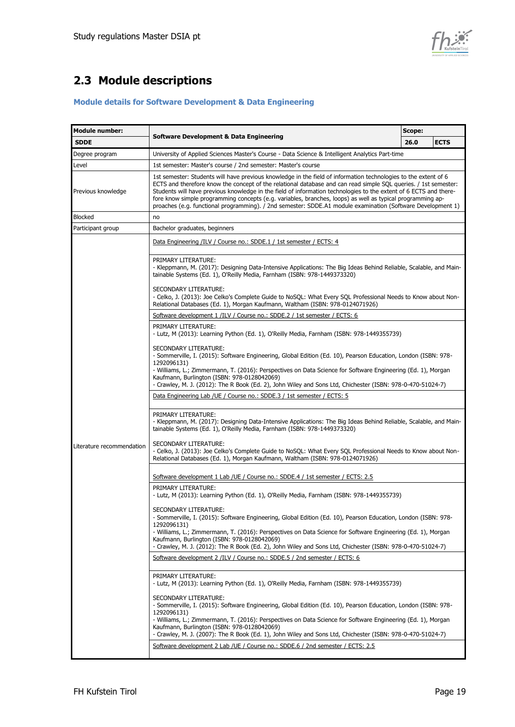

# <span id="page-18-0"></span>**2.3 Module descriptions**

#### **Module details for Software Development & Data Engineering**

| <b>Module number:</b>     |                                                                                                                                                                                                                                                                                                                                                                                                                                                                                                                                                                                      | Scope: |             |  |  |  |
|---------------------------|--------------------------------------------------------------------------------------------------------------------------------------------------------------------------------------------------------------------------------------------------------------------------------------------------------------------------------------------------------------------------------------------------------------------------------------------------------------------------------------------------------------------------------------------------------------------------------------|--------|-------------|--|--|--|
| <b>SDDE</b>               | <b>Software Development &amp; Data Engineering</b>                                                                                                                                                                                                                                                                                                                                                                                                                                                                                                                                   | 26.0   | <b>ECTS</b> |  |  |  |
| Degree program            | University of Applied Sciences Master's Course - Data Science & Intelligent Analytics Part-time                                                                                                                                                                                                                                                                                                                                                                                                                                                                                      |        |             |  |  |  |
| Level                     | 1st semester: Master's course / 2nd semester: Master's course                                                                                                                                                                                                                                                                                                                                                                                                                                                                                                                        |        |             |  |  |  |
| Previous knowledge        | 1st semester: Students will have previous knowledge in the field of information technologies to the extent of 6<br>ECTS and therefore know the concept of the relational database and can read simple SQL queries. / 1st semester:<br>Students will have previous knowledge in the field of information technologies to the extent of 6 ECTS and there-<br>fore know simple programming concepts (e.g. variables, branches, loops) as well as typical programming ap-<br>proaches (e.g. functional programming). / 2nd semester: SDDE.A1 module examination (Software Development 1) |        |             |  |  |  |
| <b>Blocked</b>            | no                                                                                                                                                                                                                                                                                                                                                                                                                                                                                                                                                                                   |        |             |  |  |  |
| Participant group         | Bachelor graduates, beginners                                                                                                                                                                                                                                                                                                                                                                                                                                                                                                                                                        |        |             |  |  |  |
|                           | Data Engineering /ILV / Course no.: SDDE.1 / 1st semester / ECTS: 4                                                                                                                                                                                                                                                                                                                                                                                                                                                                                                                  |        |             |  |  |  |
|                           | PRIMARY LITERATURE:<br>- Kleppmann, M. (2017): Designing Data-Intensive Applications: The Big Ideas Behind Reliable, Scalable, and Main-<br>tainable Systems (Ed. 1), O'Reilly Media, Farnham (ISBN: 978-1449373320)                                                                                                                                                                                                                                                                                                                                                                 |        |             |  |  |  |
|                           | SECONDARY LITERATURE:<br>- Celko, J. (2013): Joe Celko's Complete Guide to NoSQL: What Every SQL Professional Needs to Know about Non-<br>Relational Databases (Ed. 1), Morgan Kaufmann, Waltham (ISBN: 978-0124071926)                                                                                                                                                                                                                                                                                                                                                              |        |             |  |  |  |
|                           | Software development 1 /ILV / Course no.: SDDE.2 / 1st semester / ECTS: 6                                                                                                                                                                                                                                                                                                                                                                                                                                                                                                            |        |             |  |  |  |
|                           | PRIMARY LITERATURE:<br>- Lutz, M (2013): Learning Python (Ed. 1), O'Reilly Media, Farnham (ISBN: 978-1449355739)                                                                                                                                                                                                                                                                                                                                                                                                                                                                     |        |             |  |  |  |
|                           | SECONDARY LITERATURE:<br>- Sommerville, I. (2015): Software Engineering, Global Edition (Ed. 10), Pearson Education, London (ISBN: 978-<br>1292096131)                                                                                                                                                                                                                                                                                                                                                                                                                               |        |             |  |  |  |
|                           | - Williams, L.; Zimmermann, T. (2016): Perspectives on Data Science for Software Engineering (Ed. 1), Morgan<br>Kaufmann, Burlington (ISBN: 978-0128042069)<br>- Crawley, M. J. (2012): The R Book (Ed. 2), John Wiley and Sons Ltd, Chichester (ISBN: 978-0-470-51024-7)                                                                                                                                                                                                                                                                                                            |        |             |  |  |  |
|                           | Data Engineering Lab /UE / Course no.: SDDE.3 / 1st semester / ECTS: 5                                                                                                                                                                                                                                                                                                                                                                                                                                                                                                               |        |             |  |  |  |
|                           | PRIMARY LITERATURE:<br>- Kleppmann, M. (2017): Designing Data-Intensive Applications: The Big Ideas Behind Reliable, Scalable, and Main-<br>tainable Systems (Ed. 1), O'Reilly Media, Farnham (ISBN: 978-1449373320)                                                                                                                                                                                                                                                                                                                                                                 |        |             |  |  |  |
| Literature recommendation | SECONDARY LITERATURE:<br>- Celko, J. (2013): Joe Celko's Complete Guide to NoSQL: What Every SQL Professional Needs to Know about Non-<br>Relational Databases (Ed. 1), Morgan Kaufmann, Waltham (ISBN: 978-0124071926)                                                                                                                                                                                                                                                                                                                                                              |        |             |  |  |  |
|                           | Software development 1 Lab / UE / Course no.: SDDE.4 / 1st semester / ECTS: 2.5                                                                                                                                                                                                                                                                                                                                                                                                                                                                                                      |        |             |  |  |  |
|                           | PRIMARY LITERATURE:<br>- Lutz, M (2013): Learning Python (Ed. 1), O'Reilly Media, Farnham (ISBN: 978-1449355739)                                                                                                                                                                                                                                                                                                                                                                                                                                                                     |        |             |  |  |  |
|                           | SECONDARY LITERATURE:<br>- Sommerville, I. (2015): Software Engineering, Global Edition (Ed. 10), Pearson Education, London (ISBN: 978-<br>1292096131)                                                                                                                                                                                                                                                                                                                                                                                                                               |        |             |  |  |  |
|                           | - Williams, L.; Zimmermann, T. (2016): Perspectives on Data Science for Software Engineering (Ed. 1), Morgan<br>Kaufmann, Burlington (ISBN: 978-0128042069)<br>- Crawley, M. J. (2012): The R Book (Ed. 2), John Wiley and Sons Ltd, Chichester (ISBN: 978-0-470-51024-7)                                                                                                                                                                                                                                                                                                            |        |             |  |  |  |
|                           | Software development 2 /ILV / Course no.: SDDE.5 / 2nd semester / ECTS: 6                                                                                                                                                                                                                                                                                                                                                                                                                                                                                                            |        |             |  |  |  |
|                           | PRIMARY LITERATURE:<br>- Lutz, M (2013): Learning Python (Ed. 1), O'Reilly Media, Farnham (ISBN: 978-1449355739)                                                                                                                                                                                                                                                                                                                                                                                                                                                                     |        |             |  |  |  |
|                           | SECONDARY LITERATURE:<br>- Sommerville, I. (2015): Software Engineering, Global Edition (Ed. 10), Pearson Education, London (ISBN: 978-<br>1292096131)                                                                                                                                                                                                                                                                                                                                                                                                                               |        |             |  |  |  |
|                           | - Williams, L.; Zimmermann, T. (2016): Perspectives on Data Science for Software Engineering (Ed. 1), Morgan<br>Kaufmann, Burlington (ISBN: 978-0128042069)<br>- Crawley, M. J. (2007): The R Book (Ed. 1), John Wiley and Sons Ltd, Chichester (ISBN: 978-0-470-51024-7)                                                                                                                                                                                                                                                                                                            |        |             |  |  |  |
|                           | Software development 2 Lab / UE / Course no.: SDDE.6 / 2nd semester / ECTS: 2.5                                                                                                                                                                                                                                                                                                                                                                                                                                                                                                      |        |             |  |  |  |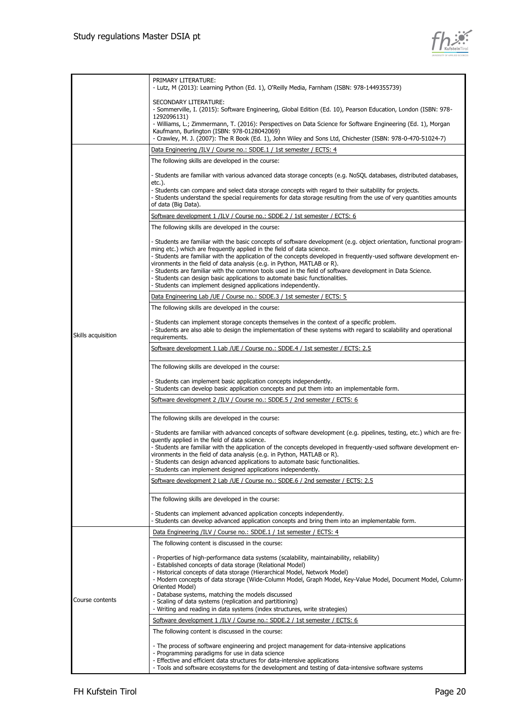

|                    | PRIMARY LITERATURE:<br>- Lutz, M (2013): Learning Python (Ed. 1), O'Reilly Media, Farnham (ISBN: 978-1449355739)                                                                                                                                                                                                                                                                                |
|--------------------|-------------------------------------------------------------------------------------------------------------------------------------------------------------------------------------------------------------------------------------------------------------------------------------------------------------------------------------------------------------------------------------------------|
|                    | SECONDARY LITERATURE:<br>- Sommerville, I. (2015): Software Engineering, Global Edition (Ed. 10), Pearson Education, London (ISBN: 978-                                                                                                                                                                                                                                                         |
|                    | 1292096131)<br>- Williams, L.; Zimmermann, T. (2016): Perspectives on Data Science for Software Engineering (Ed. 1), Morgan<br>Kaufmann, Burlington (ISBN: 978-0128042069)                                                                                                                                                                                                                      |
|                    | - Crawley, M. J. (2007): The R Book (Ed. 1), John Wiley and Sons Ltd, Chichester (ISBN: 978-0-470-51024-7)                                                                                                                                                                                                                                                                                      |
|                    | Data Engineering /ILV / Course no.: SDDE.1 / 1st semester / ECTS: 4                                                                                                                                                                                                                                                                                                                             |
|                    | The following skills are developed in the course:                                                                                                                                                                                                                                                                                                                                               |
|                    | - Students are familiar with various advanced data storage concepts (e.g. NoSQL databases, distributed databases,<br>etc.).                                                                                                                                                                                                                                                                     |
|                    | - Students can compare and select data storage concepts with regard to their suitability for projects.<br>- Students understand the special requirements for data storage resulting from the use of very quantities amounts<br>of data (Big Data).                                                                                                                                              |
|                    | Software development 1 /ILV / Course no.: SDDE.2 / 1st semester / ECTS: 6                                                                                                                                                                                                                                                                                                                       |
|                    | The following skills are developed in the course:                                                                                                                                                                                                                                                                                                                                               |
|                    | - Students are familiar with the basic concepts of software development (e.g. object orientation, functional program-<br>ming etc.) which are frequently applied in the field of data science.<br>- Students are familiar with the application of the concepts developed in frequently-used software development en-<br>vironments in the field of data analysis (e.g. in Python, MATLAB or R). |
|                    | - Students are familiar with the common tools used in the field of software development in Data Science.<br>- Students can design basic applications to automate basic functionalities.<br>- Students can implement designed applications independently.                                                                                                                                        |
|                    | Data Engineering Lab /UE / Course no.: SDDE.3 / 1st semester / ECTS: 5                                                                                                                                                                                                                                                                                                                          |
|                    | The following skills are developed in the course:                                                                                                                                                                                                                                                                                                                                               |
| Skills acquisition | - Students can implement storage concepts themselves in the context of a specific problem.<br>- Students are also able to design the implementation of these systems with regard to scalability and operational<br>requirements.                                                                                                                                                                |
|                    | Software development 1 Lab / UE / Course no.: SDDE.4 / 1st semester / ECTS: 2.5                                                                                                                                                                                                                                                                                                                 |
|                    | The following skills are developed in the course:                                                                                                                                                                                                                                                                                                                                               |
|                    | - Students can implement basic application concepts independently.<br>- Students can develop basic application concepts and put them into an implementable form.                                                                                                                                                                                                                                |
|                    | Software development 2 /ILV / Course no.: SDDE.5 / 2nd semester / ECTS: 6                                                                                                                                                                                                                                                                                                                       |
|                    | The following skills are developed in the course:                                                                                                                                                                                                                                                                                                                                               |
|                    | - Students are familiar with advanced concepts of software development (e.g. pipelines, testing, etc.) which are fre-<br>quently applied in the field of data science.                                                                                                                                                                                                                          |
|                    | - Students are familiar with the application of the concepts developed in frequently-used software development en-                                                                                                                                                                                                                                                                              |
|                    | vironments in the field of data analysis (e.g. in Python, MATLAB or R).<br>- Students can design advanced applications to automate basic functionalities.                                                                                                                                                                                                                                       |
|                    | - Students can implement designed applications independently.                                                                                                                                                                                                                                                                                                                                   |
|                    | Software development 2 Lab / UE / Course no.: SDDE.6 / 2nd semester / ECTS: 2.5                                                                                                                                                                                                                                                                                                                 |
|                    | The following skills are developed in the course:                                                                                                                                                                                                                                                                                                                                               |
|                    | - Students can implement advanced application concepts independently.<br>- Students can develop advanced application concepts and bring them into an implementable form.                                                                                                                                                                                                                        |
|                    | Data Engineering /ILV / Course no.: SDDE.1 / 1st semester / ECTS: 4                                                                                                                                                                                                                                                                                                                             |
|                    | The following content is discussed in the course:                                                                                                                                                                                                                                                                                                                                               |
|                    | - Properties of high-performance data systems (scalability, maintainability, reliability)                                                                                                                                                                                                                                                                                                       |
|                    | - Established concepts of data storage (Relational Model)<br>- Historical concepts of data storage (Hierarchical Model, Network Model)                                                                                                                                                                                                                                                          |
|                    | - Modern concepts of data storage (Wide-Column Model, Graph Model, Key-Value Model, Document Model, Column-                                                                                                                                                                                                                                                                                     |
|                    | Oriented Model)<br>- Database systems, matching the models discussed                                                                                                                                                                                                                                                                                                                            |
| Course contents    | - Scaling of data systems (replication and partitioning)                                                                                                                                                                                                                                                                                                                                        |
|                    | - Writing and reading in data systems (index structures, write strategies)<br>Software development 1 /ILV / Course no.: SDDE.2 / 1st semester / ECTS: 6                                                                                                                                                                                                                                         |
|                    | The following content is discussed in the course:                                                                                                                                                                                                                                                                                                                                               |
|                    |                                                                                                                                                                                                                                                                                                                                                                                                 |
|                    | - The process of software engineering and project management for data-intensive applications<br>- Programming paradigms for use in data science                                                                                                                                                                                                                                                 |
|                    | - Effective and efficient data structures for data-intensive applications                                                                                                                                                                                                                                                                                                                       |
|                    | - Tools and software ecosystems for the development and testing of data-intensive software systems                                                                                                                                                                                                                                                                                              |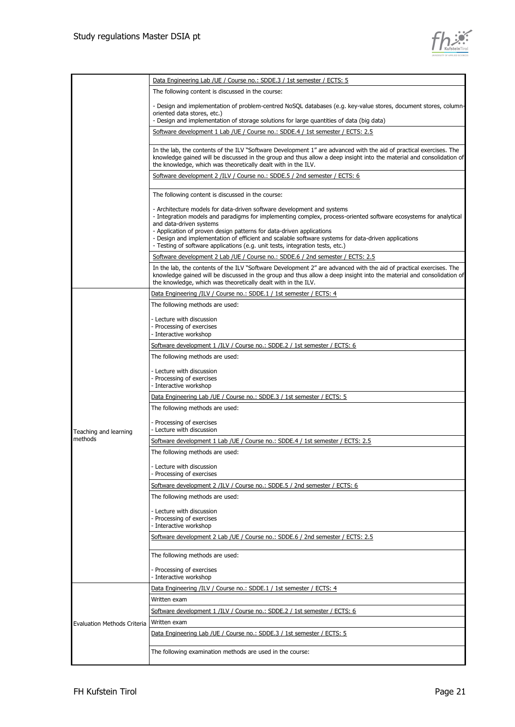

|                                    | Data Engineering Lab /UE / Course no.: SDDE.3 / 1st semester / ECTS: 5                                                                                                                                                                                                                                                                                                                                                                                                                |
|------------------------------------|---------------------------------------------------------------------------------------------------------------------------------------------------------------------------------------------------------------------------------------------------------------------------------------------------------------------------------------------------------------------------------------------------------------------------------------------------------------------------------------|
|                                    | The following content is discussed in the course:                                                                                                                                                                                                                                                                                                                                                                                                                                     |
|                                    | - Design and implementation of problem-centred NoSQL databases (e.g. key-value stores, document stores, column-<br>oriented data stores, etc.)<br>- Design and implementation of storage solutions for large quantities of data (big data)                                                                                                                                                                                                                                            |
|                                    | Software development 1 Lab / UE / Course no.: SDDE.4 / 1st semester / ECTS: 2.5                                                                                                                                                                                                                                                                                                                                                                                                       |
|                                    |                                                                                                                                                                                                                                                                                                                                                                                                                                                                                       |
|                                    | In the lab, the contents of the ILV "Software Development 1" are advanced with the aid of practical exercises. The<br>knowledge gained will be discussed in the group and thus allow a deep insight into the material and consolidation of<br>the knowledge, which was theoretically dealt with in the ILV.                                                                                                                                                                           |
|                                    | Software development 2 /ILV / Course no.: SDDE.5 / 2nd semester / ECTS: 6                                                                                                                                                                                                                                                                                                                                                                                                             |
|                                    | The following content is discussed in the course:                                                                                                                                                                                                                                                                                                                                                                                                                                     |
|                                    | - Architecture models for data-driven software development and systems<br>- Integration models and paradigms for implementing complex, process-oriented software ecosystems for analytical<br>and data-driven systems<br>- Application of proven design patterns for data-driven applications<br>- Design and implementation of efficient and scalable software systems for data-driven applications<br>- Testing of software applications (e.g. unit tests, integration tests, etc.) |
|                                    | Software development 2 Lab / UE / Course no.: SDDE.6 / 2nd semester / ECTS: 2.5                                                                                                                                                                                                                                                                                                                                                                                                       |
|                                    | In the lab, the contents of the ILV "Software Development 2" are advanced with the aid of practical exercises. The<br>knowledge gained will be discussed in the group and thus allow a deep insight into the material and consolidation of<br>the knowledge, which was theoretically dealt with in the ILV.                                                                                                                                                                           |
|                                    | Data Engineering /ILV / Course no.: SDDE.1 / 1st semester / ECTS: 4                                                                                                                                                                                                                                                                                                                                                                                                                   |
|                                    | The following methods are used:                                                                                                                                                                                                                                                                                                                                                                                                                                                       |
|                                    | - Lecture with discussion<br>- Processing of exercises<br>- Interactive workshop                                                                                                                                                                                                                                                                                                                                                                                                      |
|                                    | Software development 1 /ILV / Course no.: SDDE.2 / 1st semester / ECTS: 6                                                                                                                                                                                                                                                                                                                                                                                                             |
|                                    | The following methods are used:                                                                                                                                                                                                                                                                                                                                                                                                                                                       |
|                                    | - Lecture with discussion                                                                                                                                                                                                                                                                                                                                                                                                                                                             |
|                                    | Processing of exercises                                                                                                                                                                                                                                                                                                                                                                                                                                                               |
|                                    | - Interactive workshop                                                                                                                                                                                                                                                                                                                                                                                                                                                                |
|                                    | Data Engineering Lab / UE / Course no.: SDDE.3 / 1st semester / ECTS: 5                                                                                                                                                                                                                                                                                                                                                                                                               |
|                                    | The following methods are used:                                                                                                                                                                                                                                                                                                                                                                                                                                                       |
| Teaching and learning              | - Processing of exercises<br>- Lecture with discussion                                                                                                                                                                                                                                                                                                                                                                                                                                |
| methods                            | Software development 1 Lab /UE / Course no.: SDDE.4 / 1st semester / ECTS: 2.5                                                                                                                                                                                                                                                                                                                                                                                                        |
|                                    | The following methods are used:                                                                                                                                                                                                                                                                                                                                                                                                                                                       |
|                                    | - Lecture with discussion<br>Processing of exercises                                                                                                                                                                                                                                                                                                                                                                                                                                  |
|                                    | Software development 2 /ILV / Course no.: SDDE.5 / 2nd semester / ECTS: 6                                                                                                                                                                                                                                                                                                                                                                                                             |
|                                    | The following methods are used:                                                                                                                                                                                                                                                                                                                                                                                                                                                       |
|                                    | - Lecture with discussion<br>- Processing of exercises<br>- Interactive workshop                                                                                                                                                                                                                                                                                                                                                                                                      |
|                                    | Software development 2 Lab / UE / Course no.: SDDE.6 / 2nd semester / ECTS: 2.5                                                                                                                                                                                                                                                                                                                                                                                                       |
|                                    | The following methods are used:                                                                                                                                                                                                                                                                                                                                                                                                                                                       |
|                                    | - Processing of exercises<br>- Interactive workshop                                                                                                                                                                                                                                                                                                                                                                                                                                   |
|                                    | Data Engineering /ILV / Course no.: SDDE.1 / 1st semester / ECTS: 4                                                                                                                                                                                                                                                                                                                                                                                                                   |
|                                    | Written exam                                                                                                                                                                                                                                                                                                                                                                                                                                                                          |
|                                    | Software development 1 /ILV / Course no.: SDDE.2 / 1st semester / ECTS: 6                                                                                                                                                                                                                                                                                                                                                                                                             |
| <b>Evaluation Methods Criteria</b> | Written exam                                                                                                                                                                                                                                                                                                                                                                                                                                                                          |
|                                    | Data Engineering Lab / UE / Course no.: SDDE.3 / 1st semester / ECTS: 5                                                                                                                                                                                                                                                                                                                                                                                                               |
|                                    |                                                                                                                                                                                                                                                                                                                                                                                                                                                                                       |
|                                    | The following examination methods are used in the course:                                                                                                                                                                                                                                                                                                                                                                                                                             |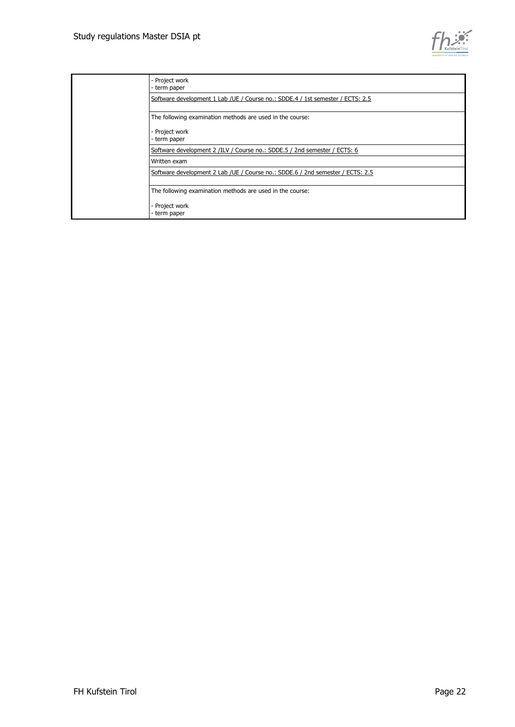

| - Project work<br>- term paper                                                  |
|---------------------------------------------------------------------------------|
| Software development 1 Lab / UE / Course no.: SDDE.4 / 1st semester / ECTS: 2.5 |
| The following examination methods are used in the course:                       |
| - Project work<br>- term paper                                                  |
| Software development 2 /ILV / Course no.: SDDE.5 / 2nd semester / ECTS: 6       |
| Written exam                                                                    |
| Software development 2 Lab / UE / Course no.: SDDE.6 / 2nd semester / ECTS: 2.5 |
| The following examination methods are used in the course:                       |
| - Project work<br>- term paper                                                  |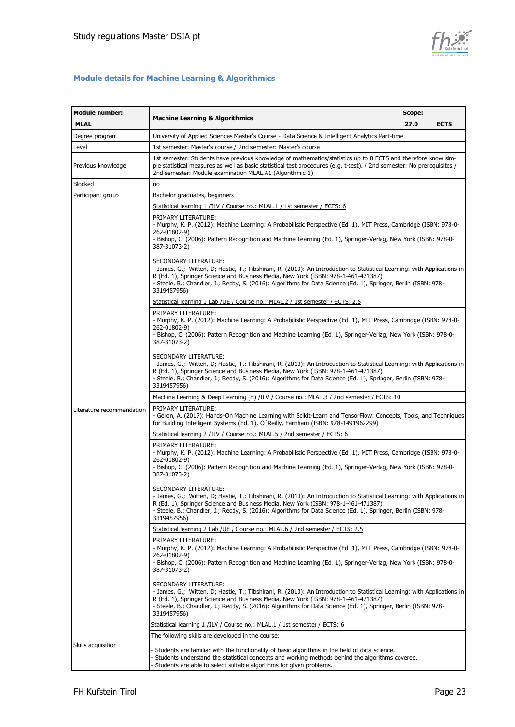

#### **Module details for Machine Learning & Algorithmics**

| <b>Module number:</b>     | Scope:<br><b>Machine Learning &amp; Algorithmics</b>                                                                                                                                                                                                                                                                                                                     |      |             |  |  |  |  |
|---------------------------|--------------------------------------------------------------------------------------------------------------------------------------------------------------------------------------------------------------------------------------------------------------------------------------------------------------------------------------------------------------------------|------|-------------|--|--|--|--|
| <b>MLAL</b>               |                                                                                                                                                                                                                                                                                                                                                                          | 27.0 | <b>ECTS</b> |  |  |  |  |
| Degree program            | University of Applied Sciences Master's Course - Data Science & Intelligent Analytics Part-time                                                                                                                                                                                                                                                                          |      |             |  |  |  |  |
| Level                     | 1st semester: Master's course / 2nd semester: Master's course                                                                                                                                                                                                                                                                                                            |      |             |  |  |  |  |
| Previous knowledge        | 1st semester: Students have previous knowledge of mathematics/statistics up to 8 ECTS and therefore know sim-<br>ple statistical measures as well as basic statistical test procedures (e.g. t-test). / 2nd semester: No prerequisites /<br>2nd semester: Module examination MLAL.A1 (Algorithmic 1)                                                                     |      |             |  |  |  |  |
| Blocked                   | no                                                                                                                                                                                                                                                                                                                                                                       |      |             |  |  |  |  |
| Participant group         | Bachelor graduates, beginners                                                                                                                                                                                                                                                                                                                                            |      |             |  |  |  |  |
|                           | Statistical learning 1 /ILV / Course no.: MLAL.1 / 1st semester / ECTS: 6                                                                                                                                                                                                                                                                                                |      |             |  |  |  |  |
|                           | PRIMARY LITERATURE:<br>- Murphy, K. P. (2012): Machine Learning: A Probabilistic Perspective (Ed. 1), MIT Press, Cambridge (ISBN: 978-0-<br>262-01802-9)<br>- Bishop, C. (2006): Pattern Recognition and Machine Learning (Ed. 1), Springer-Verlag, New York (ISBN: 978-0-<br>387-31073-2)                                                                               |      |             |  |  |  |  |
|                           | SECONDARY LITERATURE:<br>- James, G.; Witten, D; Hastie, T.; Tibshirani, R. (2013): An Introduction to Statistical Learning: with Applications in<br>R (Ed. 1), Springer Science and Business Media, New York (ISBN: 978-1-461-471387)<br>- Steele, B.; Chandler, J.; Reddy, S. (2016): Algorithms for Data Science (Ed. 1), Springer, Berlin (ISBN: 978-<br>3319457956) |      |             |  |  |  |  |
|                           | Statistical learning 1 Lab / UE / Course no.: MLAL.2 / 1st semester / ECTS: 2.5                                                                                                                                                                                                                                                                                          |      |             |  |  |  |  |
|                           | PRIMARY LITERATURE:<br>- Murphy, K. P. (2012): Machine Learning: A Probabilistic Perspective (Ed. 1), MIT Press, Cambridge (ISBN: 978-0-<br>262-01802-9)<br>- Bishop, C. (2006): Pattern Recognition and Machine Learning (Ed. 1), Springer-Verlag, New York (ISBN: 978-0-<br>387-31073-2)                                                                               |      |             |  |  |  |  |
|                           | SECONDARY LITERATURE:<br>- James, G.; Witten, D; Hastie, T.; Tibshirani, R. (2013): An Introduction to Statistical Learning: with Applications in<br>R (Ed. 1), Springer Science and Business Media, New York (ISBN: 978-1-461-471387)<br>- Steele, B.; Chandler, J.; Reddy, S. (2016): Algorithms for Data Science (Ed. 1), Springer, Berlin (ISBN: 978-<br>3319457956) |      |             |  |  |  |  |
|                           | Machine Learning & Deep Learning (E) /ILV / Course no.: MLAL.3 / 2nd semester / ECTS: 10                                                                                                                                                                                                                                                                                 |      |             |  |  |  |  |
| Literature recommendation | PRIMARY LITERATURE:<br>- Géron, A. (2017): Hands-On Machine Learning with Scikit-Learn and TensorFlow: Concepts, Tools, and Techniques<br>for Building Intelligent Systems (Ed. 1), O'Reilly, Farnham (ISBN: 978-1491962299)                                                                                                                                             |      |             |  |  |  |  |
|                           | Statistical learning 2 /ILV / Course no.: MLAL.5 / 2nd semester / ECTS: 6                                                                                                                                                                                                                                                                                                |      |             |  |  |  |  |
|                           | PRIMARY LITERATURE:<br>- Murphy, K. P. (2012): Machine Learning: A Probabilistic Perspective (Ed. 1), MIT Press, Cambridge (ISBN: 978-0-<br>262-01802-9)<br>- Bishop, C. (2006): Pattern Recognition and Machine Learning (Ed. 1), Springer-Verlag, New York (ISBN: 978-0-<br>387-31073-2)                                                                               |      |             |  |  |  |  |
|                           | SECONDARY LITERATURE:<br>- James, G.; Witten, D; Hastie, T.; Tibshirani, R. (2013): An Introduction to Statistical Learning: with Applications in<br>R (Ed. 1), Springer Science and Business Media, New York (ISBN: 978-1-461-471387)<br>- Steele, B.; Chandler, J.; Reddy, S. (2016): Algorithms for Data Science (Ed. 1), Springer, Berlin (ISBN: 978-<br>3319457956) |      |             |  |  |  |  |
|                           | Statistical learning 2 Lab / UE / Course no.: MLAL.6 / 2nd semester / ECTS: 2.5                                                                                                                                                                                                                                                                                          |      |             |  |  |  |  |
|                           | PRIMARY LITERATURE:<br>- Murphy, K. P. (2012): Machine Learning: A Probabilistic Perspective (Ed. 1), MIT Press, Cambridge (ISBN: 978-0-<br>262-01802-9)<br>- Bishop, C. (2006): Pattern Recognition and Machine Learning (Ed. 1), Springer-Verlag, New York (ISBN: 978-0-                                                                                               |      |             |  |  |  |  |
|                           | 387-31073-2)                                                                                                                                                                                                                                                                                                                                                             |      |             |  |  |  |  |
|                           | SECONDARY LITERATURE:<br>- James, G.; Witten, D; Hastie, T.; Tibshirani, R. (2013): An Introduction to Statistical Learning: with Applications in<br>R (Ed. 1), Springer Science and Business Media, New York (ISBN: 978-1-461-471387)<br>- Steele, B.; Chandler, J.; Reddy, S. (2016): Algorithms for Data Science (Ed. 1), Springer, Berlin (ISBN: 978-<br>3319457956) |      |             |  |  |  |  |
|                           | Statistical learning 1 /ILV / Course no.: MLAL.1 / 1st semester / ECTS: 6                                                                                                                                                                                                                                                                                                |      |             |  |  |  |  |
|                           | The following skills are developed in the course:                                                                                                                                                                                                                                                                                                                        |      |             |  |  |  |  |
| Skills acquisition        | - Students are familiar with the functionality of basic algorithms in the field of data science.<br>- Students understand the statistical concepts and working methods behind the algorithms covered.<br>- Students are able to select suitable algorithms for given problems.                                                                                           |      |             |  |  |  |  |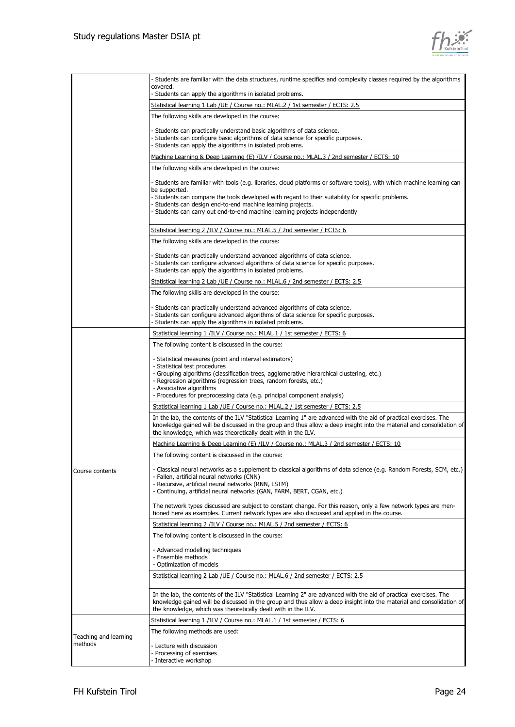

|                       | - Students are familiar with the data structures, runtime specifics and complexity classes required by the algorithms<br>covered.                                                                                                                                                                           |
|-----------------------|-------------------------------------------------------------------------------------------------------------------------------------------------------------------------------------------------------------------------------------------------------------------------------------------------------------|
|                       | - Students can apply the algorithms in isolated problems.                                                                                                                                                                                                                                                   |
|                       | Statistical learning 1 Lab / UE / Course no.: MLAL.2 / 1st semester / ECTS: 2.5<br>The following skills are developed in the course:                                                                                                                                                                        |
|                       |                                                                                                                                                                                                                                                                                                             |
|                       | - Students can practically understand basic algorithms of data science.<br>- Students can configure basic algorithms of data science for specific purposes.<br>- Students can apply the algorithms in isolated problems.                                                                                    |
|                       | Machine Learning & Deep Learning (E) /ILV / Course no.: MLAL.3 / 2nd semester / ECTS: 10                                                                                                                                                                                                                    |
|                       | The following skills are developed in the course:                                                                                                                                                                                                                                                           |
|                       | - Students are familiar with tools (e.g. libraries, cloud platforms or software tools), with which machine learning can<br>be supported.<br>- Students can compare the tools developed with regard to their suitability for specific problems.                                                              |
|                       | - Students can design end-to-end machine learning projects.<br>- Students can carry out end-to-end machine learning projects independently                                                                                                                                                                  |
|                       | Statistical learning 2 /ILV / Course no.: MLAL.5 / 2nd semester / ECTS: 6                                                                                                                                                                                                                                   |
|                       | The following skills are developed in the course:                                                                                                                                                                                                                                                           |
|                       | - Students can practically understand advanced algorithms of data science.<br>- Students can configure advanced algorithms of data science for specific purposes.<br>- Students can apply the algorithms in isolated problems.                                                                              |
|                       | Statistical learning 2 Lab / UE / Course no.: MLAL.6 / 2nd semester / ECTS: 2.5                                                                                                                                                                                                                             |
|                       | The following skills are developed in the course:                                                                                                                                                                                                                                                           |
|                       | - Students can practically understand advanced algorithms of data science.<br>- Students can configure advanced algorithms of data science for specific purposes.                                                                                                                                           |
|                       | - Students can apply the algorithms in isolated problems.<br>Statistical learning 1 /ILV / Course no.: MLAL.1 / 1st semester / ECTS: 6                                                                                                                                                                      |
|                       | The following content is discussed in the course:                                                                                                                                                                                                                                                           |
|                       |                                                                                                                                                                                                                                                                                                             |
|                       | - Statistical measures (point and interval estimators)<br>- Statistical test procedures                                                                                                                                                                                                                     |
|                       | - Grouping algorithms (classification trees, agglomerative hierarchical clustering, etc.)<br>- Regression algorithms (regression trees, random forests, etc.)                                                                                                                                               |
|                       | - Associative algorithms                                                                                                                                                                                                                                                                                    |
|                       | - Procedures for preprocessing data (e.g. principal component analysis)                                                                                                                                                                                                                                     |
|                       | Statistical learning 1 Lab / UE / Course no.: MLAL.2 / 1st semester / ECTS: 2.5                                                                                                                                                                                                                             |
|                       | In the lab, the contents of the ILV "Statistical Learning 1" are advanced with the aid of practical exercises. The<br>knowledge gained will be discussed in the group and thus allow a deep insight into the material and consolidation of<br>the knowledge, which was theoretically dealt with in the ILV. |
|                       | Machine Learning & Deep Learning (E) /ILV / Course no.: MLAL.3 / 2nd semester / ECTS: 10                                                                                                                                                                                                                    |
|                       | The following content is discussed in the course:                                                                                                                                                                                                                                                           |
| Course contents       | - Classical neural networks as a supplement to classical algorithms of data science (e.g. Random Forests, SCM, etc.)<br>- Fallen, artificial neural networks (CNN)<br>- Recursive, artificial neural networks (RNN, LSTM)                                                                                   |
|                       | - Continuing, artificial neural networks (GAN, FARM, BERT, CGAN, etc.)                                                                                                                                                                                                                                      |
|                       | The network types discussed are subject to constant change. For this reason, only a few network types are men-<br>tioned here as examples. Current network types are also discussed and applied in the course.                                                                                              |
|                       | Statistical learning 2 /ILV / Course no.: MLAL.5 / 2nd semester / ECTS: 6                                                                                                                                                                                                                                   |
|                       | The following content is discussed in the course:                                                                                                                                                                                                                                                           |
|                       | - Advanced modelling techniques<br>- Ensemble methods<br>- Optimization of models                                                                                                                                                                                                                           |
|                       | Statistical learning 2 Lab / UE / Course no.: MLAL.6 / 2nd semester / ECTS: 2.5                                                                                                                                                                                                                             |
|                       |                                                                                                                                                                                                                                                                                                             |
|                       | In the lab, the contents of the ILV "Statistical Learning 2" are advanced with the aid of practical exercises. The<br>knowledge gained will be discussed in the group and thus allow a deep insight into the material and consolidation of<br>the knowledge, which was theoretically dealt with in the ILV. |
|                       | Statistical learning 1 /ILV / Course no.: MLAL.1 / 1st semester / ECTS: 6                                                                                                                                                                                                                                   |
| Teaching and learning | The following methods are used:                                                                                                                                                                                                                                                                             |
| methods               | - Lecture with discussion<br>- Processing of exercises<br>- Interactive workshop                                                                                                                                                                                                                            |
|                       |                                                                                                                                                                                                                                                                                                             |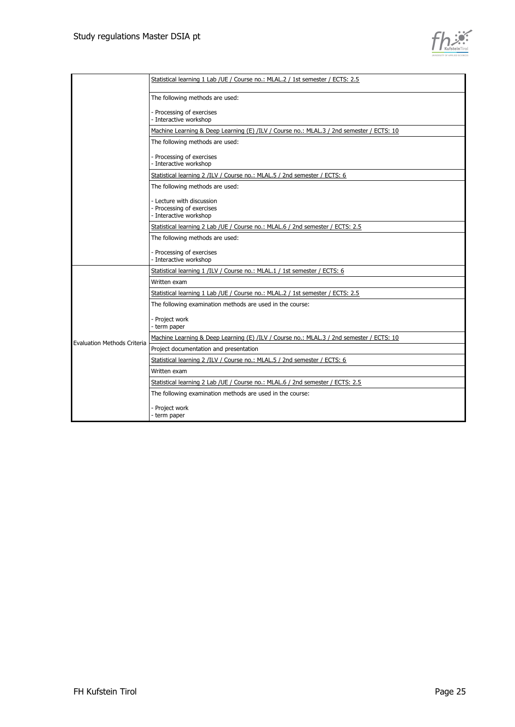

|                                    | Statistical learning 1 Lab / UE / Course no.: MLAL.2 / 1st semester / ECTS: 2.5          |
|------------------------------------|------------------------------------------------------------------------------------------|
|                                    | The following methods are used:                                                          |
|                                    | - Processing of exercises<br>- Interactive workshop                                      |
|                                    | Machine Learning & Deep Learning (E) /ILV / Course no.: MLAL.3 / 2nd semester / ECTS: 10 |
|                                    | The following methods are used:                                                          |
|                                    | - Processing of exercises<br>- Interactive workshop                                      |
|                                    | Statistical learning 2 /ILV / Course no.: MLAL.5 / 2nd semester / ECTS: 6                |
|                                    | The following methods are used:                                                          |
|                                    | - Lecture with discussion<br>- Processing of exercises<br>- Interactive workshop         |
|                                    | Statistical learning 2 Lab / UE / Course no.: MLAL.6 / 2nd semester / ECTS: 2.5          |
|                                    | The following methods are used:                                                          |
|                                    | - Processing of exercises<br>- Interactive workshop                                      |
|                                    | Statistical learning 1 /ILV / Course no.: MLAL.1 / 1st semester / ECTS: 6                |
|                                    | Written exam                                                                             |
|                                    | Statistical learning 1 Lab / UE / Course no.: MLAL.2 / 1st semester / ECTS: 2.5          |
|                                    | The following examination methods are used in the course:                                |
|                                    | - Project work<br>- term paper                                                           |
| <b>Evaluation Methods Criteria</b> | Machine Learning & Deep Learning (E) /ILV / Course no.: MLAL.3 / 2nd semester / ECTS: 10 |
|                                    | Project documentation and presentation                                                   |
|                                    | Statistical learning 2 /ILV / Course no.: MLAL.5 / 2nd semester / ECTS: 6                |
|                                    | Written exam                                                                             |
|                                    | Statistical learning 2 Lab /UE / Course no.: MLAL.6 / 2nd semester / ECTS: 2.5           |
|                                    | The following examination methods are used in the course:                                |
|                                    | - Project work<br>- term paper                                                           |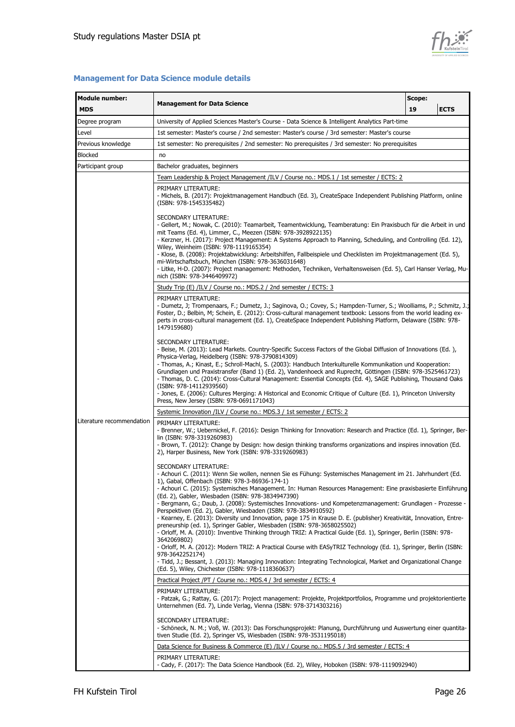

| <b>Module number:</b>     | Scope:<br><b>Management for Data Science</b>                                                                                                                                                                                                                                                                                                                                                                                                                                                                                                                                                                                                                                                                                                                                                                                                                                      |    |             |  |  |  |  |
|---------------------------|-----------------------------------------------------------------------------------------------------------------------------------------------------------------------------------------------------------------------------------------------------------------------------------------------------------------------------------------------------------------------------------------------------------------------------------------------------------------------------------------------------------------------------------------------------------------------------------------------------------------------------------------------------------------------------------------------------------------------------------------------------------------------------------------------------------------------------------------------------------------------------------|----|-------------|--|--|--|--|
| <b>MDS</b>                |                                                                                                                                                                                                                                                                                                                                                                                                                                                                                                                                                                                                                                                                                                                                                                                                                                                                                   | 19 | <b>ECTS</b> |  |  |  |  |
| Degree program            | University of Applied Sciences Master's Course - Data Science & Intelligent Analytics Part-time                                                                                                                                                                                                                                                                                                                                                                                                                                                                                                                                                                                                                                                                                                                                                                                   |    |             |  |  |  |  |
| Level                     | 1st semester: Master's course / 2nd semester: Master's course / 3rd semester: Master's course                                                                                                                                                                                                                                                                                                                                                                                                                                                                                                                                                                                                                                                                                                                                                                                     |    |             |  |  |  |  |
| Previous knowledge        | 1st semester: No prerequisites / 2nd semester: No prerequisites / 3rd semester: No prerequisites                                                                                                                                                                                                                                                                                                                                                                                                                                                                                                                                                                                                                                                                                                                                                                                  |    |             |  |  |  |  |
| <b>Blocked</b>            | no                                                                                                                                                                                                                                                                                                                                                                                                                                                                                                                                                                                                                                                                                                                                                                                                                                                                                |    |             |  |  |  |  |
| Participant group         | Bachelor graduates, beginners                                                                                                                                                                                                                                                                                                                                                                                                                                                                                                                                                                                                                                                                                                                                                                                                                                                     |    |             |  |  |  |  |
|                           | <u>Team Leadership &amp; Project Management /ILV / Course no.: MDS.1 / 1st semester / ECTS: 2</u>                                                                                                                                                                                                                                                                                                                                                                                                                                                                                                                                                                                                                                                                                                                                                                                 |    |             |  |  |  |  |
|                           | PRIMARY LITERATURE:<br>- Michels, B. (2017): Projektmanagement Handbuch (Ed. 3), CreateSpace Independent Publishing Platform, online<br>(ISBN: 978-1545335482)                                                                                                                                                                                                                                                                                                                                                                                                                                                                                                                                                                                                                                                                                                                    |    |             |  |  |  |  |
|                           | SECONDARY LITERATURE:<br>- Gellert, M.; Nowak, C. (2010): Teamarbeit, Teamentwicklung, Teamberatung: Ein Praxisbuch für die Arbeit in und<br>mit Teams (Ed. 4), Limmer, C., Meezen (ISBN: 978-3928922135)<br>- Kerzner, H. (2017): Project Management: A Systems Approach to Planning, Scheduling, and Controlling (Ed. 12),<br>Wiley, Weinheim (ISBN: 978-1119165354)<br>- Klose, B. (2008): Projektabwicklung: Arbeitshilfen, Fallbeispiele und Checklisten im Projektmanagement (Ed. 5),<br>mi-Wirtschaftsbuch, München (ISBN: 978-3636031648)<br>- Litke, H-D. (2007): Project management: Methoden, Techniken, Verhaltensweisen (Ed. 5), Carl Hanser Verlag, Mu-<br>nich (ISBN: 978-3446409972)                                                                                                                                                                              |    |             |  |  |  |  |
|                           | Study Trip (E) /ILV / Course no.: MDS.2 / 2nd semester / ECTS: 3                                                                                                                                                                                                                                                                                                                                                                                                                                                                                                                                                                                                                                                                                                                                                                                                                  |    |             |  |  |  |  |
|                           | PRIMARY LITERATURE:<br>- Dumetz, J; Trompenaars, F.; Dumetz, J.; Saginova, O.; Covey, S.; Hampden-Turner, S.; Woolliams, P.; Schmitz, J.;<br>Foster, D.; Belbin, M; Schein, E. (2012): Cross-cultural management textbook: Lessons from the world leading ex-<br>perts in cross-cultural management (Ed. 1), CreateSpace Independent Publishing Platform, Delaware (ISBN: 978-<br>1479159680)                                                                                                                                                                                                                                                                                                                                                                                                                                                                                     |    |             |  |  |  |  |
|                           | SECONDARY LITERATURE:<br>- Beise, M. (2013): Lead Markets. Country-Specific Success Factors of the Global Diffusion of Innovations (Ed.),<br>Physica-Verlag, Heidelberg (ISBN: 978-3790814309)<br>- Thomas, A.; Kinast, E.; Schroll-Machl, S. (2003): Handbuch Interkulturelle Kommunikation und Kooperation:<br>Grundlagen und Praxistransfer (Band 1) (Ed. 2), Vandenhoeck and Ruprecht, Göttingen (ISBN: 978-3525461723)<br>- Thomas, D. C. (2014): Cross-Cultural Management: Essential Concepts (Ed. 4), SAGE Publishing, Thousand Oaks<br>(ISBN: 978-14112939560)<br>- Jones, E. (2006): Cultures Merging: A Historical and Economic Critique of Culture (Ed. 1), Princeton University<br>Press, New Jersey (ISBN: 978-0691171043)                                                                                                                                          |    |             |  |  |  |  |
|                           | Systemic Innovation /ILV / Course no.: MDS.3 / 1st semester / ECTS: 2                                                                                                                                                                                                                                                                                                                                                                                                                                                                                                                                                                                                                                                                                                                                                                                                             |    |             |  |  |  |  |
| Literature recommendation | PRIMARY LITERATURE:<br>- Brenner, W.; Uebernickel, F. (2016): Design Thinking for Innovation: Research and Practice (Ed. 1), Springer, Ber-<br>lin (ISBN: 978-3319260983)<br>- Brown, T. (2012): Change by Design: how design thinking transforms organizations and inspires innovation (Ed.<br>2), Harper Business, New York (ISBN: 978-3319260983)                                                                                                                                                                                                                                                                                                                                                                                                                                                                                                                              |    |             |  |  |  |  |
|                           | SECONDARY LITERATURE:<br>- Achouri C. (2011): Wenn Sie wollen, nennen Sie es Fühung: Systemisches Management im 21. Jahrhundert (Ed.<br>1), Gabal, Offenbach (ISBN: 978-3-86936-174-1)<br>- Achouri C. (2015): Systemisches Management. In: Human Resources Management: Eine praxisbasierte Einführung<br>(Ed. 2), Gabler, Wiesbaden (ISBN: 978-3834947390)<br>- Bergmann, G.; Daub, J. (2008): Systemisches Innovations- und Kompetenzmanagement: Grundlagen - Prozesse -<br>Perspektiven (Ed. 2), Gabler, Wiesbaden (ISBN: 978-3834910592)<br>- Kearney, E. (2013): Diversity und Innovation, page 175 in Krause D. E. (publisher) Kreativität, Innovation, Entre-<br>preneurship (ed. 1), Springer Gabler, Wiesbaden (ISBN: 978-3658025502)<br>- Orloff, M. A. (2010): Inventive Thinking through TRIZ: A Practical Guide (Ed. 1), Springer, Berlin (ISBN: 978-<br>3642069802) |    |             |  |  |  |  |
|                           | - Orloff, M. A. (2012): Modern TRIZ: A Practical Course with EASyTRIZ Technology (Ed. 1), Springer, Berlin (ISBN:<br>978-3642252174)<br>- Tidd, J.; Bessant, J. (2013): Managing Innovation: Integrating Technological, Market and Organizational Change<br>(Ed. 5), Wiley, Chichester (ISBN: 978-1118360637)                                                                                                                                                                                                                                                                                                                                                                                                                                                                                                                                                                     |    |             |  |  |  |  |
|                           | Practical Project /PT / Course no.: MDS.4 / 3rd semester / ECTS: 4                                                                                                                                                                                                                                                                                                                                                                                                                                                                                                                                                                                                                                                                                                                                                                                                                |    |             |  |  |  |  |
|                           | PRIMARY LITERATURE:<br>- Patzak, G.; Rattay, G. (2017): Project management: Projekte, Projektportfolios, Programme und projektorientierte<br>Unternehmen (Ed. 7), Linde Verlag, Vienna (ISBN: 978-3714303216)                                                                                                                                                                                                                                                                                                                                                                                                                                                                                                                                                                                                                                                                     |    |             |  |  |  |  |
|                           | SECONDARY LITERATURE:<br>- Schöneck, N. M.; Voß, W. (2013): Das Forschungsprojekt: Planung, Durchführung und Auswertung einer quantita-<br>tiven Studie (Ed. 2), Springer VS, Wiesbaden (ISBN: 978-3531195018)                                                                                                                                                                                                                                                                                                                                                                                                                                                                                                                                                                                                                                                                    |    |             |  |  |  |  |
|                           | Data Science for Business & Commerce (E) /ILV / Course no.: MDS.5 / 3rd semester / ECTS: 4                                                                                                                                                                                                                                                                                                                                                                                                                                                                                                                                                                                                                                                                                                                                                                                        |    |             |  |  |  |  |
|                           | PRIMARY LITERATURE:<br>- Cady, F. (2017): The Data Science Handbook (Ed. 2), Wiley, Hoboken (ISBN: 978-1119092940)                                                                                                                                                                                                                                                                                                                                                                                                                                                                                                                                                                                                                                                                                                                                                                |    |             |  |  |  |  |

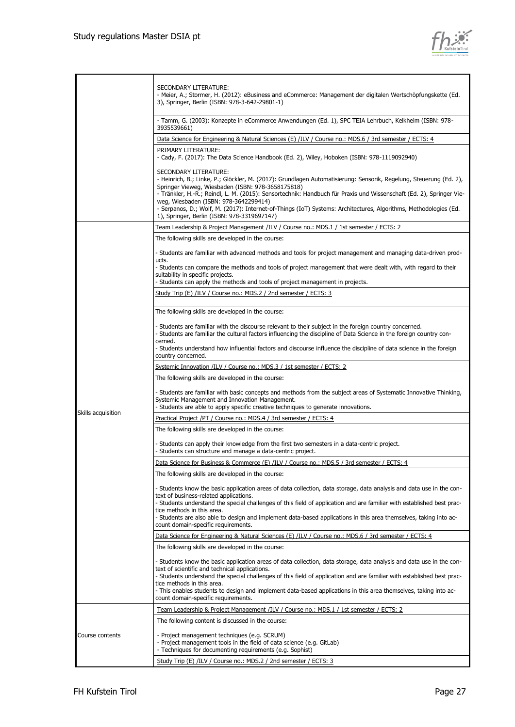

|                    | SECONDARY LITERATURE:<br>- Meier, A.; Stormer, H. (2012): eBusiness and eCommerce: Management der digitalen Wertschöpfungskette (Ed.<br>3), Springer, Berlin (ISBN: 978-3-642-29801-1)                                                                                                                                                                                                                                                                                               |
|--------------------|--------------------------------------------------------------------------------------------------------------------------------------------------------------------------------------------------------------------------------------------------------------------------------------------------------------------------------------------------------------------------------------------------------------------------------------------------------------------------------------|
|                    | - Tamm, G. (2003): Konzepte in eCommerce Anwendungen (Ed. 1), SPC TEIA Lehrbuch, Kelkheim (ISBN: 978-<br>3935539661)                                                                                                                                                                                                                                                                                                                                                                 |
|                    | Data Science for Engineering & Natural Sciences (E) /ILV / Course no.: MDS.6 / 3rd semester / ECTS: 4                                                                                                                                                                                                                                                                                                                                                                                |
|                    | PRIMARY LITERATURE:                                                                                                                                                                                                                                                                                                                                                                                                                                                                  |
|                    | - Cady, F. (2017): The Data Science Handbook (Ed. 2), Wiley, Hoboken (ISBN: 978-1119092940)                                                                                                                                                                                                                                                                                                                                                                                          |
|                    | SECONDARY LITERATURE:<br>- Heinrich, B.; Linke, P.; Glöckler, M. (2017): Grundlagen Automatisierung: Sensorik, Regelung, Steuerung (Ed. 2),<br>Springer Vieweg, Wiesbaden (ISBN: 978-3658175818)<br>- Tränkler, H.-R.; Reindl, L. M. (2015): Sensortechnik: Handbuch für Praxis und Wissenschaft (Ed. 2), Springer Vie-<br>weg, Wiesbaden (ISBN: 978-3642299414)<br>- Serpanos, D.; Wolf, M. (2017): Internet-of-Things (IoT) Systems: Architectures, Algorithms, Methodologies (Ed. |
|                    | 1), Springer, Berlin (ISBN: 978-3319697147)                                                                                                                                                                                                                                                                                                                                                                                                                                          |
|                    | Team Leadership & Project Management /ILV / Course no.: MDS.1 / 1st semester / ECTS: 2                                                                                                                                                                                                                                                                                                                                                                                               |
|                    | The following skills are developed in the course:                                                                                                                                                                                                                                                                                                                                                                                                                                    |
|                    |                                                                                                                                                                                                                                                                                                                                                                                                                                                                                      |
|                    | - Students are familiar with advanced methods and tools for project management and managing data-driven prod-<br>ucts.                                                                                                                                                                                                                                                                                                                                                               |
|                    | - Students can compare the methods and tools of project management that were dealt with, with regard to their<br>suitability in specific projects.<br>- Students can apply the methods and tools of project management in projects.                                                                                                                                                                                                                                                  |
|                    |                                                                                                                                                                                                                                                                                                                                                                                                                                                                                      |
|                    | Study Trip (E) /ILV / Course no.: MDS.2 / 2nd semester / ECTS: 3                                                                                                                                                                                                                                                                                                                                                                                                                     |
|                    | The following skills are developed in the course:                                                                                                                                                                                                                                                                                                                                                                                                                                    |
|                    | - Students are familiar with the discourse relevant to their subject in the foreign country concerned.<br>- Students are familiar the cultural factors influencing the discipline of Data Science in the foreign country con-<br>cerned.                                                                                                                                                                                                                                             |
|                    | - Students understand how influential factors and discourse influence the discipline of data science in the foreign<br>country concerned.                                                                                                                                                                                                                                                                                                                                            |
|                    | Systemic Innovation /ILV / Course no.: MDS.3 / 1st semester / ECTS: 2                                                                                                                                                                                                                                                                                                                                                                                                                |
|                    | The following skills are developed in the course:                                                                                                                                                                                                                                                                                                                                                                                                                                    |
|                    | - Students are familiar with basic concepts and methods from the subject areas of Systematic Innovative Thinking,<br>Systemic Management and Innovation Management.<br>- Students are able to apply specific creative techniques to generate innovations.                                                                                                                                                                                                                            |
| Skills acquisition | Practical Project /PT / Course no.: MDS.4 / 3rd semester / ECTS: 4                                                                                                                                                                                                                                                                                                                                                                                                                   |
|                    | The following skills are developed in the course:                                                                                                                                                                                                                                                                                                                                                                                                                                    |
|                    | - Students can apply their knowledge from the first two semesters in a data-centric project.<br>- Students can structure and manage a data-centric project.                                                                                                                                                                                                                                                                                                                          |
|                    | Data Science for Business & Commerce (E) /ILV / Course no.: MDS.5 / 3rd semester / ECTS: 4                                                                                                                                                                                                                                                                                                                                                                                           |
|                    | The following skills are developed in the course:                                                                                                                                                                                                                                                                                                                                                                                                                                    |
|                    |                                                                                                                                                                                                                                                                                                                                                                                                                                                                                      |
|                    | - Students know the basic application areas of data collection, data storage, data analysis and data use in the con-                                                                                                                                                                                                                                                                                                                                                                 |
|                    | text of business-related applications.<br>- Students understand the special challenges of this field of application and are familiar with established best prac-                                                                                                                                                                                                                                                                                                                     |
|                    | tice methods in this area.<br>- Students are also able to design and implement data-based applications in this area themselves, taking into ac-<br>count domain-specific requirements.                                                                                                                                                                                                                                                                                               |
|                    | <u>Data Science for Engineering &amp; Natural Sciences (E) /ILV / Course no.: MDS.6 / 3rd semester / ECTS: 4</u>                                                                                                                                                                                                                                                                                                                                                                     |
|                    | The following skills are developed in the course:                                                                                                                                                                                                                                                                                                                                                                                                                                    |
|                    | - Students know the basic application areas of data collection, data storage, data analysis and data use in the con-<br>text of scientific and technical applications.                                                                                                                                                                                                                                                                                                               |
|                    | - Students understand the special challenges of this field of application and are familiar with established best prac-<br>tice methods in this area.<br>- This enables students to design and implement data-based applications in this area themselves, taking into ac-<br>count domain-specific requirements.                                                                                                                                                                      |
|                    | <u>Team Leadership &amp; Project Management /ILV / Course no.: MDS.1 / 1st semester / ECTS: 2</u>                                                                                                                                                                                                                                                                                                                                                                                    |
|                    | The following content is discussed in the course:                                                                                                                                                                                                                                                                                                                                                                                                                                    |
| Course contents    | - Project management techniques (e.g. SCRUM)<br>- Project management tools in the field of data science (e.g. GitLab)<br>- Techniques for documenting requirements (e.g. Sophist)                                                                                                                                                                                                                                                                                                    |
|                    | Study Trip (E) /ILV / Course no.: MDS.2 / 2nd semester / ECTS: 3                                                                                                                                                                                                                                                                                                                                                                                                                     |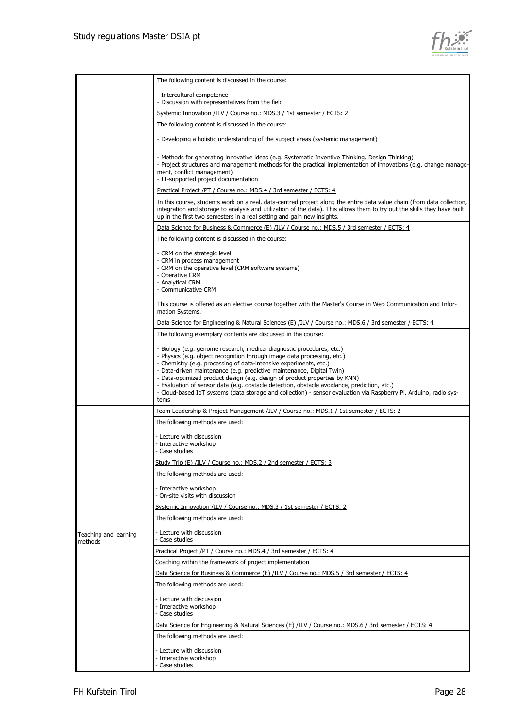

|                                  | The following content is discussed in the course:                                                                                                                                                                                                                                                                                                                                                                                                                                                                                                                                                        |
|----------------------------------|----------------------------------------------------------------------------------------------------------------------------------------------------------------------------------------------------------------------------------------------------------------------------------------------------------------------------------------------------------------------------------------------------------------------------------------------------------------------------------------------------------------------------------------------------------------------------------------------------------|
|                                  | - Intercultural competence<br>- Discussion with representatives from the field                                                                                                                                                                                                                                                                                                                                                                                                                                                                                                                           |
|                                  | Systemic Innovation /ILV / Course no.: MDS.3 / 1st semester / ECTS: 2                                                                                                                                                                                                                                                                                                                                                                                                                                                                                                                                    |
|                                  | The following content is discussed in the course:                                                                                                                                                                                                                                                                                                                                                                                                                                                                                                                                                        |
|                                  | - Developing a holistic understanding of the subject areas (systemic management)                                                                                                                                                                                                                                                                                                                                                                                                                                                                                                                         |
|                                  |                                                                                                                                                                                                                                                                                                                                                                                                                                                                                                                                                                                                          |
|                                  | - Methods for generating innovative ideas (e.g. Systematic Inventive Thinking, Design Thinking)<br>- Project structures and management methods for the practical implementation of innovations (e.g. change manage-<br>ment, conflict management)<br>- IT-supported project documentation                                                                                                                                                                                                                                                                                                                |
|                                  | Practical Project /PT / Course no.: MDS.4 / 3rd semester / ECTS: 4                                                                                                                                                                                                                                                                                                                                                                                                                                                                                                                                       |
|                                  | In this course, students work on a real, data-centred project along the entire data value chain (from data collection,<br>integration and storage to analysis and utilization of the data). This allows them to try out the skills they have built<br>up in the first two semesters in a real setting and gain new insights.                                                                                                                                                                                                                                                                             |
|                                  | Data Science for Business & Commerce (E) /ILV / Course no.: MDS.5 / 3rd semester / ECTS: 4                                                                                                                                                                                                                                                                                                                                                                                                                                                                                                               |
|                                  | The following content is discussed in the course:                                                                                                                                                                                                                                                                                                                                                                                                                                                                                                                                                        |
|                                  | - CRM on the strategic level<br>- CRM in process management<br>- CRM on the operative level (CRM software systems)<br>- Operative CRM<br>- Analytical CRM<br>- Communicative CRM                                                                                                                                                                                                                                                                                                                                                                                                                         |
|                                  | This course is offered as an elective course together with the Master's Course in Web Communication and Infor-<br>mation Systems.                                                                                                                                                                                                                                                                                                                                                                                                                                                                        |
|                                  | Data Science for Engineering & Natural Sciences (E) /ILV / Course no.: MDS.6 / 3rd semester / ECTS: 4                                                                                                                                                                                                                                                                                                                                                                                                                                                                                                    |
|                                  | The following exemplary contents are discussed in the course:                                                                                                                                                                                                                                                                                                                                                                                                                                                                                                                                            |
|                                  | - Biology (e.g. genome research, medical diagnostic procedures, etc.)<br>- Physics (e.g. object recognition through image data processing, etc.)<br>- Chemistry (e.g. processing of data-intensive experiments, etc.)<br>- Data-driven maintenance (e.g. predictive maintenance, Digital Twin)<br>- Data-optimized product design (e.g. design of product properties by KNN)<br>- Evaluation of sensor data (e.g. obstacle detection, obstacle avoidance, prediction, etc.)<br>- Cloud-based IoT systems (data storage and collection) - sensor evaluation via Raspberry Pi, Arduino, radio sys-<br>tems |
|                                  | Team Leadership & Project Management /ILV / Course no.: MDS.1 / 1st semester / ECTS: 2                                                                                                                                                                                                                                                                                                                                                                                                                                                                                                                   |
|                                  | The following methods are used:                                                                                                                                                                                                                                                                                                                                                                                                                                                                                                                                                                          |
|                                  | - Lecture with discussion<br>- Interactive workshop<br>- Case studies                                                                                                                                                                                                                                                                                                                                                                                                                                                                                                                                    |
|                                  | Study Trip (E) /ILV / Course no.: MDS.2 / 2nd semester / ECTS: 3                                                                                                                                                                                                                                                                                                                                                                                                                                                                                                                                         |
|                                  | The following methods are used:                                                                                                                                                                                                                                                                                                                                                                                                                                                                                                                                                                          |
|                                  | - Interactive workshop<br>- On-site visits with discussion                                                                                                                                                                                                                                                                                                                                                                                                                                                                                                                                               |
|                                  | Systemic Innovation /ILV / Course no.: MDS.3 / 1st semester / ECTS: 2                                                                                                                                                                                                                                                                                                                                                                                                                                                                                                                                    |
|                                  | The following methods are used:                                                                                                                                                                                                                                                                                                                                                                                                                                                                                                                                                                          |
| Teaching and learning<br>methods | - Lecture with discussion<br>Case studies                                                                                                                                                                                                                                                                                                                                                                                                                                                                                                                                                                |
|                                  | Practical Project /PT / Course no.: MDS.4 / 3rd semester / ECTS: 4                                                                                                                                                                                                                                                                                                                                                                                                                                                                                                                                       |
|                                  | Coaching within the framework of project implementation                                                                                                                                                                                                                                                                                                                                                                                                                                                                                                                                                  |
|                                  | Data Science for Business & Commerce (E) /ILV / Course no.: MDS.5 / 3rd semester / ECTS: 4                                                                                                                                                                                                                                                                                                                                                                                                                                                                                                               |
|                                  | The following methods are used:                                                                                                                                                                                                                                                                                                                                                                                                                                                                                                                                                                          |
|                                  | - Lecture with discussion                                                                                                                                                                                                                                                                                                                                                                                                                                                                                                                                                                                |
|                                  | - Interactive workshop                                                                                                                                                                                                                                                                                                                                                                                                                                                                                                                                                                                   |
|                                  | - Case studies                                                                                                                                                                                                                                                                                                                                                                                                                                                                                                                                                                                           |
|                                  | Data Science for Engineering & Natural Sciences (E) /ILV / Course no.: MDS.6 / 3rd semester / ECTS: 4<br>The following methods are used:                                                                                                                                                                                                                                                                                                                                                                                                                                                                 |
|                                  |                                                                                                                                                                                                                                                                                                                                                                                                                                                                                                                                                                                                          |
|                                  | - Lecture with discussion<br>- Interactive workshop<br>- Case studies                                                                                                                                                                                                                                                                                                                                                                                                                                                                                                                                    |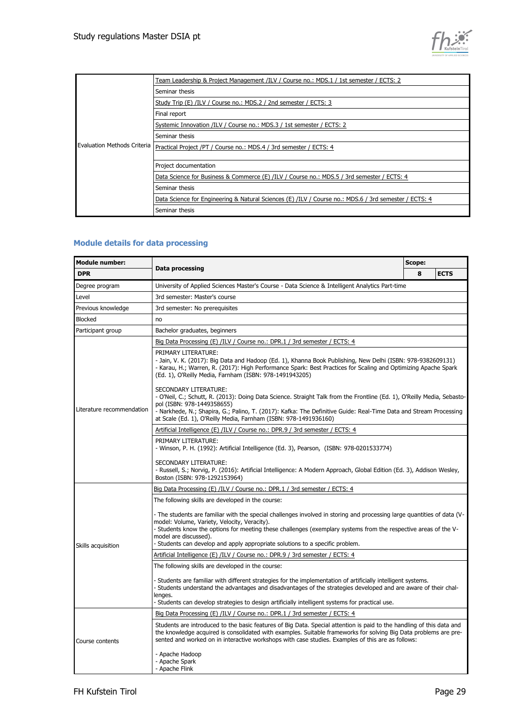

|                                    | Team Leadership & Project Management /ILV / Course no.: MDS.1 / 1st semester / ECTS: 2                |
|------------------------------------|-------------------------------------------------------------------------------------------------------|
|                                    | Seminar thesis                                                                                        |
|                                    | Study Trip (E) /ILV / Course no.: MDS.2 / 2nd semester / ECTS: 3                                      |
|                                    | Final report                                                                                          |
|                                    | Systemic Innovation /ILV / Course no.: MDS.3 / 1st semester / ECTS: 2                                 |
|                                    | Seminar thesis                                                                                        |
| <b>Evaluation Methods Criteria</b> | Practical Project /PT / Course no.: MDS.4 / 3rd semester / ECTS: 4                                    |
|                                    |                                                                                                       |
|                                    | Project documentation                                                                                 |
|                                    | Data Science for Business & Commerce (E) /ILV / Course no.: MDS.5 / 3rd semester / ECTS: 4            |
|                                    | Seminar thesis                                                                                        |
|                                    | Data Science for Engineering & Natural Sciences (E) /ILV / Course no.: MDS.6 / 3rd semester / ECTS: 4 |
|                                    | Seminar thesis                                                                                        |

#### **Module details for data processing**

| <b>Module number:</b><br><b>DPR</b> |                                                                                                                                                                                                                                                                                                                                                                                                      |   | Scope:      |  |
|-------------------------------------|------------------------------------------------------------------------------------------------------------------------------------------------------------------------------------------------------------------------------------------------------------------------------------------------------------------------------------------------------------------------------------------------------|---|-------------|--|
|                                     | <b>Data processing</b>                                                                                                                                                                                                                                                                                                                                                                               | 8 | <b>ECTS</b> |  |
| Degree program                      | University of Applied Sciences Master's Course - Data Science & Intelligent Analytics Part-time                                                                                                                                                                                                                                                                                                      |   |             |  |
| Level                               | 3rd semester: Master's course                                                                                                                                                                                                                                                                                                                                                                        |   |             |  |
| Previous knowledge                  | 3rd semester: No prerequisites                                                                                                                                                                                                                                                                                                                                                                       |   |             |  |
| Blocked                             | no                                                                                                                                                                                                                                                                                                                                                                                                   |   |             |  |
| Participant group                   | Bachelor graduates, beginners                                                                                                                                                                                                                                                                                                                                                                        |   |             |  |
| Literature recommendation           | Big Data Processing (E) /ILV / Course no.: DPR.1 / 3rd semester / ECTS: 4                                                                                                                                                                                                                                                                                                                            |   |             |  |
|                                     | PRIMARY LITERATURE:<br>- Jain, V. K. (2017): Big Data and Hadoop (Ed. 1), Khanna Book Publishing, New Delhi (ISBN: 978-9382609131)<br>- Karau, H.; Warren, R. (2017): High Performance Spark: Best Practices for Scaling and Optimizing Apache Spark<br>(Ed. 1), O'Reilly Media, Farnham (ISBN: 978-1491943205)                                                                                      |   |             |  |
|                                     | SECONDARY LITERATURE:<br>- O'Neil, C.; Schutt, R. (2013): Doing Data Science. Straight Talk from the Frontline (Ed. 1), O'Reilly Media, Sebasto-<br>pol (ISBN: 978-1449358655)<br>- Narkhede, N.; Shapira, G.; Palino, T. (2017): Kafka: The Definitive Guide: Real-Time Data and Stream Processing<br>at Scale (Ed. 1), O'Reilly Media, Farnham (ISBN: 978-1491936160)                              |   |             |  |
|                                     | Artificial Intelligence (E) /ILV / Course no.: DPR.9 / 3rd semester / ECTS: 4                                                                                                                                                                                                                                                                                                                        |   |             |  |
|                                     | PRIMARY LITERATURE:<br>- Winson, P. H. (1992): Artificial Intelligence (Ed. 3), Pearson, (ISBN: 978-0201533774)                                                                                                                                                                                                                                                                                      |   |             |  |
|                                     | SECONDARY LITERATURE:<br>- Russell, S.; Norvig, P. (2016): Artificial Intelligence: A Modern Approach, Global Edition (Ed. 3), Addison Wesley,<br>Boston (ISBN: 978-1292153964)                                                                                                                                                                                                                      |   |             |  |
|                                     | Big Data Processing (E) /ILV / Course no.: DPR.1 / 3rd semester / ECTS: 4                                                                                                                                                                                                                                                                                                                            |   |             |  |
|                                     | The following skills are developed in the course:                                                                                                                                                                                                                                                                                                                                                    |   |             |  |
| Skills acquisition                  | - The students are familiar with the special challenges involved in storing and processing large guantities of data (V-<br>model: Volume, Variety, Velocity, Veracity).<br>- Students know the options for meeting these challenges (exemplary systems from the respective areas of the V-<br>model are discussed).<br>- Students can develop and apply appropriate solutions to a specific problem. |   |             |  |
|                                     | Artificial Intelligence (E) /ILV / Course no.: DPR.9 / 3rd semester / ECTS: 4                                                                                                                                                                                                                                                                                                                        |   |             |  |
|                                     | The following skills are developed in the course:                                                                                                                                                                                                                                                                                                                                                    |   |             |  |
|                                     | - Students are familiar with different strategies for the implementation of artificially intelligent systems.<br>- Students understand the advantages and disadvantages of the strategies developed and are aware of their chal-<br>lenges.<br>- Students can develop strategies to design artificially intelligent systems for practical use.                                                       |   |             |  |
|                                     | Big Data Processing (E) /ILV / Course no.: DPR.1 / 3rd semester / ECTS: 4                                                                                                                                                                                                                                                                                                                            |   |             |  |
| Course contents                     | Students are introduced to the basic features of Big Data. Special attention is paid to the handling of this data and<br>the knowledge acquired is consolidated with examples. Suitable frameworks for solving Big Data problems are pre-<br>sented and worked on in interactive workshops with case studies. Examples of this are as follows:                                                       |   |             |  |
|                                     | - Apache Hadoop<br>- Apache Spark<br>- Apache Flink                                                                                                                                                                                                                                                                                                                                                  |   |             |  |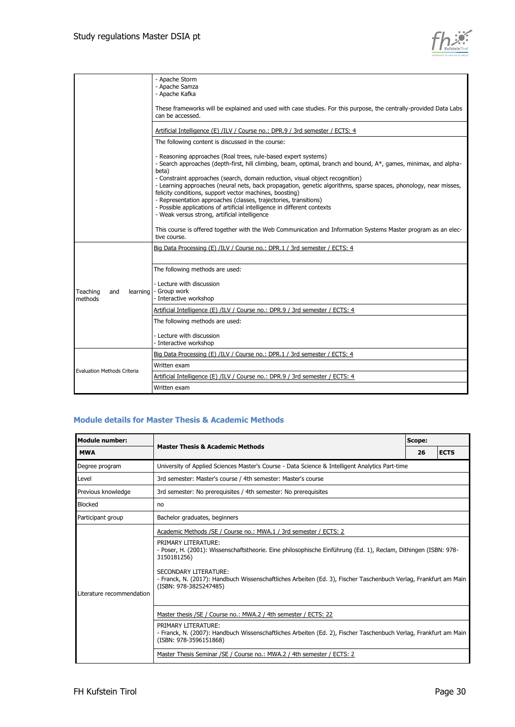

|                                          | - Apache Storm<br>- Apache Samza<br>- Apache Kafka                                                                                                                                                                                                                                                                                                                           |
|------------------------------------------|------------------------------------------------------------------------------------------------------------------------------------------------------------------------------------------------------------------------------------------------------------------------------------------------------------------------------------------------------------------------------|
|                                          | These frameworks will be explained and used with case studies. For this purpose, the centrally-provided Data Labs<br>can be accessed.                                                                                                                                                                                                                                        |
|                                          | Artificial Intelligence (E) /ILV / Course no.: DPR.9 / 3rd semester / ECTS: 4                                                                                                                                                                                                                                                                                                |
|                                          | The following content is discussed in the course:                                                                                                                                                                                                                                                                                                                            |
|                                          | - Reasoning approaches (Roal trees, rule-based expert systems)<br>- Search approaches (depth-first, hill climbing, beam, optimal, branch and bound, A*, games, minimax, and alpha-<br>beta)<br>- Constraint approaches (search, domain reduction, visual object recognition)                                                                                                 |
|                                          | - Learning approaches (neural nets, back propagation, genetic algorithms, sparse spaces, phonology, near misses,<br>felicity conditions, support vector machines, boosting)<br>- Representation approaches (classes, trajectories, transitions)<br>- Possible applications of artificial intelligence in different contexts<br>- Weak versus strong, artificial intelligence |
|                                          | This course is offered together with the Web Communication and Information Systems Master program as an elec-<br>tive course.                                                                                                                                                                                                                                                |
|                                          | Big Data Processing (E) /ILV / Course no.: DPR.1 / 3rd semester / ECTS: 4                                                                                                                                                                                                                                                                                                    |
|                                          | The following methods are used:                                                                                                                                                                                                                                                                                                                                              |
| Teaching<br>and<br>learning l<br>methods | - Lecture with discussion<br>- Group work<br>- Interactive workshop                                                                                                                                                                                                                                                                                                          |
|                                          | Artificial Intelligence (E) /ILV / Course no.: DPR.9 / 3rd semester / ECTS: 4                                                                                                                                                                                                                                                                                                |
|                                          | The following methods are used:                                                                                                                                                                                                                                                                                                                                              |
|                                          | - Lecture with discussion<br>- Interactive workshop                                                                                                                                                                                                                                                                                                                          |
|                                          | Big Data Processing (E) /ILV / Course no.: DPR.1 / 3rd semester / ECTS: 4                                                                                                                                                                                                                                                                                                    |
| <b>Evaluation Methods Criteria</b>       | Written exam                                                                                                                                                                                                                                                                                                                                                                 |
|                                          | Artificial Intelligence (E) /ILV / Course no.: DPR.9 / 3rd semester / ECTS: 4                                                                                                                                                                                                                                                                                                |
|                                          | Written exam                                                                                                                                                                                                                                                                                                                                                                 |

#### **Module details for Master Thesis & Academic Methods**

| <b>Module number:</b>     | <b>Master Thesis &amp; Academic Methods</b>                                                                                                                         | Scope: |             |
|---------------------------|---------------------------------------------------------------------------------------------------------------------------------------------------------------------|--------|-------------|
| <b>MWA</b>                |                                                                                                                                                                     | 26     | <b>ECTS</b> |
| Degree program            | University of Applied Sciences Master's Course - Data Science & Intelligent Analytics Part-time                                                                     |        |             |
| Level                     | 3rd semester: Master's course / 4th semester: Master's course                                                                                                       |        |             |
| Previous knowledge        | 3rd semester: No prerequisites / 4th semester: No prerequisites                                                                                                     |        |             |
| Blocked                   | no                                                                                                                                                                  |        |             |
| Participant group         | Bachelor graduates, beginners                                                                                                                                       |        |             |
| Literature recommendation | Academic Methods /SE / Course no.: MWA.1 / 3rd semester / ECTS: 2                                                                                                   |        |             |
|                           | PRIMARY LITERATURE:<br>- Poser, H. (2001): Wissenschaftstheorie. Eine philosophische Einführung (Ed. 1), Reclam, Dithingen (ISBN: 978-<br>3150181256)               |        |             |
|                           | SECONDARY LITERATURE:<br>- Franck, N. (2017): Handbuch Wissenschaftliches Arbeiten (Ed. 3), Fischer Taschenbuch Verlag, Frankfurt am Main<br>(ISBN: 978-3825247485) |        |             |
|                           | Master thesis / SE / Course no.: MWA.2 / 4th semester / ECTS: 22                                                                                                    |        |             |
|                           | PRIMARY LITERATURE:<br>- Franck, N. (2007): Handbuch Wissenschaftliches Arbeiten (Ed. 2), Fischer Taschenbuch Verlag, Frankfurt am Main<br>(ISBN: 978-3596151868)   |        |             |
|                           | Master Thesis Seminar / SE / Course no.: MWA.2 / 4th semester / ECTS: 2                                                                                             |        |             |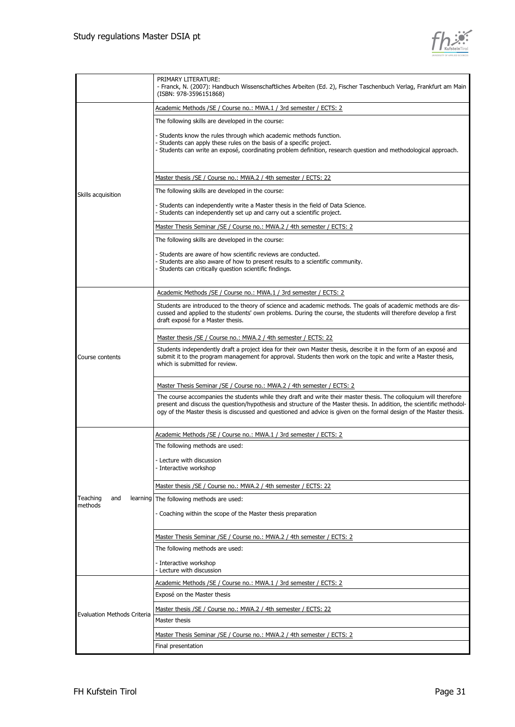

|                                    | PRIMARY LITERATURE:<br>- Franck, N. (2007): Handbuch Wissenschaftliches Arbeiten (Ed. 2), Fischer Taschenbuch Verlag, Frankfurt am Main<br>(ISBN: 978-3596151868)                                                                            |
|------------------------------------|----------------------------------------------------------------------------------------------------------------------------------------------------------------------------------------------------------------------------------------------|
|                                    | Academic Methods /SE / Course no.: MWA.1 / 3rd semester / ECTS: 2                                                                                                                                                                            |
|                                    | The following skills are developed in the course:                                                                                                                                                                                            |
|                                    | - Students know the rules through which academic methods function.                                                                                                                                                                           |
|                                    | - Students can apply these rules on the basis of a specific project.                                                                                                                                                                         |
|                                    | - Students can write an exposé, coordinating problem definition, research question and methodological approach.                                                                                                                              |
|                                    | Master thesis /SE / Course no.: MWA.2 / 4th semester / ECTS: 22                                                                                                                                                                              |
| Skills acquisition                 | The following skills are developed in the course:                                                                                                                                                                                            |
|                                    | - Students can independently write a Master thesis in the field of Data Science.<br>- Students can independently set up and carry out a scientific project.                                                                                  |
|                                    | Master Thesis Seminar /SE / Course no.: MWA.2 / 4th semester / ECTS: 2                                                                                                                                                                       |
|                                    | The following skills are developed in the course:                                                                                                                                                                                            |
|                                    | - Students are aware of how scientific reviews are conducted.                                                                                                                                                                                |
|                                    | - Students are also aware of how to present results to a scientific community.<br>- Students can critically question scientific findings.                                                                                                    |
|                                    |                                                                                                                                                                                                                                              |
|                                    | Academic Methods /SE / Course no.: MWA.1 / 3rd semester / ECTS: 2                                                                                                                                                                            |
|                                    | Students are introduced to the theory of science and academic methods. The goals of academic methods are dis-                                                                                                                                |
|                                    | cussed and applied to the students' own problems. During the course, the students will therefore develop a first<br>draft exposé for a Master thesis.                                                                                        |
|                                    | Master thesis /SE / Course no.: MWA.2 / 4th semester / ECTS: 22                                                                                                                                                                              |
|                                    | Students independently draft a project idea for their own Master thesis, describe it in the form of an exposé and                                                                                                                            |
| Course contents                    | submit it to the program management for approval. Students then work on the topic and write a Master thesis,<br>which is submitted for review.                                                                                               |
|                                    | Master Thesis Seminar / SE / Course no.: MWA.2 / 4th semester / ECTS: 2                                                                                                                                                                      |
|                                    | The course accompanies the students while they draft and write their master thesis. The colloquium will therefore                                                                                                                            |
|                                    | present and discuss the question/hypothesis and structure of the Master thesis. In addition, the scientific methodol-<br>ogy of the Master thesis is discussed and questioned and advice is given on the formal design of the Master thesis. |
|                                    |                                                                                                                                                                                                                                              |
|                                    | Academic Methods /SE / Course no.: MWA.1 / 3rd semester / ECTS: 2                                                                                                                                                                            |
|                                    | The following methods are used:                                                                                                                                                                                                              |
|                                    | - Lecture with discussion                                                                                                                                                                                                                    |
|                                    | - Interactive workshop                                                                                                                                                                                                                       |
|                                    | Master thesis /SE / Course no.: MWA.2 / 4th semester / ECTS: 22                                                                                                                                                                              |
| Teaching<br>and                    | learning The following methods are used:                                                                                                                                                                                                     |
| methods                            | - Coaching within the scope of the Master thesis preparation                                                                                                                                                                                 |
|                                    |                                                                                                                                                                                                                                              |
|                                    | Master Thesis Seminar /SE / Course no.: MWA.2 / 4th semester / ECTS: 2                                                                                                                                                                       |
|                                    | The following methods are used:                                                                                                                                                                                                              |
|                                    | - Interactive workshop                                                                                                                                                                                                                       |
|                                    | - Lecture with discussion                                                                                                                                                                                                                    |
| <b>Evaluation Methods Criteria</b> | Academic Methods /SE / Course no.: MWA.1 / 3rd semester / ECTS: 2                                                                                                                                                                            |
|                                    | Exposé on the Master thesis                                                                                                                                                                                                                  |
|                                    | Master thesis /SE / Course no.: MWA.2 / 4th semester / ECTS: 22                                                                                                                                                                              |
|                                    | Master thesis                                                                                                                                                                                                                                |
|                                    | Master Thesis Seminar / SE / Course no.: MWA.2 / 4th semester / ECTS: 2                                                                                                                                                                      |
|                                    | Final presentation                                                                                                                                                                                                                           |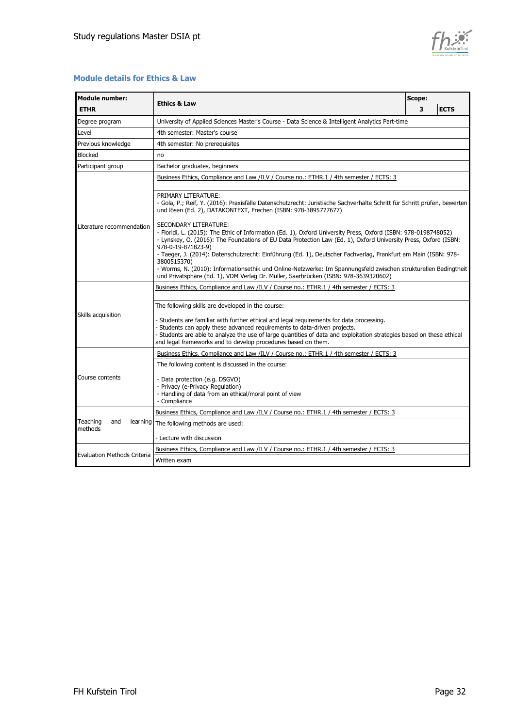

#### **Module details for Ethics & Law**

| <b>Module number:</b><br><b>ETHR</b>   |                                                                                                                                                                                                                                                                                                                                                                                                                                                                                                                                             |   | Scope:      |  |
|----------------------------------------|---------------------------------------------------------------------------------------------------------------------------------------------------------------------------------------------------------------------------------------------------------------------------------------------------------------------------------------------------------------------------------------------------------------------------------------------------------------------------------------------------------------------------------------------|---|-------------|--|
|                                        | <b>Ethics &amp; Law</b>                                                                                                                                                                                                                                                                                                                                                                                                                                                                                                                     | 3 | <b>ECTS</b> |  |
| Degree program                         | University of Applied Sciences Master's Course - Data Science & Intelligent Analytics Part-time                                                                                                                                                                                                                                                                                                                                                                                                                                             |   |             |  |
| Level                                  | 4th semester: Master's course                                                                                                                                                                                                                                                                                                                                                                                                                                                                                                               |   |             |  |
| Previous knowledge                     | 4th semester: No prerequisites                                                                                                                                                                                                                                                                                                                                                                                                                                                                                                              |   |             |  |
| <b>Blocked</b>                         | no                                                                                                                                                                                                                                                                                                                                                                                                                                                                                                                                          |   |             |  |
| Participant group                      | Bachelor graduates, beginners                                                                                                                                                                                                                                                                                                                                                                                                                                                                                                               |   |             |  |
| Literature recommendation              | Business Ethics, Compliance and Law /ILV / Course no.: ETHR.1 / 4th semester / ECTS: 3                                                                                                                                                                                                                                                                                                                                                                                                                                                      |   |             |  |
|                                        | PRIMARY LITERATURE:<br>- Gola, P.; Reif, Y. (2016): Praxisfälle Datenschutzrecht: Juristische Sachverhalte Schritt für Schritt prüfen, bewerten<br>und lösen (Ed. 2), DATAKONTEXT, Frechen (ISBN: 978-3895777677)                                                                                                                                                                                                                                                                                                                           |   |             |  |
|                                        | <b>SECONDARY LITERATURE:</b><br>- Floridi, L. (2015): The Ethic of Information (Ed. 1), Oxford University Press, Oxford (ISBN: 978-0198748052)<br>- Lynskey, O. (2016): The Foundations of EU Data Protection Law (Ed. 1), Oxford University Press, Oxford (ISBN:<br>978-0-19-871823-9)<br>- Taeger, J. (2014): Datenschutzrecht: Einführung (Ed. 1), Deutscher Fachverlag, Frankfurt am Main (ISBN: 978-<br>3800515370)<br>- Worms, N. (2010): Informationsethik und Online-Netzwerke: Im Spannungsfeld zwischen strukturellen Bedingtheit |   |             |  |
|                                        | und Privatsphäre (Ed. 1), VDM Verlag Dr. Müller, Saarbrücken (ISBN: 978-3639320602)                                                                                                                                                                                                                                                                                                                                                                                                                                                         |   |             |  |
|                                        | Business Ethics, Compliance and Law /ILV / Course no.: ETHR.1 / 4th semester / ECTS: 3                                                                                                                                                                                                                                                                                                                                                                                                                                                      |   |             |  |
|                                        | The following skills are developed in the course:                                                                                                                                                                                                                                                                                                                                                                                                                                                                                           |   |             |  |
| Skills acquisition                     | - Students are familiar with further ethical and legal requirements for data processing.<br>- Students can apply these advanced requirements to data-driven projects.<br>- Students are able to analyze the use of large guantities of data and exploitation strategies based on these ethical<br>and legal frameworks and to develop procedures based on them.                                                                                                                                                                             |   |             |  |
|                                        | Business Ethics, Compliance and Law /ILV / Course no.: ETHR.1 / 4th semester / ECTS: 3                                                                                                                                                                                                                                                                                                                                                                                                                                                      |   |             |  |
|                                        | The following content is discussed in the course:                                                                                                                                                                                                                                                                                                                                                                                                                                                                                           |   |             |  |
| Course contents                        | - Data protection (e.g. DSGVO)<br>- Privacy (e-Privacy Regulation)<br>- Handling of data from an ethical/moral point of view<br>- Compliance                                                                                                                                                                                                                                                                                                                                                                                                |   |             |  |
|                                        | Business Ethics, Compliance and Law /ILV / Course no.: ETHR.1 / 4th semester / ECTS: 3                                                                                                                                                                                                                                                                                                                                                                                                                                                      |   |             |  |
| Teaching<br>and<br>learning<br>methods | The following methods are used:                                                                                                                                                                                                                                                                                                                                                                                                                                                                                                             |   |             |  |
|                                        | - Lecture with discussion                                                                                                                                                                                                                                                                                                                                                                                                                                                                                                                   |   |             |  |
| <b>Evaluation Methods Criteria</b>     | Business Ethics, Compliance and Law /ILV / Course no.: ETHR.1 / 4th semester / ECTS: 3                                                                                                                                                                                                                                                                                                                                                                                                                                                      |   |             |  |
|                                        | Written exam                                                                                                                                                                                                                                                                                                                                                                                                                                                                                                                                |   |             |  |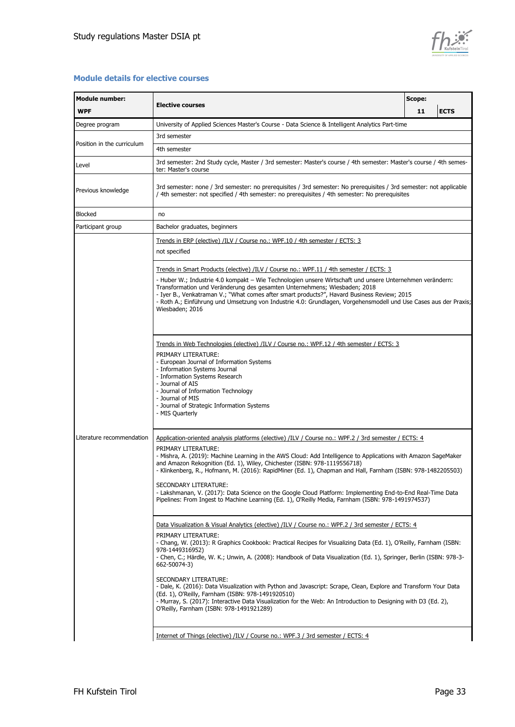

#### **Module details for elective courses**

| <b>Module number:</b>      |                                                                                                                                                                                                                                                                                                                                                                                                                                                                                                                                                                                                                                                                                                                                                                          | Scope: |             |
|----------------------------|--------------------------------------------------------------------------------------------------------------------------------------------------------------------------------------------------------------------------------------------------------------------------------------------------------------------------------------------------------------------------------------------------------------------------------------------------------------------------------------------------------------------------------------------------------------------------------------------------------------------------------------------------------------------------------------------------------------------------------------------------------------------------|--------|-------------|
| <b>WPF</b>                 | <b>Elective courses</b>                                                                                                                                                                                                                                                                                                                                                                                                                                                                                                                                                                                                                                                                                                                                                  | 11     | <b>ECTS</b> |
| Degree program             | University of Applied Sciences Master's Course - Data Science & Intelligent Analytics Part-time                                                                                                                                                                                                                                                                                                                                                                                                                                                                                                                                                                                                                                                                          |        |             |
| Position in the curriculum | 3rd semester                                                                                                                                                                                                                                                                                                                                                                                                                                                                                                                                                                                                                                                                                                                                                             |        |             |
|                            | 4th semester                                                                                                                                                                                                                                                                                                                                                                                                                                                                                                                                                                                                                                                                                                                                                             |        |             |
| Level                      | 3rd semester: 2nd Study cycle, Master / 3rd semester: Master's course / 4th semester: Master's course / 4th semes-<br>ter: Master's course                                                                                                                                                                                                                                                                                                                                                                                                                                                                                                                                                                                                                               |        |             |
| Previous knowledge         | 3rd semester: none / 3rd semester: no prerequisites / 3rd semester: No prerequisites / 3rd semester: not applicable<br>/ 4th semester: not specified / 4th semester: no prerequisites / 4th semester: No prerequisites                                                                                                                                                                                                                                                                                                                                                                                                                                                                                                                                                   |        |             |
| Blocked                    | no                                                                                                                                                                                                                                                                                                                                                                                                                                                                                                                                                                                                                                                                                                                                                                       |        |             |
| Participant group          | Bachelor graduates, beginners                                                                                                                                                                                                                                                                                                                                                                                                                                                                                                                                                                                                                                                                                                                                            |        |             |
|                            | Trends in ERP (elective) /ILV / Course no.: WPF.10 / 4th semester / ECTS: 3<br>not specified                                                                                                                                                                                                                                                                                                                                                                                                                                                                                                                                                                                                                                                                             |        |             |
|                            | Trends in Smart Products (elective) /ILV / Course no.: WPF.11 / 4th semester / ECTS: 3                                                                                                                                                                                                                                                                                                                                                                                                                                                                                                                                                                                                                                                                                   |        |             |
| Literature recommendation  | - Huber W.; Industrie 4.0 kompakt – Wie Technologien unsere Wirtschaft und unsere Unternehmen verändern:<br>Transformation und Veränderung des gesamten Unternehmens; Wiesbaden; 2018<br>- Iyer B., Venkatraman V.; "What comes after smart products?", Havard Business Review; 2015<br>- Roth A.; Einführung und Umsetzung von Industrie 4.0: Grundlagen, Vorgehensmodell und Use Cases aus der Praxis;<br>Wiesbaden; 2016                                                                                                                                                                                                                                                                                                                                              |        |             |
|                            | Trends in Web Technologies (elective) /ILV / Course no.: WPF.12 / 4th semester / ECTS: 3<br>PRIMARY LITERATURE:<br>- European Journal of Information Systems<br>- Information Systems Journal<br>- Information Systems Research<br>- Journal of AIS<br>- Journal of Information Technology<br>- Journal of MIS<br>- Journal of Strategic Information Systems<br>- MIS Quarterly                                                                                                                                                                                                                                                                                                                                                                                          |        |             |
|                            | Application-oriented analysis platforms (elective) /ILV / Course no.: WPF.2 / 3rd semester / ECTS: 4<br>PRIMARY LITERATURE:<br>- Mishra, A. (2019): Machine Learning in the AWS Cloud: Add Intelligence to Applications with Amazon SageMaker<br>and Amazon Rekognition (Ed. 1), Wiley, Chichester (ISBN: 978-1119556718)<br>- Klinkenberg, R., Hofmann, M. (2016): RapidMiner (Ed. 1), Chapman and Hall, Farnham (ISBN: 978-1482205503)<br>SECONDARY LITERATURE:<br>- Lakshmanan, V. (2017): Data Science on the Google Cloud Platform: Implementing End-to-End Real-Time Data<br>Pipelines: From Ingest to Machine Learning (Ed. 1), O'Reilly Media, Farnham (ISBN: 978-1491974537)                                                                                    |        |             |
|                            | Data Visualization & Visual Analytics (elective) /ILV / Course no.: WPF.2 / 3rd semester / ECTS: 4<br>PRIMARY LITERATURE:<br>- Chang, W. (2013): R Graphics Cookbook: Practical Recipes for Visualizing Data (Ed. 1), O'Reilly, Farnham (ISBN:<br>978-1449316952)<br>- Chen, C.; Härdle, W. K.; Unwin, A. (2008): Handbook of Data Visualization (Ed. 1), Springer, Berlin (ISBN: 978-3-<br>662-50074-3)<br>SECONDARY LITERATURE:<br>- Dale, K. (2016): Data Visualization with Python and Javascript: Scrape, Clean, Explore and Transform Your Data<br>(Ed. 1), O'Reilly, Farnham (ISBN: 978-1491920510)<br>- Murray, S. (2017): Interactive Data Visualization for the Web: An Introduction to Designing with D3 (Ed. 2),<br>O'Reilly, Farnham (ISBN: 978-1491921289) |        |             |
|                            | Internet of Things (elective) /ILV / Course no.: WPF.3 / 3rd semester / ECTS: 4                                                                                                                                                                                                                                                                                                                                                                                                                                                                                                                                                                                                                                                                                          |        |             |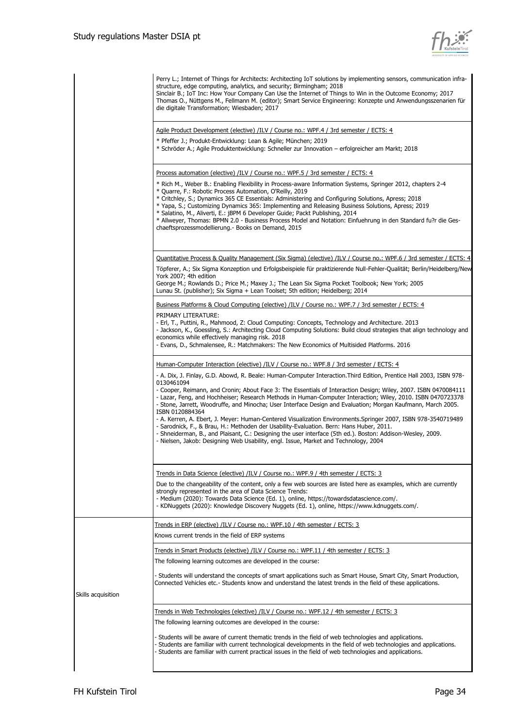

|                    | Perry L.; Internet of Things for Architects: Architecting IoT solutions by implementing sensors, communication infra-<br>structure, edge computing, analytics, and security; Birmingham; 2018<br>Sinclair B.; IoT Inc: How Your Company Can Use the Internet of Things to Win in the Outcome Economy; 2017<br>Thomas O., Nüttgens M., Fellmann M. (editor); Smart Service Engineering: Konzepte und Anwendungsszenarien für<br>die digitale Transformation; Wiesbaden; 2017                                                                                                                                                                                                                                                                                                                                                                                                                                                                                                                                         |
|--------------------|---------------------------------------------------------------------------------------------------------------------------------------------------------------------------------------------------------------------------------------------------------------------------------------------------------------------------------------------------------------------------------------------------------------------------------------------------------------------------------------------------------------------------------------------------------------------------------------------------------------------------------------------------------------------------------------------------------------------------------------------------------------------------------------------------------------------------------------------------------------------------------------------------------------------------------------------------------------------------------------------------------------------|
|                    | Agile Product Development (elective) /ILV / Course no.: WPF.4 / 3rd semester / ECTS: 4                                                                                                                                                                                                                                                                                                                                                                                                                                                                                                                                                                                                                                                                                                                                                                                                                                                                                                                              |
|                    | * Pfeffer J.; Produkt-Entwicklung: Lean & Agile; München; 2019<br>* Schröder A.; Agile Produktentwicklung: Schneller zur Innovation – erfolgreicher am Markt; 2018                                                                                                                                                                                                                                                                                                                                                                                                                                                                                                                                                                                                                                                                                                                                                                                                                                                  |
|                    | Process automation (elective) /ILV / Course no.: WPF.5 / 3rd semester / ECTS: 4<br>* Rich M., Weber B.: Enabling Flexibility in Process-aware Information Systems, Springer 2012, chapters 2-4<br>* Quarre, F.: Robotic Process Automation, O'Reilly, 2019<br>* Critchley, S.; Dynamics 365 CE Essentials: Administering and Configuring Solutions, Apress; 2018<br>* Yapa, S.; Customizing Dynamics 365: Implementing and Releasing Business Solutions, Apress; 2019<br>* Salatino, M., Aliverti, E.: jBPM 6 Developer Guide; Packt Publishing, 2014<br>* Allweyer, Thomas: BPMN 2.0 - Business Process Model and Notation: Einfuehrung in den Standard fu?r die Ges-<br>chaeftsprozessmodellierung. - Books on Demand, 2015                                                                                                                                                                                                                                                                                       |
|                    | Ouantitative Process & Quality Management (Six Sigma) (elective) /ILV / Course no.: WPF.6 / 3rd semester / ECTS: 4<br>Töpferer, A.; Six Sigma Konzeption und Erfolgsbeispiele für praktizierende Null-Fehler-Qualität; Berlin/Heidelberg/New<br>York 2007; 4th edition<br>George M.; Rowlands D.; Price M.; Maxey J.; The Lean Six Sigma Pocket Toolbook; New York; 2005<br>Lunau St. (publisher); Six Sigma + Lean Toolset; 5th edition; Heidelberg; 2014                                                                                                                                                                                                                                                                                                                                                                                                                                                                                                                                                          |
|                    | Business Platforms & Cloud Computing (elective) /ILV / Course no.: WPF.7 / 3rd semester / ECTS: 4<br>PRIMARY LITERATURE:<br>- Erl, T., Puttini, R., Mahmood, Z: Cloud Computing: Concepts, Technology and Architecture. 2013<br>- Jackson, K., Goessling, S.: Architecting Cloud Computing Solutions: Build cloud strategies that align technology and<br>economics while effectively managing risk. 2018<br>- Evans, D., Schmalensee, R.: Matchmakers: The New Economics of Multisided Platforms. 2016                                                                                                                                                                                                                                                                                                                                                                                                                                                                                                             |
|                    | Human-Computer Interaction (elective) /ILV / Course no.: WPF.8 / 3rd semester / ECTS: 4<br>- A. Dix, J. Finlay, G.D. Abowd, R. Beale: Human-Computer Interaction. Third Edition, Prentice Hall 2003, ISBN 978-<br>0130461094<br>- Cooper, Reimann, and Cronin; About Face 3: The Essentials of Interaction Design; Wiley, 2007. ISBN 0470084111<br>- Lazar, Feng, and Hochheiser; Research Methods in Human-Computer Interaction; Wiley, 2010. ISBN 0470723378<br>- Stone, Jarrett, Woodruffe, and Minocha; User Interface Design and Evaluation; Morgan Kaufmann, March 2005.<br>ISBN 0120884364<br>- A. Kerren, A. Ebert, J. Meyer: Human-Centered Visualization Environments. Springer 2007, ISBN 978-3540719489<br>- Sarodnick, F., & Brau, H.: Methoden der Usability-Evaluation. Bern: Hans Huber, 2011.<br>- Shneiderman, B., and Plaisant, C.: Designing the user interface (5th ed.). Boston: Addison-Wesley, 2009.<br>- Nielsen, Jakob: Designing Web Usability, engl. Issue, Market and Technology, 2004 |
|                    | <u>Trends in Data Science (elective) /ILV / Course no.: WPF.9 / 4th semester / ECTS: 3</u><br>Due to the changeability of the content, only a few web sources are listed here as examples, which are currently<br>strongly represented in the area of Data Science Trends:<br>- Medium (2020): Towards Data Science (Ed. 1), online, https://towardsdatascience.com/.<br>- KDNuggets (2020): Knowledge Discovery Nuggets (Ed. 1), online, https://www.kdnuggets.com/.                                                                                                                                                                                                                                                                                                                                                                                                                                                                                                                                               |
|                    | Trends in ERP (elective) /ILV / Course no.: WPF.10 / 4th semester / ECTS: 3<br>Knows current trends in the field of ERP systems                                                                                                                                                                                                                                                                                                                                                                                                                                                                                                                                                                                                                                                                                                                                                                                                                                                                                     |
| Skills acquisition | <u>Trends in Smart Products (elective)</u> /ILV / Course no.: WPF.11 / 4th semester / ECTS: 3<br>The following learning outcomes are developed in the course:<br>- Students will understand the concepts of smart applications such as Smart House, Smart City, Smart Production,<br>Connected Vehicles etc.- Students know and understand the latest trends in the field of these applications.                                                                                                                                                                                                                                                                                                                                                                                                                                                                                                                                                                                                                    |
|                    | Trends in Web Technologies (elective) /ILV / Course no.: WPF.12 / 4th semester / ECTS: 3<br>The following learning outcomes are developed in the course:<br>- Students will be aware of current thematic trends in the field of web technologies and applications.<br>- Students are familiar with current technological developments in the field of web technologies and applications.<br>- Students are familiar with current practical issues in the field of web technologies and applications.                                                                                                                                                                                                                                                                                                                                                                                                                                                                                                                |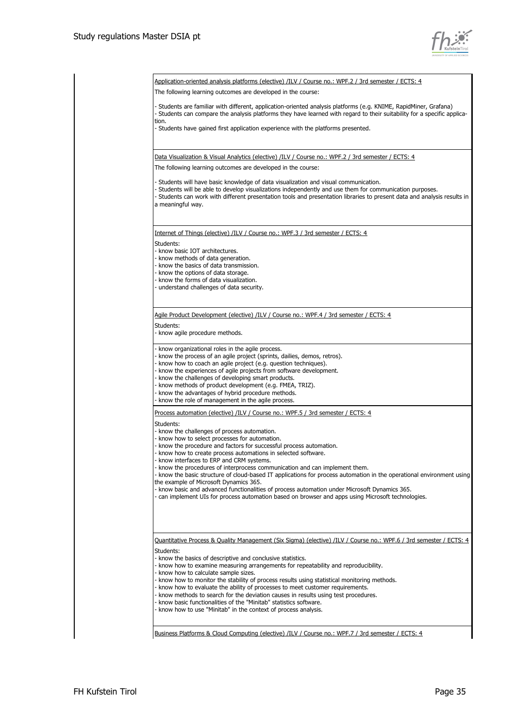

|                   | <u>Application-oriented analysis platforms (elective) /ILV / Course no.: WPF.2 / 3rd semester / ECTS: 4</u>                                                                                                                                                                                                                  |
|-------------------|------------------------------------------------------------------------------------------------------------------------------------------------------------------------------------------------------------------------------------------------------------------------------------------------------------------------------|
|                   | The following learning outcomes are developed in the course:                                                                                                                                                                                                                                                                 |
| tion.             | - Students are familiar with different, application-oriented analysis platforms (e.g. KNIME, RapidMiner, Grafana)<br>- Students can compare the analysis platforms they have learned with regard to their suitability for a specific applica-                                                                                |
|                   | - Students have gained first application experience with the platforms presented.                                                                                                                                                                                                                                            |
|                   | Data Visualization & Visual Analytics (elective) /ILV / Course no.: WPF.2 / 3rd semester / ECTS: 4                                                                                                                                                                                                                           |
|                   | The following learning outcomes are developed in the course:                                                                                                                                                                                                                                                                 |
| a meaningful way. | - Students will have basic knowledge of data visualization and visual communication.<br>- Students will be able to develop visualizations independently and use them for communication purposes.<br>- Students can work with different presentation tools and presentation libraries to present data and analysis results in |
|                   | Internet of Things (elective) /ILV / Course no.: WPF.3 / 3rd semester / ECTS: 4                                                                                                                                                                                                                                              |
| Students:         |                                                                                                                                                                                                                                                                                                                              |
|                   | - know basic IOT architectures.<br>- know methods of data generation.                                                                                                                                                                                                                                                        |
|                   | - know the basics of data transmission.                                                                                                                                                                                                                                                                                      |
|                   | - know the options of data storage.<br>- know the forms of data visualization.                                                                                                                                                                                                                                               |
|                   | - understand challenges of data security.                                                                                                                                                                                                                                                                                    |
|                   |                                                                                                                                                                                                                                                                                                                              |
|                   | Agile Product Development (elective) /ILV / Course no.: WPF.4 / 3rd semester / ECTS: 4                                                                                                                                                                                                                                       |
| Students:         |                                                                                                                                                                                                                                                                                                                              |
|                   | - know agile procedure methods.                                                                                                                                                                                                                                                                                              |
|                   | - know organizational roles in the agile process.                                                                                                                                                                                                                                                                            |
|                   | - know the process of an agile project (sprints, dailies, demos, retros).                                                                                                                                                                                                                                                    |
|                   | - know how to coach an agile project (e.g. question techniques).<br>- know the experiences of agile projects from software development.                                                                                                                                                                                      |
|                   | - know the challenges of developing smart products.                                                                                                                                                                                                                                                                          |
|                   | - know methods of product development (e.g. FMEA, TRIZ).<br>- know the advantages of hybrid procedure methods.                                                                                                                                                                                                               |
|                   | - know the role of management in the agile process.                                                                                                                                                                                                                                                                          |
|                   | Process automation (elective) /ILV / Course no.: WPF.5 / 3rd semester / ECTS: 4                                                                                                                                                                                                                                              |
| Students:         |                                                                                                                                                                                                                                                                                                                              |
|                   | - know the challenges of process automation.                                                                                                                                                                                                                                                                                 |
|                   | - know how to select processes for automation.<br>- know the procedure and factors for successful process automation.                                                                                                                                                                                                        |
|                   | - know how to create process automations in selected software.                                                                                                                                                                                                                                                               |
|                   | - know interfaces to ERP and CRM systems.<br>- know the procedures of interprocess communication and can implement them.                                                                                                                                                                                                     |
|                   | - know the basic structure of cloud-based IT applications for process automation in the operational environment using                                                                                                                                                                                                        |
|                   | the example of Microsoft Dynamics 365.                                                                                                                                                                                                                                                                                       |
|                   | - know basic and advanced functionalities of process automation under Microsoft Dynamics 365.<br>- can implement UIs for process automation based on browser and apps using Microsoft technologies.                                                                                                                          |
|                   |                                                                                                                                                                                                                                                                                                                              |
|                   | Quantitative Process & Quality Management (Six Sigma) (elective) /ILV / Course no.: WPF.6 / 3rd semester / ECTS: 4                                                                                                                                                                                                           |
| Students:         |                                                                                                                                                                                                                                                                                                                              |
|                   | - know the basics of descriptive and conclusive statistics.                                                                                                                                                                                                                                                                  |
|                   | - know how to examine measuring arrangements for repeatability and reproducibility.<br>- know how to calculate sample sizes.                                                                                                                                                                                                 |
|                   | - know how to monitor the stability of process results using statistical monitoring methods.                                                                                                                                                                                                                                 |
|                   | - know how to evaluate the ability of processes to meet customer requirements.<br>- know methods to search for the deviation causes in results using test procedures.                                                                                                                                                        |
|                   | - know basic functionalities of the "Minitab" statistics software.                                                                                                                                                                                                                                                           |
|                   | - know how to use "Minitab" in the context of process analysis.                                                                                                                                                                                                                                                              |
|                   |                                                                                                                                                                                                                                                                                                                              |
|                   | Business Platforms & Cloud Computing (elective) /ILV / Course no.: WPF.7 / 3rd semester / ECTS: 4                                                                                                                                                                                                                            |
|                   |                                                                                                                                                                                                                                                                                                                              |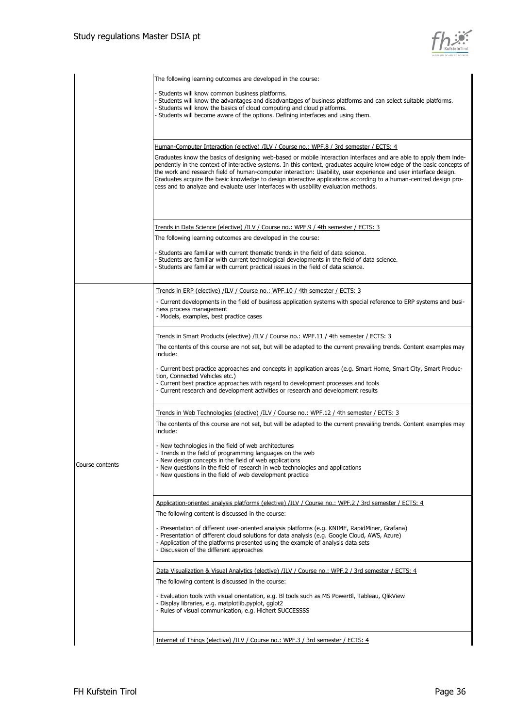

|                 | The following learning outcomes are developed in the course:                                                                                                                                                                               |
|-----------------|--------------------------------------------------------------------------------------------------------------------------------------------------------------------------------------------------------------------------------------------|
|                 | - Students will know common business platforms.                                                                                                                                                                                            |
|                 | Students will know the advantages and disadvantages of business platforms and can select suitable platforms.<br>Students will know the basics of cloud computing and cloud platforms.                                                      |
|                 | Students will become aware of the options. Defining interfaces and using them.                                                                                                                                                             |
|                 |                                                                                                                                                                                                                                            |
|                 |                                                                                                                                                                                                                                            |
|                 | <u>Human-Computer Interaction (elective) /ILV / Course no.: WPF.8 / 3rd semester / ECTS: 4</u>                                                                                                                                             |
|                 | Graduates know the basics of designing web-based or mobile interaction interfaces and are able to apply them inde-                                                                                                                         |
|                 | pendently in the context of interactive systems. In this context, graduates acquire knowledge of the basic concepts of<br>the work and research field of human-computer interaction: Usability, user experience and user interface design. |
|                 | Graduates acquire the basic knowledge to design interactive applications according to a human-centred design pro-<br>cess and to analyze and evaluate user interfaces with usability evaluation methods.                                   |
|                 |                                                                                                                                                                                                                                            |
|                 |                                                                                                                                                                                                                                            |
|                 |                                                                                                                                                                                                                                            |
|                 | <u>Trends in Data Science (elective) /ILV / Course no.: WPF.9 / 4th semester / ECTS: 3</u>                                                                                                                                                 |
|                 | The following learning outcomes are developed in the course:                                                                                                                                                                               |
|                 | - Students are familiar with current thematic trends in the field of data science.                                                                                                                                                         |
|                 | Students are familiar with current technological developments in the field of data science.                                                                                                                                                |
|                 | - Students are familiar with current practical issues in the field of data science.                                                                                                                                                        |
|                 |                                                                                                                                                                                                                                            |
|                 | <u>Trends in ERP (elective) /ILV / Course no.: WPF.10 / 4th semester / ECTS: 3</u>                                                                                                                                                         |
|                 | - Current developments in the field of business application systems with special reference to ERP systems and busi-<br>ness process management                                                                                             |
|                 | - Models, examples, best practice cases                                                                                                                                                                                                    |
|                 |                                                                                                                                                                                                                                            |
|                 | Trends in Smart Products (elective) /ILV / Course no.: WPF.11 / 4th semester / ECTS: 3                                                                                                                                                     |
|                 | The contents of this course are not set, but will be adapted to the current prevailing trends. Content examples may<br>include:                                                                                                            |
|                 |                                                                                                                                                                                                                                            |
|                 | - Current best practice approaches and concepts in application areas (e.g. Smart Home, Smart City, Smart Produc-<br>tion, Connected Vehicles etc.)                                                                                         |
|                 | - Current best practice approaches with regard to development processes and tools                                                                                                                                                          |
|                 | - Current research and development activities or research and development results                                                                                                                                                          |
|                 |                                                                                                                                                                                                                                            |
|                 | <u>Trends in Web Technologies (elective) /ILV / Course no.: WPF.12 / 4th semester / ECTS: 3</u>                                                                                                                                            |
|                 | The contents of this course are not set, but will be adapted to the current prevailing trends. Content examples may<br>include:                                                                                                            |
|                 |                                                                                                                                                                                                                                            |
|                 | - New technologies in the field of web architectures<br>- Trends in the field of programming languages on the web                                                                                                                          |
| Course contents | - New design concepts in the field of web applications<br>- New questions in the field of research in web technologies and applications                                                                                                    |
|                 | - New questions in the field of web development practice                                                                                                                                                                                   |
|                 |                                                                                                                                                                                                                                            |
|                 |                                                                                                                                                                                                                                            |
|                 | Application-oriented analysis platforms (elective) /ILV / Course no.: WPF.2 / 3rd semester / ECTS: 4                                                                                                                                       |
|                 | The following content is discussed in the course:                                                                                                                                                                                          |
|                 | - Presentation of different user-oriented analysis platforms (e.g. KNIME, RapidMiner, Grafana)<br>- Presentation of different cloud solutions for data analysis (e.g. Google Cloud, AWS, Azure)                                            |
|                 | - Application of the platforms presented using the example of analysis data sets                                                                                                                                                           |
|                 | - Discussion of the different approaches                                                                                                                                                                                                   |
|                 |                                                                                                                                                                                                                                            |
|                 | Data Visualization & Visual Analytics (elective) /ILV / Course no.: WPF.2 / 3rd semester / ECTS: 4                                                                                                                                         |
|                 | The following content is discussed in the course:                                                                                                                                                                                          |
|                 | - Evaluation tools with visual orientation, e.g. Bl tools such as MS PowerBl, Tableau, QlikView<br>- Display libraries, e.g. matplotlib.pyplot, gglot2                                                                                     |
|                 | - Rules of visual communication, e.g. Hichert SUCCESSSS                                                                                                                                                                                    |
|                 |                                                                                                                                                                                                                                            |
|                 |                                                                                                                                                                                                                                            |
|                 | Internet of Things (elective) /ILV / Course no.: WPF.3 / 3rd semester / ECTS: 4                                                                                                                                                            |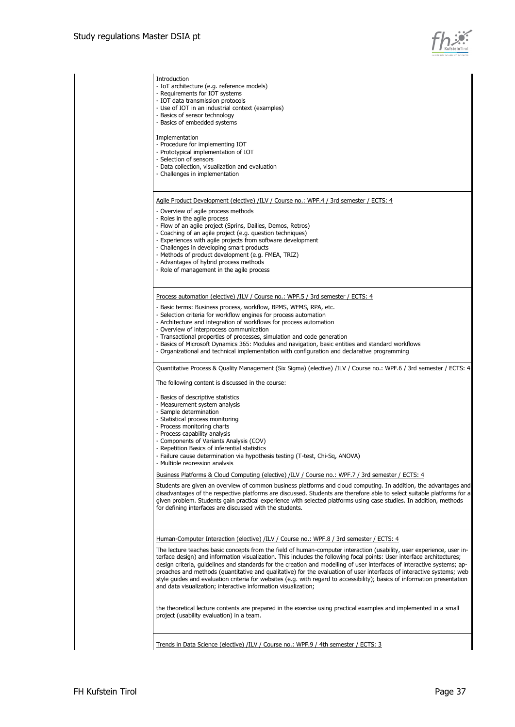

|                                                                                        | - IOT data transmission protocols<br>- Use of IOT in an industrial context (examples)<br>- Basics of sensor technology<br>- Basics of embedded systems                                                                                                                                                                                                                                                                                                                                                                                                                                                                           |
|----------------------------------------------------------------------------------------|----------------------------------------------------------------------------------------------------------------------------------------------------------------------------------------------------------------------------------------------------------------------------------------------------------------------------------------------------------------------------------------------------------------------------------------------------------------------------------------------------------------------------------------------------------------------------------------------------------------------------------|
| Implementation<br>- Selection of sensors                                               | - Procedure for implementing IOT<br>- Prototypical implementation of IOT<br>- Data collection, visualization and evaluation<br>- Challenges in implementation                                                                                                                                                                                                                                                                                                                                                                                                                                                                    |
|                                                                                        | Agile Product Development (elective) /ILV / Course no.: WPF.4 / 3rd semester / ECTS: 4                                                                                                                                                                                                                                                                                                                                                                                                                                                                                                                                           |
| - Roles in the agile process                                                           | - Overview of agile process methods<br>- Flow of an agile project (Sprins, Dailies, Demos, Retros)<br>- Coaching of an agile project (e.g. question techniques)<br>- Experiences with agile projects from software development<br>- Challenges in developing smart products<br>- Methods of product development (e.g. FMEA, TRIZ)<br>- Advantages of hybrid process methods<br>- Role of management in the agile process                                                                                                                                                                                                         |
|                                                                                        | Process automation (elective) /ILV / Course no.: WPF.5 / 3rd semester / ECTS: 4                                                                                                                                                                                                                                                                                                                                                                                                                                                                                                                                                  |
|                                                                                        | - Basic terms: Business process, workflow, BPMS, WFMS, RPA, etc.<br>- Selection criteria for workflow engines for process automation<br>- Architecture and integration of workflows for process automation<br>- Overview of interprocess communication<br>- Transactional properties of processes, simulation and code generation<br>- Basics of Microsoft Dynamics 365: Modules and navigation, basic entities and standard workflows<br>- Organizational and technical implementation with configuration and declarative programming                                                                                           |
|                                                                                        | Quantitative Process & Quality Management (Six Sigma) (elective) /ILV / Course no.: WPF.6 / 3rd semester / ECTS: 4                                                                                                                                                                                                                                                                                                                                                                                                                                                                                                               |
|                                                                                        | The following content is discussed in the course:                                                                                                                                                                                                                                                                                                                                                                                                                                                                                                                                                                                |
| - Sample determination<br>- Process monitoring charts<br>- Process capability analysis | - Basics of descriptive statistics<br>- Measurement system analysis<br>- Statistical process monitoring<br>- Components of Variants Analysis (COV)<br>- Repetition Basics of inferential statistics<br>- Failure cause determination via hypothesis testing (T-test, Chi-Sq, ANOVA)<br>- Multinle regression analysis                                                                                                                                                                                                                                                                                                            |
|                                                                                        | Business Platforms & Cloud Computing (elective) /ILV / Course no.: WPF.7 / 3rd semester / ECTS: 4                                                                                                                                                                                                                                                                                                                                                                                                                                                                                                                                |
|                                                                                        | Students are given an overview of common business platforms and cloud computing. In addition, the advantages and<br>disadvantages of the respective platforms are discussed. Students are therefore able to select suitable platforms for a<br>given problem. Students gain practical experience with selected platforms using case studies. In addition, methods<br>for defining interfaces are discussed with the students.                                                                                                                                                                                                    |
|                                                                                        | Human-Computer Interaction (elective) /ILV / Course no.: WPF.8 / 3rd semester / ECTS: 4                                                                                                                                                                                                                                                                                                                                                                                                                                                                                                                                          |
|                                                                                        | The lecture teaches basic concepts from the field of human-computer interaction (usability, user experience, user in-<br>terface design) and information visualization. This includes the following focal points: User interface architectures;<br>design criteria, quidelines and standards for the creation and modelling of user interfaces of interactive systems; ap-<br>proaches and methods (quantitative and qualitative) for the evaluation of user interfaces of interactive systems; web<br>style guides and evaluation criteria for websites (e.g. with regard to accessibility); basics of information presentation |
|                                                                                        | and data visualization; interactive information visualization;                                                                                                                                                                                                                                                                                                                                                                                                                                                                                                                                                                   |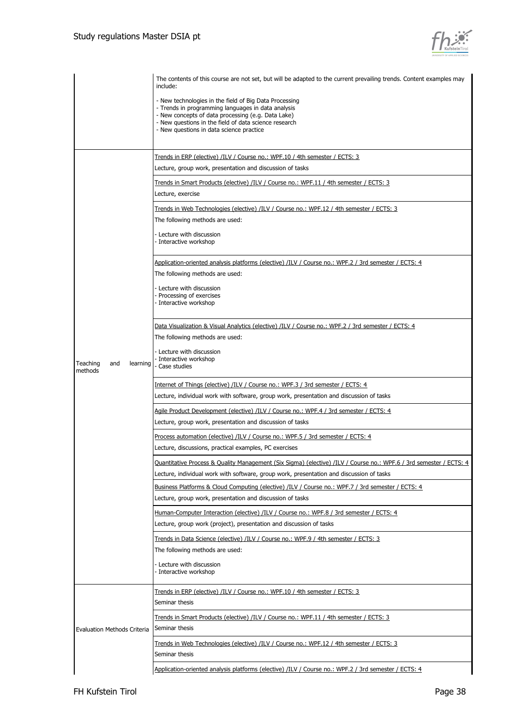

|                                        | The contents of this course are not set, but will be adapted to the current prevailing trends. Content examples may<br>include:                                                                                                                                         |
|----------------------------------------|-------------------------------------------------------------------------------------------------------------------------------------------------------------------------------------------------------------------------------------------------------------------------|
|                                        | - New technologies in the field of Big Data Processing<br>- Trends in programming languages in data analysis<br>- New concepts of data processing (e.g. Data Lake)<br>- New questions in the field of data science research<br>- New questions in data science practice |
|                                        |                                                                                                                                                                                                                                                                         |
|                                        | Trends in ERP (elective) /ILV / Course no.: WPF.10 / 4th semester / ECTS: 3<br>Lecture, group work, presentation and discussion of tasks                                                                                                                                |
|                                        | Trends in Smart Products (elective) /ILV / Course no.: WPF.11 / 4th semester / ECTS: 3                                                                                                                                                                                  |
|                                        | Lecture, exercise                                                                                                                                                                                                                                                       |
|                                        | Trends in Web Technologies (elective) /ILV / Course no.: WPF.12 / 4th semester / ECTS: 3                                                                                                                                                                                |
|                                        | The following methods are used:                                                                                                                                                                                                                                         |
| Teaching<br>and<br>learning<br>methods | - Lecture with discussion<br>- Interactive workshop                                                                                                                                                                                                                     |
|                                        | Application-oriented analysis platforms (elective) /ILV / Course no.: WPF.2 / 3rd semester / ECTS: 4                                                                                                                                                                    |
|                                        | The following methods are used:                                                                                                                                                                                                                                         |
|                                        | - Lecture with discussion                                                                                                                                                                                                                                               |
|                                        | - Processing of exercises<br>- Interactive workshop                                                                                                                                                                                                                     |
|                                        |                                                                                                                                                                                                                                                                         |
|                                        | Data Visualization & Visual Analytics (elective) /ILV / Course no.: WPF.2 / 3rd semester / ECTS: 4                                                                                                                                                                      |
|                                        | The following methods are used:                                                                                                                                                                                                                                         |
|                                        | - Lecture with discussion<br>Interactive workshop<br>- Case studies                                                                                                                                                                                                     |
|                                        | Internet of Things (elective) /ILV / Course no.: WPF.3 / 3rd semester / ECTS: 4                                                                                                                                                                                         |
|                                        | Lecture, individual work with software, group work, presentation and discussion of tasks                                                                                                                                                                                |
|                                        | Agile Product Development (elective) /ILV / Course no.: WPF.4 / 3rd semester / ECTS: 4                                                                                                                                                                                  |
|                                        | Lecture, group work, presentation and discussion of tasks                                                                                                                                                                                                               |
|                                        | Process automation (elective) /ILV / Course no.: WPF.5 / 3rd semester / ECTS: 4                                                                                                                                                                                         |
|                                        | Lecture, discussions, practical examples, PC exercises                                                                                                                                                                                                                  |
|                                        | Quantitative Process & Quality Management (Six Sigma) (elective) /ILV / Course no.: WPF.6 / 3rd semester / ECTS: 4                                                                                                                                                      |
|                                        | Lecture, individual work with software, group work, presentation and discussion of tasks                                                                                                                                                                                |
|                                        | Business Platforms & Cloud Computing (elective) /ILV / Course no.: WPF.7 / 3rd semester / ECTS: 4                                                                                                                                                                       |
|                                        | Lecture, group work, presentation and discussion of tasks                                                                                                                                                                                                               |
|                                        | <u>Human-Computer Interaction (elective) /ILV / Course no.: WPF.8 / 3rd semester / ECTS: 4</u>                                                                                                                                                                          |
|                                        | Lecture, group work (project), presentation and discussion of tasks                                                                                                                                                                                                     |
|                                        | Trends in Data Science (elective) /ILV / Course no.: WPF.9 / 4th semester / ECTS: 3                                                                                                                                                                                     |
|                                        | The following methods are used:                                                                                                                                                                                                                                         |
|                                        | - Lecture with discussion<br>- Interactive workshop                                                                                                                                                                                                                     |
|                                        | Trends in ERP (elective) /ILV / Course no.: WPF.10 / 4th semester / ECTS: 3                                                                                                                                                                                             |
| <b>Evaluation Methods Criteria</b>     | Seminar thesis                                                                                                                                                                                                                                                          |
|                                        | Trends in Smart Products (elective) /ILV / Course no.: WPF.11 / 4th semester / ECTS: 3<br>Seminar thesis                                                                                                                                                                |
|                                        | <u>Trends in Web Technologies (elective) /ILV / Course no.: WPF.12 / 4th semester / ECTS: 3</u>                                                                                                                                                                         |
|                                        | Seminar thesis                                                                                                                                                                                                                                                          |
|                                        | Application-oriented analysis platforms (elective) /ILV / Course no.: WPF.2 / 3rd semester / ECTS: 4                                                                                                                                                                    |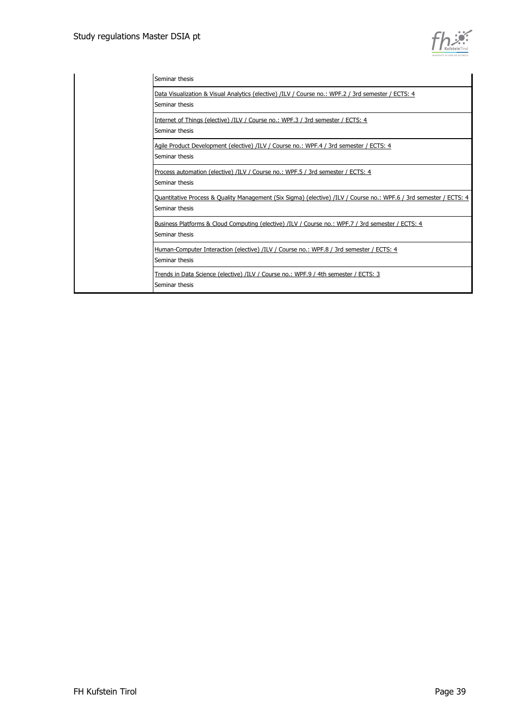

| Seminar thesis                                                                                                                       |
|--------------------------------------------------------------------------------------------------------------------------------------|
| Data Visualization & Visual Analytics (elective) /ILV / Course no.: WPF.2 / 3rd semester / ECTS: 4<br>Seminar thesis                 |
| Internet of Things (elective) /ILV / Course no.: WPF.3 / 3rd semester / ECTS: 4<br>Seminar thesis                                    |
| Agile Product Development (elective) /ILV / Course no.: WPF.4 / 3rd semester / ECTS: 4<br>Seminar thesis                             |
| Process automation (elective) /ILV / Course no.: WPF.5 / 3rd semester / ECTS: 4<br>Seminar thesis                                    |
| Quantitative Process & Quality Management (Six Sigma) (elective) /ILV / Course no.: WPF.6 / 3rd semester / ECTS: 4<br>Seminar thesis |
| Business Platforms & Cloud Computing (elective) /ILV / Course no.: WPF.7 / 3rd semester / ECTS: 4<br>Seminar thesis                  |
| Human-Computer Interaction (elective) /ILV / Course no.: WPF.8 / 3rd semester / ECTS: 4<br>Seminar thesis                            |
| Trends in Data Science (elective) /ILV / Course no.: WPF.9 / 4th semester / ECTS: 3<br>Seminar thesis                                |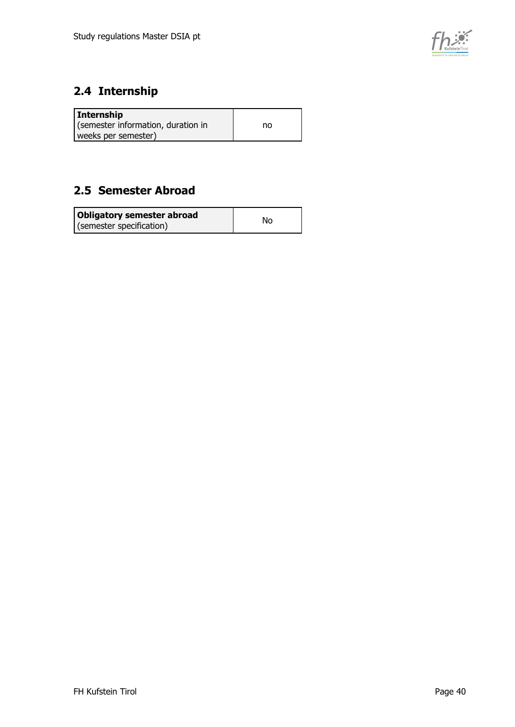

### <span id="page-39-0"></span>**2.4 Internship**

| Internship                         |    |
|------------------------------------|----|
| (semester information, duration in | no |
| weeks per semester)                |    |

### <span id="page-39-1"></span>**2.5 Semester Abroad**

| Obligatory semester abroad | No |
|----------------------------|----|
| (semester specification)   |    |